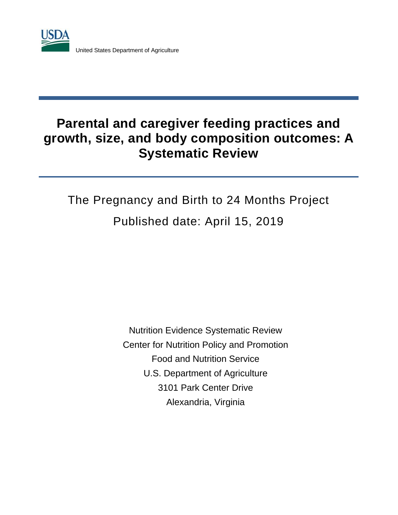

United States Department of Agriculture

# **Parental and caregiver feeding practices and growth, size, and body composition outcomes: A Systematic Review**

# The Pregnancy and Birth to 24 Months Project Published date: April 15, 2019

Nutrition Evidence Systematic Review Center for Nutrition Policy and Promotion Food and Nutrition Service U.S. Department of Agriculture 3101 Park Center Drive Alexandria, Virginia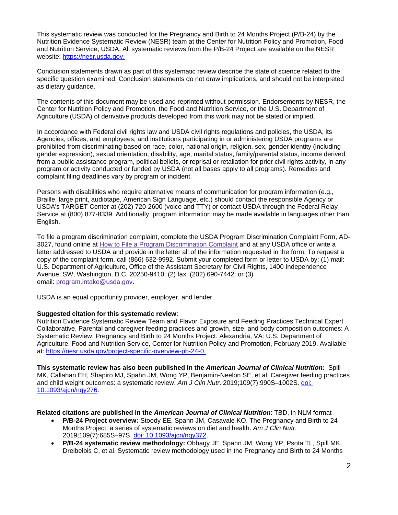This systematic review was conducted for the Pregnancy and Birth to 24 Months Project (P/B-24) by the Nutrition Evidence Systematic Review (NESR) team at the Center for Nutrition Policy and Promotion, Food and Nutrition Service, USDA. All systematic reviews from the P/B-24 Project are available on the NESR website: https://nesr.usda.gov.

Conclusion statements drawn as part of this systematic review describe the state of science related to the specific question examined. Conclusion statements do not draw implications, and should not be interpreted as dietary guidance.

The contents of this document may be used and reprinted without permission. Endorsements by NESR, the Center for Nutrition Policy and Promotion, the Food and Nutrition Service, or the U.S. Department of Agriculture (USDA) of derivative products developed from this work may not be stated or implied.

In accordance with Federal civil rights law and USDA civil rights regulations and policies, the USDA, its Agencies, offices, and employees, and institutions participating in or administering USDA programs are prohibited from discriminating based on race, color, national origin, religion, sex, gender identity (including gender expression), sexual orientation, disability, age, marital status, family/parental status, income derived from a public assistance program, political beliefs, or reprisal or retaliation for prior civil rights activity, in any program or activity conducted or funded by USDA (not all bases apply to all programs). Remedies and complaint filing deadlines vary by program or incident.

Persons with disabilities who require alternative means of communication for program information (e.g., Braille, large print, audiotape, American Sign Language, etc.) should contact the responsible Agency or USDA's TARGET Center at (202) 720-2600 (voice and TTY) or contact USDA through the Federal Relay Service at (800) 877-8339. Additionally, program information may be made available in languages other than English.

To file a program discrimination complaint, complete the USDA Program Discrimination Complaint Form, AD-3027, found online at [How to File a Program Discrimination Complaint](https://www.ascr.usda.gov/how-file-program-discrimination-complaint) and at any USDA office or write a letter addressed to USDA and provide in the letter all of the information requested in the form. To request a copy of the complaint form, call (866) 632-9992. Submit your completed form or letter to USDA by: (1) mail: U.S. Department of Agriculture, Office of the Assistant Secretary for Civil Rights, 1400 Independence Avenue, SW, Washington, D.C. 20250-9410; (2) fax: (202) 690-7442; or (3) email: [program.intake@usda.gov.](mailto:program.intake@usda.gov)

USDA is an equal opportunity provider, employer, and lender.

#### **Suggested citation for this systematic review**:

Nutrition Evidence Systematic Review Team and Flavor Exposure and Feeding Practices Technical Expert Collaborative. Parental and caregiver feeding practices and growth, size, and body composition outcomes: A Systematic Review. Pregnancy and Birth to 24 Months Project. Alexandria, VA: U.S. Department of Agriculture, Food and Nutrition Service, Center for Nutrition Policy and Promotion, February 2019. Available at: https://nesr.usda.gov/project-specific-overview-pb-24-0.

**This systematic review has also been published in the** *American Journal of Clinical Nutrition***:** Spill MK, Callahan EH, Shapiro MJ, Spahn JM, Wong YP, Benjamin-Neelon SE, et al. Caregiver feeding practices and child weight outcomes: a systematic review. *Am J Clin Nutr*. 2019;109(7):990S–1002S. [doi:](https://academic.oup.com/ajcn/article-abstract/109/Supplement_7/990S/5456694?redirectedFrom=fulltext)  [10.1093/ajcn/nqy276.](https://academic.oup.com/ajcn/article-abstract/109/Supplement_7/990S/5456694?redirectedFrom=fulltext)

#### **Related citations are published in the** *American Journal of Clinical Nutrition*: TBD, in NLM format

- **P/B-24 Project overview:** Stoody EE, Spahn JM, Casavale KO. The Pregnancy and Birth to 24 Months Project: a series of systematic reviews on diet and health. *Am J Clin Nutr*. 2019;109(7):685S–97S. [doi: 10.1093/ajcn/nqy372.](https://academic.oup.com/ajcn/article-abstract/109/Supplement_7/685S/5456707?redirectedFrom=fulltext)
- **P/B-24 systematic review methodology:** Obbagy JE, Spahn JM, Wong YP, Psota TL, Spill MK, Dreibelbis C, et al. Systematic review methodology used in the Pregnancy and Birth to 24 Months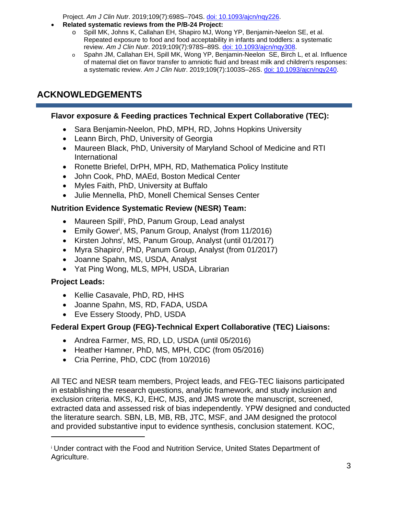Project. *Am J Clin Nutr*. 2019;109(7):698S–704S. [doi: 10.1093/ajcn/nqy226.](https://academic.oup.com/ajcn/article/109/Supplement_7/698S/5184397)

- **Related systematic reviews from the P/B-24 Project:** 
	- o Spill MK, Johns K, Callahan EH, Shapiro MJ, Wong YP, Benjamin-Neelon SE, et al. Repeated exposure to food and food acceptability in infants and toddlers: a systematic review. *Am J Clin Nutr*. 2019;109(7):978S–89S. [doi: 10.1093/ajcn/nqy308.](https://academic.oup.com/ajcn/article-abstract/109/Supplement_7/978S/5456703?redirectedFrom=fulltext)
	- o Spahn JM, Callahan EH, Spill MK, Wong YP, Benjamin-Neelon SE, Birch L, et al. Influence of maternal diet on flavor transfer to amniotic fluid and breast milk and children's responses: a systematic review. *Am J Clin Nutr*. 2019;109(7):1003S–26S. [doi: 10.1093/ajcn/nqy240.](https://academic.oup.com/ajcn/article-abstract/109/Supplement_7/1003S/5456696?redirectedFrom=fulltext)

# <span id="page-2-1"></span>**ACKNOWLEDGEMENTS**

#### **Flavor exposure & Feeding practices Technical Expert Collaborative (TEC):**

- Sara Benjamin-Neelon, PhD, MPH, RD, Johns Hopkins University
- Leann Birch, PhD, University of Georgia
- Maureen Black, PhD, University of Maryland School of Medicine and RTI International
- Ronette Briefel, DrPH, MPH, RD, Mathematica Policy Institute
- John Cook, PhD, MAEd, Boston Medical Center
- Myles Faith, PhD, University at Buffalo
- Julie Mennella, PhD, Monell Chemical Senses Center

#### **Nutrition Evidence Systematic Review (NESR) Team:**

- Maureen Sp[i](#page-2-0)ll<sup>i</sup>, PhD, Panum Group, Lead analyst
- Emily Gower<sup>i</sup>, MS, Panum Group, Analyst (from 11/2016)
- Kirsten Johns<sup>i</sup>, MS, Panum Group, Analyst (until 01/2017)
- Myra Shapiro<sup>i</sup>, PhD, Panum Group, Analyst (from 01/2017)
- Joanne Spahn, MS, USDA, Analyst
- Yat Ping Wong, MLS, MPH, USDA, Librarian

#### **Project Leads:**

 $\overline{a}$ 

- Kellie Casavale, PhD, RD, HHS
- Joanne Spahn, MS, RD, FADA, USDA
- Eve Essery Stoody, PhD, USDA

#### **Federal Expert Group (FEG)-Technical Expert Collaborative (TEC) Liaisons:**

- Andrea Farmer, MS, RD, LD, USDA (until 05/2016)
- Heather Hamner, PhD, MS, MPH, CDC (from 05/2016)
- Cria Perrine, PhD, CDC (from 10/2016)

All TEC and NESR team members, Project leads, and FEG-TEC liaisons participated in establishing the research questions, analytic framework, and study inclusion and exclusion criteria. MKS, KJ, EHC, MJS, and JMS wrote the manuscript, screened, extracted data and assessed risk of bias independently. YPW designed and conducted the literature search. SBN, LB, MB, RB, JTC, MSF, and JAM designed the protocol and provided substantive input to evidence synthesis, conclusion statement. KOC,

<span id="page-2-0"></span><sup>i</sup> Under contract with the Food and Nutrition Service, United States Department of Agriculture.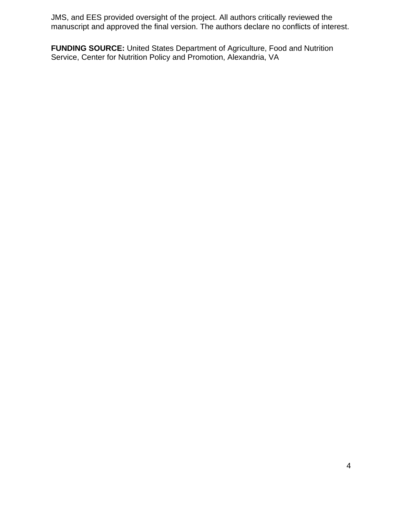JMS, and EES provided oversight of the project. All authors critically reviewed the manuscript and approved the final version. The authors declare no conflicts of interest.

**FUNDING SOURCE:** United States Department of Agriculture, Food and Nutrition Service, Center for Nutrition Policy and Promotion, Alexandria, VA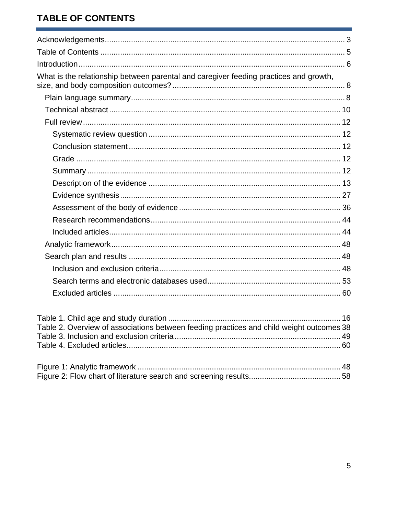# <span id="page-4-0"></span>**TABLE OF CONTENTS**

| What is the relationship between parental and caregiver feeding practices and growth,    |  |
|------------------------------------------------------------------------------------------|--|
|                                                                                          |  |
|                                                                                          |  |
|                                                                                          |  |
|                                                                                          |  |
|                                                                                          |  |
|                                                                                          |  |
|                                                                                          |  |
|                                                                                          |  |
|                                                                                          |  |
|                                                                                          |  |
|                                                                                          |  |
|                                                                                          |  |
|                                                                                          |  |
|                                                                                          |  |
|                                                                                          |  |
|                                                                                          |  |
|                                                                                          |  |
| Table 2. Overview of associations between feeding practices and child weight outcomes 38 |  |
|                                                                                          |  |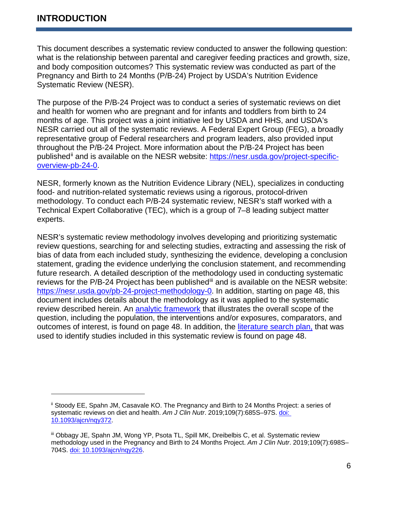$\overline{a}$ 

<span id="page-5-0"></span>This document describes a systematic review conducted to answer the following question: what is the relationship between parental and caregiver feeding practices and growth, size, and body composition outcomes? This systematic review was conducted as part of the Pregnancy and Birth to 24 Months (P/B-24) Project by USDA's Nutrition Evidence Systematic Review (NESR).

The purpose of the P/B-24 Project was to conduct a series of systematic reviews on diet and health for women who are pregnant and for infants and toddlers from birth to 24 months of age. This project was a joint initiative led by USDA and HHS, and USDA's NESR carried out all of the systematic reviews. A Federal Expert Group (FEG), a broadly representative group of Federal researchers and program leaders, also provided input throughout the P/B-24 Project. More information about the P/B-24 Project has been published<sup>[ii](#page-5-1)</sup> and is available on the NESR website: [https://nesr.usda.gov/project-specific](https://nesr.usda.gov/project-specific-overview-pb-24-0)[overview-pb-24-0.](https://nesr.usda.gov/project-specific-overview-pb-24-0)

NESR, formerly known as the Nutrition Evidence Library (NEL), specializes in conducting food- and nutrition-related systematic reviews using a rigorous, protocol-driven methodology. To conduct each P/B-24 systematic review, NESR's staff worked with a Technical Expert Collaborative (TEC), which is a group of 7–8 leading subject matter experts.

NESR's systematic review methodology involves developing and prioritizing systematic review questions, searching for and selecting studies, extracting and assessing the risk of bias of data from each included study, synthesizing the evidence, developing a conclusion statement, grading the evidence underlying the conclusion statement, and recommending future research. A detailed description of the methodology used in conducting systematic reviews for the P/B-24 Project has been published<sup>[iii](#page-5-2)</sup> and is available on the NESR website: [https://nesr.usda.gov/pb-24-project-methodology-0.](https://nesr.usda.gov/pb-24-project-methodology-0) In addition, starting on page 48, this document includes details about the methodology as it was applied to the systematic review described herein. An [analytic framework](#page-47-0) that illustrates the overall scope of the question, including the population, the interventions and/or exposures, comparators, and outcomes of interest, is found on page 48. In addition, the [literature search plan,](#page-47-1) that was used to identify studies included in this systematic review is found on page 48.

<span id="page-5-1"></span>ii Stoody EE, Spahn JM, Casavale KO. The Pregnancy and Birth to 24 Months Project: a series of systematic reviews on diet and health. *Am J Clin Nutr*. 2019;109(7):685S–97S. [doi:](https://academic.oup.com/ajcn/article-abstract/109/Supplement_7/685S/5456707?redirectedFrom=fulltext)  [10.1093/ajcn/nqy372.](https://academic.oup.com/ajcn/article-abstract/109/Supplement_7/685S/5456707?redirectedFrom=fulltext)

<span id="page-5-2"></span>iii Obbagy JE, Spahn JM, Wong YP, Psota TL, Spill MK, Dreibelbis C, et al. Systematic review methodology used in the Pregnancy and Birth to 24 Months Project. *Am J Clin Nutr*. 2019;109(7):698S– 704S. [doi: 10.1093/ajcn/nqy226.](https://academic.oup.com/ajcn/article/109/Supplement_7/698S/5184397)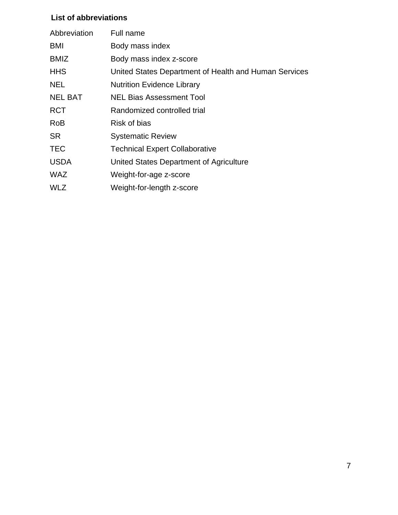#### **List of abbreviations**

| Full name                                             |
|-------------------------------------------------------|
| Body mass index                                       |
| Body mass index z-score                               |
| United States Department of Health and Human Services |
| <b>Nutrition Evidence Library</b>                     |
| <b>NEL Bias Assessment Tool</b>                       |
| Randomized controlled trial                           |
| Risk of bias                                          |
| <b>Systematic Review</b>                              |
| <b>Technical Expert Collaborative</b>                 |
| United States Department of Agriculture               |
| Weight-for-age z-score                                |
| Weight-for-length z-score                             |
|                                                       |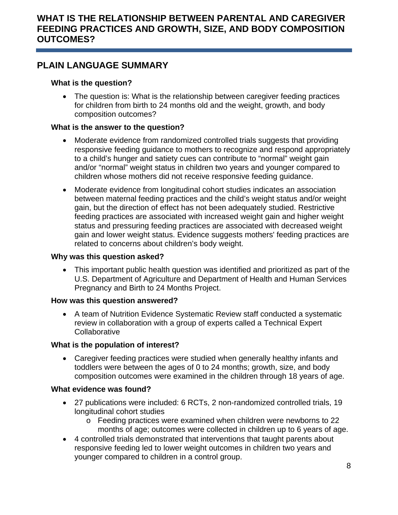## <span id="page-7-1"></span><span id="page-7-0"></span>**PLAIN LANGUAGE SUMMARY**

#### **What is the question?**

• The question is: What is the relationship between caregiver feeding practices for children from birth to 24 months old and the weight, growth, and body composition outcomes?

#### **What is the answer to the question?**

- Moderate evidence from randomized controlled trials suggests that providing responsive feeding guidance to mothers to recognize and respond appropriately to a child's hunger and satiety cues can contribute to "normal" weight gain and/or "normal" weight status in children two years and younger compared to children whose mothers did not receive responsive feeding guidance.
- Moderate evidence from longitudinal cohort studies indicates an association between maternal feeding practices and the child's weight status and/or weight gain, but the direction of effect has not been adequately studied. Restrictive feeding practices are associated with increased weight gain and higher weight status and pressuring feeding practices are associated with decreased weight gain and lower weight status. Evidence suggests mothers' feeding practices are related to concerns about children's body weight.

#### **Why was this question asked?**

• This important public health question was identified and prioritized as part of the U.S. Department of Agriculture and Department of Health and Human Services Pregnancy and Birth to 24 Months Project.

#### **How was this question answered?**

• A team of Nutrition Evidence Systematic Review staff conducted a systematic review in collaboration with a group of experts called a Technical Expert **Collaborative** 

#### **What is the population of interest?**

• Caregiver feeding practices were studied when generally healthy infants and toddlers were between the ages of 0 to 24 months; growth, size, and body composition outcomes were examined in the children through 18 years of age.

#### **What evidence was found?**

- 27 publications were included: 6 RCTs, 2 non-randomized controlled trials, 19 longitudinal cohort studies
	- o Feeding practices were examined when children were newborns to 22 months of age; outcomes were collected in children up to 6 years of age.
- 4 controlled trials demonstrated that interventions that taught parents about responsive feeding led to lower weight outcomes in children two years and younger compared to children in a control group.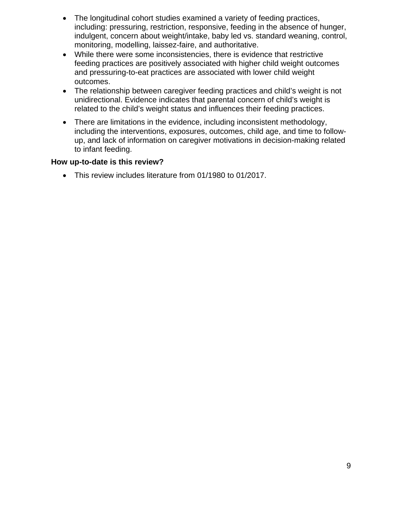- The longitudinal cohort studies examined a variety of feeding practices, including: pressuring, restriction, responsive, feeding in the absence of hunger, indulgent, concern about weight/intake, baby led vs. standard weaning, control, monitoring, modelling, laissez-faire, and authoritative.
- While there were some inconsistencies, there is evidence that restrictive feeding practices are positively associated with higher child weight outcomes and pressuring-to-eat practices are associated with lower child weight outcomes.
- The relationship between caregiver feeding practices and child's weight is not unidirectional. Evidence indicates that parental concern of child's weight is related to the child's weight status and influences their feeding practices.
- There are limitations in the evidence, including inconsistent methodology, including the interventions, exposures, outcomes, child age, and time to followup, and lack of information on caregiver motivations in decision-making related to infant feeding.

#### **How up-to-date is this review?**

• This review includes literature from 01/1980 to 01/2017.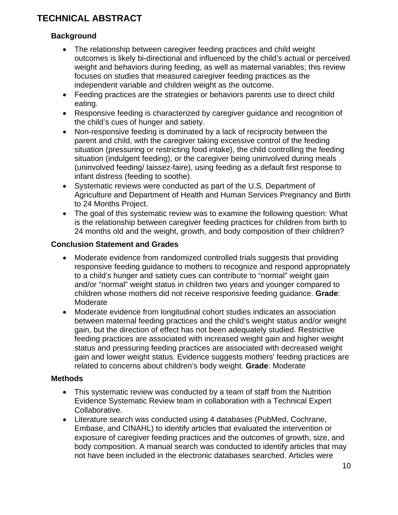# <span id="page-9-0"></span>**TECHNICAL ABSTRACT**

#### **Background**

- The relationship between caregiver feeding practices and child weight outcomes is likely bi-directional and influenced by the child's actual or perceived weight and behaviors during feeding, as well as maternal variables; this review focuses on studies that measured caregiver feeding practices as the independent variable and children weight as the outcome.
- Feeding practices are the strategies or behaviors parents use to direct child eating.
- Responsive feeding is characterized by caregiver guidance and recognition of the child's cues of hunger and satiety.
- Non-responsive feeding is dominated by a lack of reciprocity between the parent and child, with the caregiver taking excessive control of the feeding situation (pressuring or restricting food intake), the child controlling the feeding situation (indulgent feeding), or the caregiver being uninvolved during meals (uninvolved feeding/ laissez-faire), using feeding as a default first response to infant distress (feeding to soothe).
- Systematic reviews were conducted as part of the U.S. Department of Agriculture and Department of Health and Human Services Pregnancy and Birth to 24 Months Project.
- The goal of this systematic review was to examine the following question: What is the relationship between caregiver feeding practices for children from birth to 24 months old and the weight, growth, and body composition of their children?

#### **Conclusion Statement and Grades**

- Moderate evidence from randomized controlled trials suggests that providing responsive feeding guidance to mothers to recognize and respond appropriately to a child's hunger and satiety cues can contribute to "normal" weight gain and/or "normal" weight status in children two years and younger compared to children whose mothers did not receive responsive feeding guidance. **Grade**: Moderate
- Moderate evidence from longitudinal cohort studies indicates an association between maternal feeding practices and the child's weight status and/or weight gain, but the direction of effect has not been adequately studied. Restrictive feeding practices are associated with increased weight gain and higher weight status and pressuring feeding practices are associated with decreased weight gain and lower weight status. Evidence suggests mothers' feeding practices are related to concerns about children's body weight. **Grade**: Moderate

#### **Methods**

- This systematic review was conducted by a team of staff from the Nutrition Evidence Systematic Review team in collaboration with a Technical Expert Collaborative.
- Literature search was conducted using 4 databases (PubMed, Cochrane, Embase, and CINAHL) to identify articles that evaluated the intervention or exposure of caregiver feeding practices and the outcomes of growth, size, and body composition. A manual search was conducted to identify articles that may not have been included in the electronic databases searched. Articles were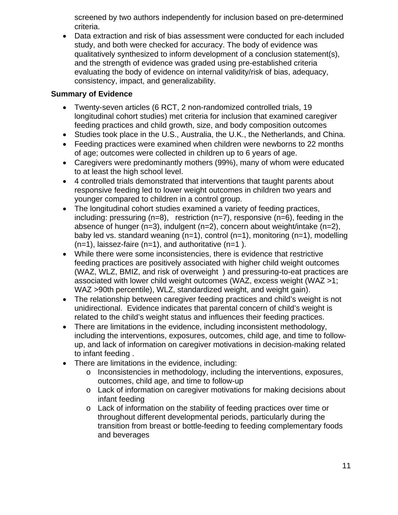screened by two authors independently for inclusion based on pre-determined criteria.

• Data extraction and risk of bias assessment were conducted for each included study, and both were checked for accuracy. The body of evidence was qualitatively synthesized to inform development of a conclusion statement(s), and the strength of evidence was graded using pre-established criteria evaluating the body of evidence on internal validity/risk of bias, adequacy, consistency, impact, and generalizability.

#### **Summary of Evidence**

- Twenty-seven articles (6 RCT, 2 non-randomized controlled trials, 19 longitudinal cohort studies) met criteria for inclusion that examined caregiver feeding practices and child growth, size, and body composition outcomes
- Studies took place in the U.S., Australia, the U.K., the Netherlands, and China.
- Feeding practices were examined when children were newborns to 22 months of age; outcomes were collected in children up to 6 years of age.
- Caregivers were predominantly mothers (99%), many of whom were educated to at least the high school level.
- 4 controlled trials demonstrated that interventions that taught parents about responsive feeding led to lower weight outcomes in children two years and younger compared to children in a control group.
- The longitudinal cohort studies examined a variety of feeding practices, including: pressuring  $(n=8)$ , restriction  $(n=7)$ , responsive  $(n=6)$ , feeding in the absence of hunger (n=3), indulgent (n=2), concern about weight/intake (n=2), baby led vs. standard weaning (n=1), control (n=1), monitoring (n=1), modelling  $(n=1)$ , laissez-faire  $(n=1)$ , and authoritative  $(n=1)$ .
- While there were some inconsistencies, there is evidence that restrictive feeding practices are positively associated with higher child weight outcomes (WAZ, WLZ, BMIZ, and risk of overweight ) and pressuring-to-eat practices are associated with lower child weight outcomes (WAZ, excess weight (WAZ >1; WAZ >90th percentile), WLZ, standardized weight, and weight gain).
- The relationship between caregiver feeding practices and child's weight is not unidirectional. Evidence indicates that parental concern of child's weight is related to the child's weight status and influences their feeding practices.
- There are limitations in the evidence, including inconsistent methodology, including the interventions, exposures, outcomes, child age, and time to followup, and lack of information on caregiver motivations in decision-making related to infant feeding .
- There are limitations in the evidence, including:
	- o Inconsistencies in methodology, including the interventions, exposures, outcomes, child age, and time to follow-up
	- o Lack of information on caregiver motivations for making decisions about infant feeding
	- o Lack of information on the stability of feeding practices over time or throughout different developmental periods, particularly during the transition from breast or bottle-feeding to feeding complementary foods and beverages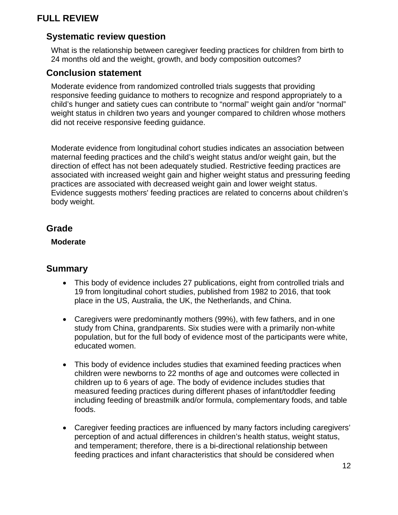## <span id="page-11-0"></span>**FULL REVIEW**

## <span id="page-11-1"></span>**Systematic review question**

What is the relationship between caregiver feeding practices for children from birth to 24 months old and the weight, growth, and body composition outcomes?

#### <span id="page-11-2"></span>**Conclusion statement**

Moderate evidence from randomized controlled trials suggests that providing responsive feeding guidance to mothers to recognize and respond appropriately to a child's hunger and satiety cues can contribute to "normal" weight gain and/or "normal" weight status in children two years and younger compared to children whose mothers did not receive responsive feeding guidance.

Moderate evidence from longitudinal cohort studies indicates an association between maternal feeding practices and the child's weight status and/or weight gain, but the direction of effect has not been adequately studied. Restrictive feeding practices are associated with increased weight gain and higher weight status and pressuring feeding practices are associated with decreased weight gain and lower weight status. Evidence suggests mothers' feeding practices are related to concerns about children's body weight.

#### <span id="page-11-3"></span>**Grade**

#### **Moderate**

#### <span id="page-11-4"></span>**Summary**

- This body of evidence includes 27 publications, eight from controlled trials and 19 from longitudinal cohort studies, published from 1982 to 2016, that took place in the US, Australia, the UK, the Netherlands, and China.
- Caregivers were predominantly mothers (99%), with few fathers, and in one study from China, grandparents. Six studies were with a primarily non-white population, but for the full body of evidence most of the participants were white, educated women.
- This body of evidence includes studies that examined feeding practices when children were newborns to 22 months of age and outcomes were collected in children up to 6 years of age. The body of evidence includes studies that measured feeding practices during different phases of infant/toddler feeding including feeding of breastmilk and/or formula, complementary foods, and table foods.
- Caregiver feeding practices are influenced by many factors including caregivers' perception of and actual differences in children's health status, weight status, and temperament; therefore, there is a bi-directional relationship between feeding practices and infant characteristics that should be considered when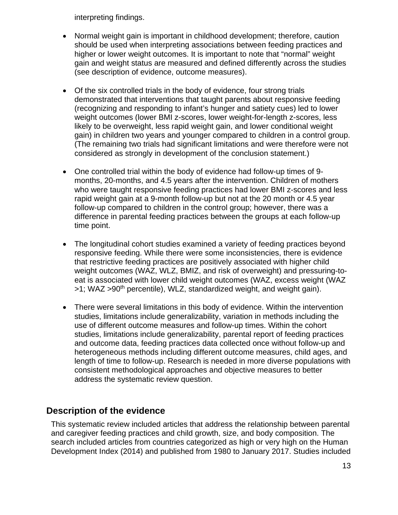interpreting findings.

- Normal weight gain is important in childhood development; therefore, caution should be used when interpreting associations between feeding practices and higher or lower weight outcomes. It is important to note that "normal" weight gain and weight status are measured and defined differently across the studies (see description of evidence, outcome measures).
- Of the six controlled trials in the body of evidence, four strong trials demonstrated that interventions that taught parents about responsive feeding (recognizing and responding to infant's hunger and satiety cues) led to lower weight outcomes (lower BMI z-scores, lower weight-for-length z-scores, less likely to be overweight, less rapid weight gain, and lower conditional weight gain) in children two years and younger compared to children in a control group. (The remaining two trials had significant limitations and were therefore were not considered as strongly in development of the conclusion statement.)
- One controlled trial within the body of evidence had follow-up times of 9 months, 20-months, and 4.5 years after the intervention. Children of mothers who were taught responsive feeding practices had lower BMI z-scores and less rapid weight gain at a 9-month follow-up but not at the 20 month or 4.5 year follow-up compared to children in the control group; however, there was a difference in parental feeding practices between the groups at each follow-up time point.
- The longitudinal cohort studies examined a variety of feeding practices beyond responsive feeding. While there were some inconsistencies, there is evidence that restrictive feeding practices are positively associated with higher child weight outcomes (WAZ, WLZ, BMIZ, and risk of overweight) and pressuring-toeat is associated with lower child weight outcomes (WAZ, excess weight (WAZ >1; WAZ >90<sup>th</sup> percentile), WLZ, standardized weight, and weight gain).
- There were several limitations in this body of evidence. Within the intervention studies, limitations include generalizability, variation in methods including the use of different outcome measures and follow-up times. Within the cohort studies, limitations include generalizability, parental report of feeding practices and outcome data, feeding practices data collected once without follow-up and heterogeneous methods including different outcome measures, child ages, and length of time to follow-up. Research is needed in more diverse populations with consistent methodological approaches and objective measures to better address the systematic review question.

## <span id="page-12-0"></span>**Description of the evidence**

This systematic review included articles that address the relationship between parental and caregiver feeding practices and child growth, size, and body composition. The search included articles from countries categorized as high or very high on the Human Development Index (2014) and published from 1980 to January 2017. Studies included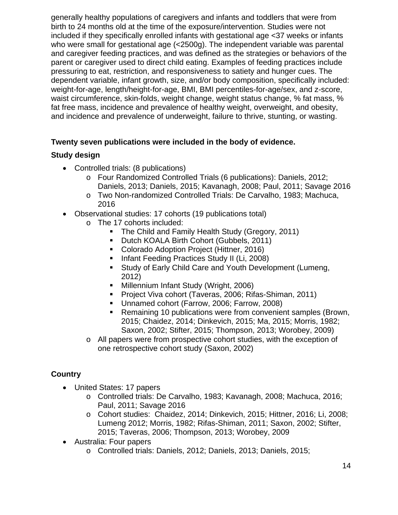generally healthy populations of caregivers and infants and toddlers that were from birth to 24 months old at the time of the exposure/intervention. Studies were not included if they specifically enrolled infants with gestational age <37 weeks or infants who were small for gestational age (<2500g). The independent variable was parental and caregiver feeding practices, and was defined as the strategies or behaviors of the parent or caregiver used to direct child eating. Examples of feeding practices include pressuring to eat, restriction, and responsiveness to satiety and hunger cues. The dependent variable, infant growth, size, and/or body composition, specifically included: weight-for-age, length/height-for-age, BMI, BMI percentiles-for-age/sex, and z-score, waist circumference, skin-folds, weight change, weight status change, % fat mass, % fat free mass, incidence and prevalence of healthy weight, overweight, and obesity, and incidence and prevalence of underweight, failure to thrive, stunting, or wasting.

#### **Twenty seven publications were included in the body of evidence.**

#### **Study design**

- Controlled trials: (8 publications)
	- o Four Randomized Controlled Trials (6 publications): Daniels, 2012; Daniels, 2013; Daniels, 2015; Kavanagh, 2008; Paul, 2011; Savage 2016
	- o Two Non-randomized Controlled Trials: De Carvalho, 1983; Machuca, 2016
- Observational studies: 17 cohorts (19 publications total)
	- o The 17 cohorts included:
		- **The Child and Family Health Study (Gregory, 2011)**
		- Dutch KOALA Birth Cohort (Gubbels, 2011)
		- **Colorado Adoption Project (Hittner, 2016)**
		- **Infant Feeding Practices Study II (Li, 2008)**
		- **Study of Early Child Care and Youth Development (Lumeng,** 2012)
		- **Millennium Infant Study (Wright, 2006)**
		- **Project Viva cohort (Taveras, 2006; Rifas-Shiman, 2011)**
		- Unnamed cohort (Farrow, 2006; Farrow, 2008)
		- Remaining 10 publications were from convenient samples (Brown, 2015; Chaidez, 2014; Dinkevich, 2015; Ma, 2015; Morris, 1982; Saxon, 2002; Stifter, 2015; Thompson, 2013; Worobey, 2009)
	- $\circ$  All papers were from prospective cohort studies, with the exception of one retrospective cohort study (Saxon, 2002)

#### **Country**

- United States: 17 papers
	- o Controlled trials: De Carvalho, 1983; Kavanagh, 2008; Machuca, 2016; Paul, 2011; Savage 2016
	- o Cohort studies: Chaidez, 2014; Dinkevich, 2015; Hittner, 2016; Li, 2008; Lumeng 2012; Morris, 1982; Rifas-Shiman, 2011; Saxon, 2002; Stifter, 2015; Taveras, 2006; Thompson, 2013; Worobey, 2009
- Australia: Four papers
	- o Controlled trials: Daniels, 2012; Daniels, 2013; Daniels, 2015;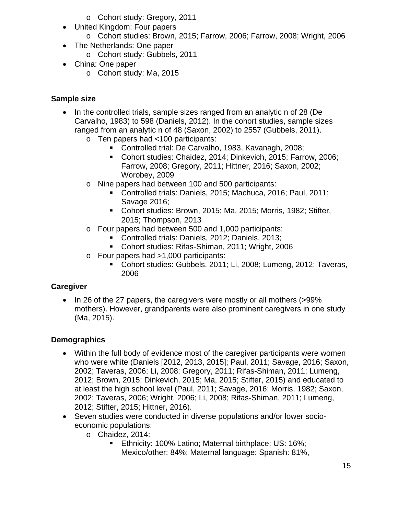- o Cohort study: Gregory, 2011
- United Kingdom: Four papers
	- o Cohort studies: Brown, 2015; Farrow, 2006; Farrow, 2008; Wright, 2006
- The Netherlands: One paper
	- o Cohort study: Gubbels, 2011
- China: One paper
	- o Cohort study: Ma, 2015

#### **Sample size**

- In the controlled trials, sample sizes ranged from an analytic n of 28 (De Carvalho, 1983) to 598 (Daniels, 2012). In the cohort studies, sample sizes ranged from an analytic n of 48 (Saxon, 2002) to 2557 (Gubbels, 2011).
	- o Ten papers had <100 participants:
		- Controlled trial: De Carvalho, 1983, Kavanagh, 2008;
		- Cohort studies: Chaidez, 2014; Dinkevich, 2015; Farrow, 2006; Farrow, 2008; Gregory, 2011; Hittner, 2016; Saxon, 2002; Worobey, 2009
	- o Nine papers had between 100 and 500 participants:
		- Controlled trials: Daniels, 2015; Machuca, 2016; Paul, 2011; Savage 2016;
		- Cohort studies: Brown, 2015; Ma, 2015; Morris, 1982; Stifter, 2015; Thompson, 2013
	- o Four papers had between 500 and 1,000 participants:
		- Controlled trials: Daniels, 2012; Daniels, 2013;
		- Cohort studies: Rifas-Shiman, 2011; Wright, 2006
	- o Four papers had >1,000 participants:
		- Cohort studies: Gubbels, 2011; Li, 2008; Lumeng, 2012; Taveras, 2006

#### **Caregiver**

• In 26 of the 27 papers, the caregivers were mostly or all mothers (>99% mothers). However, grandparents were also prominent caregivers in one study (Ma, 2015).

#### **Demographics**

- Within the full body of evidence most of the caregiver participants were women who were white (Daniels [2012, 2013, 2015]; Paul, 2011; Savage, 2016; Saxon, 2002; Taveras, 2006; Li, 2008; Gregory, 2011; Rifas-Shiman, 2011; Lumeng, 2012; Brown, 2015; Dinkevich, 2015; Ma, 2015; Stifter, 2015) and educated to at least the high school level (Paul, 2011; Savage, 2016; Morris, 1982; Saxon, 2002; Taveras, 2006; Wright, 2006; Li, 2008; Rifas-Shiman, 2011; Lumeng, 2012; Stifter, 2015; Hittner, 2016).
- Seven studies were conducted in diverse populations and/or lower socioeconomic populations:
	- o Chaidez, 2014:
		- **Ethnicity: 100% Latino; Maternal birthplace: US: 16%;** Mexico/other: 84%; Maternal language: Spanish: 81%,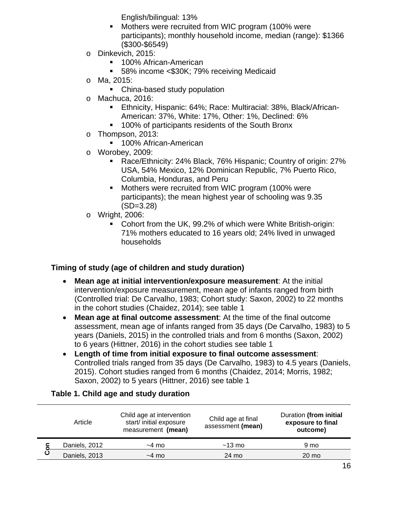English/bilingual: 13%

- **Mothers were recruited from WIC program (100% were** participants); monthly household income, median (range): \$1366 (\$300-\$6549)
- o Dinkevich, 2015:
	- 100% African-American
	- 58% income <\$30K; 79% receiving Medicaid
- o Ma, 2015:
	- China-based study population
- o Machuca, 2016:<br>⊾Ethnicity
	- Ethnicity, Hispanic: 64%; Race: Multiracial: 38%, Black/African-American: 37%, White: 17%, Other: 1%, Declined: 6%
	- **100% of participants residents of the South Bronx**
- o Thompson, 2013:
	- **100% African-American**
- o Worobey, 2009:
	- Race/Ethnicity: 24% Black, 76% Hispanic; Country of origin: 27% USA, 54% Mexico, 12% Dominican Republic, 7% Puerto Rico, Columbia, Honduras, and Peru
	- **Mothers were recruited from WIC program (100% were** participants); the mean highest year of schooling was 9.35 (SD=3.28)
- o Wright, 2006:
	- Cohort from the UK, 99.2% of which were White British-origin: 71% mothers educated to 16 years old; 24% lived in unwaged households

#### **Timing of study (age of children and study duration)**

- **Mean age at initial intervention/exposure measurement**: At the initial intervention/exposure measurement, mean age of infants ranged from birth (Controlled trial: De Carvalho, 1983; Cohort study: Saxon, 2002) to 22 months in the cohort studies (Chaidez, 2014); see table 1
- **Mean age at final outcome assessment**: At the time of the final outcome assessment, mean age of infants ranged from 35 days (De Carvalho, 1983) to 5 years (Daniels, 2015) in the controlled trials and from 6 months (Saxon, 2002) to 6 years (Hittner, 2016) in the cohort studies see table 1
- **Length of time from initial exposure to final outcome assessment**: Controlled trials ranged from 35 days (De Carvalho, 1983) to 4.5 years (Daniels, 2015). Cohort studies ranged from 6 months (Chaidez, 2014; Morris, 1982; Saxon, 2002) to 5 years (Hittner, 2016) see table 1

#### <span id="page-15-0"></span>**Table 1. Child age and study duration**

|  | Article       | Child age at intervention<br>start/ initial exposure<br>measurement (mean) | Child age at final<br>assessment (mean) | Duration (from initial<br>exposure to final<br>outcome) |
|--|---------------|----------------------------------------------------------------------------|-----------------------------------------|---------------------------------------------------------|
|  | Daniels, 2012 | $~1$ mo                                                                    | $~13 \text{ mo}$                        | 9 mo                                                    |
|  | Daniels, 2013 | $~1$ mo                                                                    | 24 mo                                   | 20 mo                                                   |
|  |               |                                                                            |                                         |                                                         |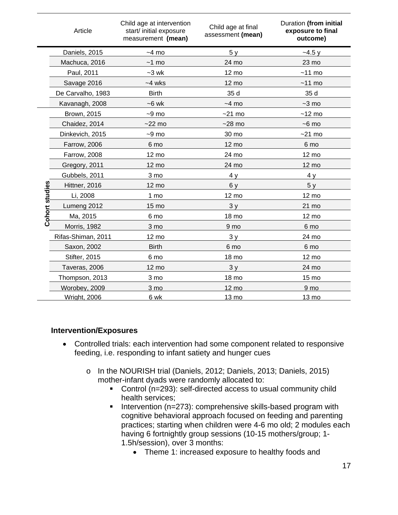|                | Article             | Child age at intervention<br>start/ initial exposure<br>measurement (mean) | Child age at final<br>assessment (mean) | Duration (from initial<br>exposure to final<br>outcome) |
|----------------|---------------------|----------------------------------------------------------------------------|-----------------------------------------|---------------------------------------------------------|
| Cohort studies | Daniels, 2015       | $~1$ mo                                                                    | 5y                                      | $-4.5y$                                                 |
|                | Machuca, 2016       | $~1$ mo                                                                    | 24 mo                                   | 23 mo                                                   |
|                | Paul, 2011          | $-3$ wk                                                                    | 12 mo                                   | $~11$ mo                                                |
|                | Savage 2016         | $-4$ wks                                                                   | 12 mo                                   | $~11$ mo                                                |
|                | De Carvalho, 1983   | <b>Birth</b>                                                               | 35 d                                    | 35 d                                                    |
|                | Kavanagh, 2008      | $-6$ wk                                                                    | $~-4$ mo                                | $-3$ mo                                                 |
|                | <b>Brown, 2015</b>  | $-9$ mo                                                                    | $-21$ mo                                | $~12 \text{ mo}$                                        |
|                | Chaidez, 2014       | $-22$ mo                                                                   | $-28$ mo                                | $-6$ mo                                                 |
|                | Dinkevich, 2015     | $-9$ mo                                                                    | 30 mo                                   | $~21$ mo                                                |
|                | Farrow, 2006        | 6 mo                                                                       | 12 mo                                   | 6 mo                                                    |
|                | <b>Farrow, 2008</b> | 12 mo                                                                      | 24 mo                                   | 12 mo                                                   |
|                | Gregory, 2011       | $12 \text{ mo}$                                                            | 24 mo                                   | 12 mo                                                   |
|                | Gubbels, 2011       | 3 mo                                                                       | 4y                                      | 4y                                                      |
|                | Hittner, 2016       | 12 mo                                                                      | 6 y                                     | 5y                                                      |
|                | Li, 2008            | 1 mo                                                                       | 12 mo                                   | 12 mo                                                   |
|                | Lumeng 2012         | 15 mo                                                                      | 3y                                      | 21 mo                                                   |
|                | Ma, 2015            | 6 mo                                                                       | 18 mo                                   | 12 mo                                                   |
|                | <b>Morris, 1982</b> | 3 mo                                                                       | 9 mo                                    | 6 mo                                                    |
|                | Rifas-Shiman, 2011  | 12 mo                                                                      | 3y                                      | 24 mo                                                   |
|                | Saxon, 2002         | <b>Birth</b>                                                               | 6 mo                                    | 6 mo                                                    |
|                | Stifter, 2015       | 6 mo                                                                       | 18 mo                                   | 12 mo                                                   |
|                | Taveras, 2006       | 12 mo                                                                      | 3y                                      | 24 mo                                                   |
|                | Thompson, 2013      | 3 mo                                                                       | 18 mo                                   | 15 mo                                                   |
|                | Worobey, 2009       | 3 mo                                                                       | $12 \text{ mo}$                         | 9 mo                                                    |
|                | <b>Wright, 2006</b> | 6 wk                                                                       | 13 mo                                   | 13 mo                                                   |

#### **Intervention/Exposures**

- Controlled trials: each intervention had some component related to responsive feeding, i.e. responding to infant satiety and hunger cues
	- o In the NOURISH trial (Daniels, 2012; Daniels, 2013; Daniels, 2015) mother-infant dyads were randomly allocated to:
		- Control (n=293): self-directed access to usual community child health services;
		- Intervention ( $n=273$ ): comprehensive skills-based program with cognitive behavioral approach focused on feeding and parenting practices; starting when children were 4-6 mo old; 2 modules each having 6 fortnightly group sessions (10-15 mothers/group; 1- 1.5h/session), over 3 months:
			- Theme 1: increased exposure to healthy foods and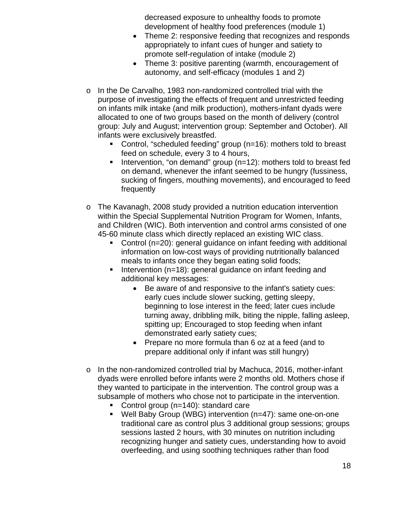decreased exposure to unhealthy foods to promote development of healthy food preferences (module 1)

- Theme 2: responsive feeding that recognizes and responds appropriately to infant cues of hunger and satiety to promote self-regulation of intake (module 2)
- Theme 3: positive parenting (warmth, encouragement of autonomy, and self-efficacy (modules 1 and 2)
- o In the De Carvalho, 1983 non-randomized controlled trial with the purpose of investigating the effects of frequent and unrestricted feeding on infants milk intake (and milk production), mothers-infant dyads were allocated to one of two groups based on the month of delivery (control group: July and August; intervention group: September and October). All infants were exclusively breastfed.
	- Control, "scheduled feeding" group (n=16): mothers told to breast feed on schedule, every 3 to 4 hours,
	- Intervention, "on demand" group  $(n=12)$ : mothers told to breast fed on demand, whenever the infant seemed to be hungry (fussiness, sucking of fingers, mouthing movements), and encouraged to feed frequently
- o The Kavanagh, 2008 study provided a nutrition education intervention within the Special Supplemental Nutrition Program for Women, Infants, and Children (WIC). Both intervention and control arms consisted of one 45-60 minute class which directly replaced an existing WIC class.
	- Control (n=20): general guidance on infant feeding with additional information on low-cost ways of providing nutritionally balanced meals to infants once they began eating solid foods;
	- Intervention (n=18): general guidance on infant feeding and additional key messages:
		- Be aware of and responsive to the infant's satiety cues: early cues include slower sucking, getting sleepy, beginning to lose interest in the feed; later cues include turning away, dribbling milk, biting the nipple, falling asleep, spitting up; Encouraged to stop feeding when infant demonstrated early satiety cues;
		- Prepare no more formula than 6 oz at a feed (and to prepare additional only if infant was still hungry)
- $\circ$  In the non-randomized controlled trial by Machuca, 2016, mother-infant dyads were enrolled before infants were 2 months old. Mothers chose if they wanted to participate in the intervention. The control group was a subsample of mothers who chose not to participate in the intervention.
	- Control group (n=140): standard care
	- Well Baby Group (WBG) intervention (n=47): same one-on-one traditional care as control plus 3 additional group sessions; groups sessions lasted 2 hours, with 30 minutes on nutrition including recognizing hunger and satiety cues, understanding how to avoid overfeeding, and using soothing techniques rather than food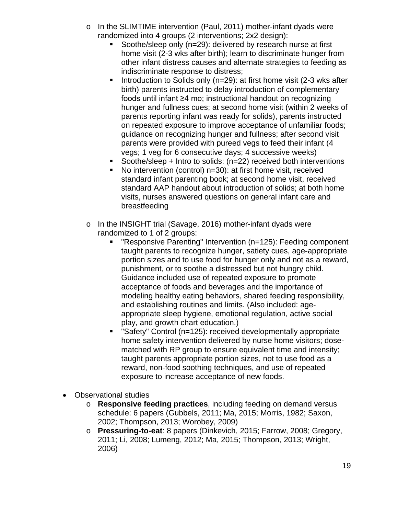- o In the SLIMTIME intervention (Paul, 2011) mother-infant dyads were randomized into 4 groups (2 interventions; 2x2 design):
	- Soothe/sleep only (n=29): delivered by research nurse at first home visit (2-3 wks after birth); learn to discriminate hunger from other infant distress causes and alternate strategies to feeding as indiscriminate response to distress;
	- Introduction to Solids only ( $n=29$ ): at first home visit (2-3 wks after birth) parents instructed to delay introduction of complementary foods until infant ≥4 mo; instructional handout on recognizing hunger and fullness cues; at second home visit (within 2 weeks of parents reporting infant was ready for solids), parents instructed on repeated exposure to improve acceptance of unfamiliar foods; guidance on recognizing hunger and fullness; after second visit parents were provided with pureed vegs to feed their infant (4 vegs; 1 veg for 6 consecutive days; 4 successive weeks)
	- Soothe/sleep + Intro to solids: (n=22) received both interventions
	- No intervention (control) n=30): at first home visit, received standard infant parenting book; at second home visit, received standard AAP handout about introduction of solids; at both home visits, nurses answered questions on general infant care and breastfeeding
- o In the INSIGHT trial (Savage, 2016) mother-infant dyads were randomized to 1 of 2 groups:
	- "Responsive Parenting" Intervention (n=125): Feeding component taught parents to recognize hunger, satiety cues, age-appropriate portion sizes and to use food for hunger only and not as a reward, punishment, or to soothe a distressed but not hungry child. Guidance included use of repeated exposure to promote acceptance of foods and beverages and the importance of modeling healthy eating behaviors, shared feeding responsibility, and establishing routines and limits. (Also included: ageappropriate sleep hygiene, emotional regulation, active social play, and growth chart education.)
	- "Safety" Control (n=125): received developmentally appropriate home safety intervention delivered by nurse home visitors; dosematched with RP group to ensure equivalent time and intensity; taught parents appropriate portion sizes, not to use food as a reward, non-food soothing techniques, and use of repeated exposure to increase acceptance of new foods.
- Observational studies
	- o **Responsive feeding practices**, including feeding on demand versus schedule: 6 papers (Gubbels, 2011; Ma, 2015; Morris, 1982; Saxon, 2002; Thompson, 2013; Worobey, 2009)
	- o **Pressuring-to-eat**: 8 papers (Dinkevich, 2015; Farrow, 2008; Gregory, 2011; Li, 2008; Lumeng, 2012; Ma, 2015; Thompson, 2013; Wright, 2006)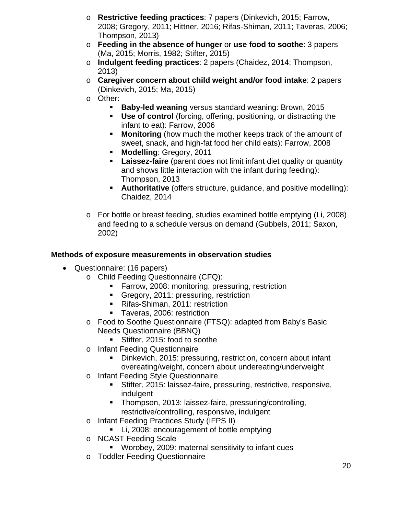- o **Restrictive feeding practices**: 7 papers (Dinkevich, 2015; Farrow, 2008; Gregory, 2011; Hittner, 2016; Rifas-Shiman, 2011; Taveras, 2006; Thompson, 2013)
- o **Feeding in the absence of hunger** or **use food to soothe**: 3 papers (Ma, 2015; Morris, 1982; Stifter, 2015)
- o **Indulgent feeding practices**: 2 papers (Chaidez, 2014; Thompson, 2013)
- o **Caregiver concern about child weight and/or food intake**: 2 papers (Dinkevich, 2015; Ma, 2015)
- o Other:
	- **Baby-led weaning** versus standard weaning: Brown, 2015
	- **Use of control** (forcing, offering, positioning, or distracting the infant to eat): Farrow, 2006
	- **Monitoring** (how much the mother keeps track of the amount of sweet, snack, and high-fat food her child eats): Farrow, 2008
	- **Modelling**: Gregory, 2011
	- **Laissez-faire** (parent does not limit infant diet quality or quantity and shows little interaction with the infant during feeding): Thompson, 2013
	- **Authoritative** (offers structure, guidance, and positive modelling): Chaidez, 2014
- o For bottle or breast feeding, studies examined bottle emptying (Li, 2008) and feeding to a schedule versus on demand (Gubbels, 2011; Saxon, 2002)

#### **Methods of exposure measurements in observation studies**

- Questionnaire: (16 papers)
	- o Child Feeding Questionnaire (CFQ):
		- **Farrow, 2008: monitoring, pressuring, restriction**
		- Gregory, 2011: pressuring, restriction
		- Rifas-Shiman, 2011: restriction
		- **Taveras, 2006: restriction**
	- o Food to Soothe Questionnaire (FTSQ): adapted from Baby's Basic Needs Questionnaire (BBNQ)
		- Stifter, 2015: food to soothe
	- o Infant Feeding Questionnaire
		- Dinkevich, 2015: pressuring, restriction, concern about infant overeating/weight, concern about undereating/underweight
	- o Infant Feeding Style Questionnaire
		- Stifter, 2015: laissez-faire, pressuring, restrictive, responsive, indulgent
		- Thompson, 2013: laissez-faire, pressuring/controlling, restrictive/controlling, responsive, indulgent
	- o Infant Feeding Practices Study (IFPS II)
		- **Li, 2008: encouragement of bottle emptying**
	- o NCAST Feeding Scale
		- Worobey, 2009: maternal sensitivity to infant cues
	- o Toddler Feeding Questionnaire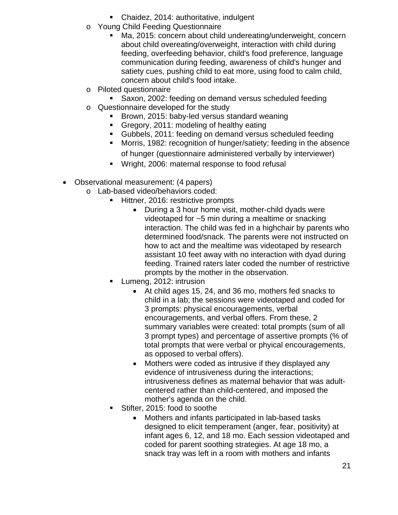- Chaidez, 2014: authoritative, indulgent
- o Young Child Feeding Questionnaire
	- Ma, 2015: concern about child undereating/underweight, concern about child overeating/overweight, interaction with child during feeding, overfeeding behavior, child's food preference, language communication during feeding, awareness of child's hunger and satiety cues, pushing child to eat more, using food to calm child, concern about child's food intake.
- o Piloted questionnaire
	- Saxon, 2002: feeding on demand versus scheduled feeding
- o Questionnaire developed for the study
	- **Brown, 2015: baby-led versus standard weaning**
	- Gregory, 2011: modeling of healthy eating
	- Gubbels, 2011: feeding on demand versus scheduled feeding
	- **Morris, 1982: recognition of hunger/satiety; feeding in the absence** of hunger (questionnaire administered verbally by interviewer)
	- **Wright, 2006: maternal response to food refusal**
- Observational measurement: (4 papers)
	- o Lab-based video/behaviors coded:
		- Hittner, 2016: restrictive prompts
			- During a 3 hour home visit, mother-child dyads were videotaped for ~5 min during a mealtime or snacking interaction. The child was fed in a highchair by parents who determined food/snack. The parents were not instructed on how to act and the mealtime was videotaped by research assistant 10 feet away with no interaction with dyad during feeding. Trained raters later coded the number of restrictive prompts by the mother in the observation.
			- Lumeng, 2012: intrusion
				- At child ages 15, 24, and 36 mo, mothers fed snacks to child in a lab; the sessions were videotaped and coded for 3 prompts: physical encouragements, verbal encouragements, and verbal offers. From these, 2 summary variables were created: total prompts (sum of all 3 prompt types) and percentage of assertive prompts (% of total prompts that were verbal or phyical encouragements, as opposed to verbal offers).
				- Mothers were coded as intrusive if they displayed any evidence of intrusiveness during the interactions; intrusiveness defines as maternal behavior that was adultcentered rather than child-centered, and imposed the mother's agenda on the child.
			- Stifter, 2015: food to soothe
				- Mothers and infants participated in lab-based tasks designed to elicit temperament (anger, fear, positivity) at infant ages 6, 12, and 18 mo. Each session videotaped and coded for parent soothing strategies. At age 18 mo, a snack tray was left in a room with mothers and infants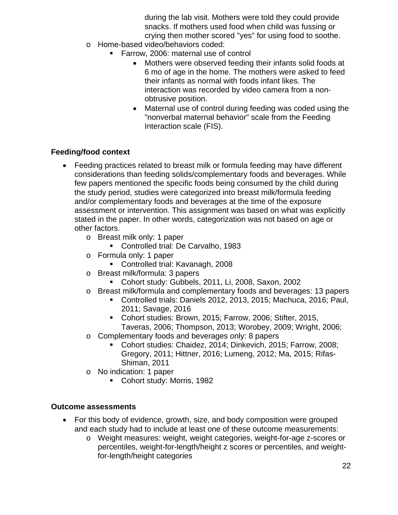during the lab visit. Mothers were told they could provide snacks. If mothers used food when child was fussing or crying then mother scored "yes" for using food to soothe.

- o Home-based video/behaviors coded:
	- Farrow, 2006: maternal use of control
		- Mothers were observed feeding their infants solid foods at 6 mo of age in the home. The mothers were asked to feed their infants as normal with foods infant likes. The interaction was recorded by video camera from a nonobtrusive position.
		- Maternal use of control during feeding was coded using the "nonverbal maternal behavior" scale from the Feeding Interaction scale (FIS).

#### **Feeding/food context**

- Feeding practices related to breast milk or formula feeding may have different considerations than feeding solids/complementary foods and beverages. While few papers mentioned the specific foods being consumed by the child during the study period, studies were categorized into breast milk/formula feeding and/or complementary foods and beverages at the time of the exposure assessment or intervention. This assignment was based on what was explicitly stated in the paper. In other words, categorization was not based on age or other factors.
	- o Breast milk only: 1 paper
		- **Controlled trial: De Carvalho, 1983**
	- o Formula only: 1 paper
		- Controlled trial: Kavanagh, 2008
	- o Breast milk/formula: 3 papers
		- Cohort study: Gubbels, 2011, Li, 2008, Saxon, 2002
	- o Breast milk/formula and complementary foods and beverages: 13 papers
		- Controlled trials: Daniels 2012, 2013, 2015; Machuca, 2016; Paul, 2011; Savage, 2016
		- Cohort studies: Brown, 2015; Farrow, 2006; Stifter, 2015, Taveras, 2006; Thompson, 2013; Worobey, 2009; Wright, 2006;
	- o Complementary foods and beverages only: 8 papers
		- Cohort studies: Chaidez, 2014; Dinkevich, 2015; Farrow, 2008; Gregory, 2011; Hittner, 2016; Lumeng, 2012; Ma, 2015; Rifas-Shiman, 2011
	- o No indication: 1 paper
		- Cohort study: Morris, 1982

#### **Outcome assessments**

- For this body of evidence, growth, size, and body composition were grouped and each study had to include at least one of these outcome measurements:
	- o Weight measures: weight, weight categories, weight-for-age z-scores or percentiles, weight-for-length/height z scores or percentiles, and weightfor-length/height categories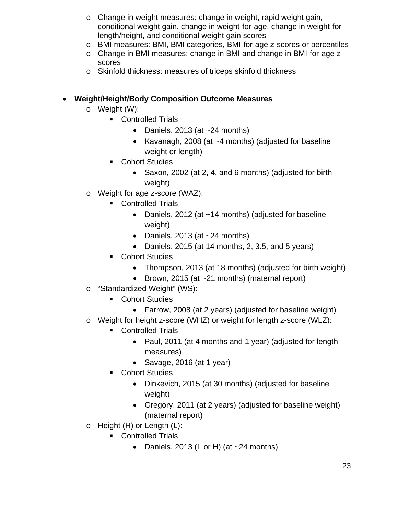- o Change in weight measures: change in weight, rapid weight gain, conditional weight gain, change in weight-for-age, change in weight-forlength/height, and conditional weight gain scores
- o BMI measures: BMI, BMI categories, BMI-for-age z-scores or percentiles
- o Change in BMI measures: change in BMI and change in BMI-for-age zscores
- o Skinfold thickness: measures of triceps skinfold thickness

#### • **Weight/Height/Body Composition Outcome Measures**

- o Weight (W):
	- Controlled Trials
		- Daniels, 2013 (at  $\sim$  24 months)
		- Kavanagh, 2008 (at ~4 months) (adjusted for baseline weight or length)
	- **Cohort Studies** 
		- Saxon, 2002 (at 2, 4, and 6 months) (adjusted for birth weight)
- o Weight for age z-score (WAZ):
	- **Controlled Trials** 
		- Daniels, 2012 (at ~14 months) (adjusted for baseline weight)
		- Daniels, 2013 (at ~24 months)
		- Daniels, 2015 (at 14 months, 2, 3.5, and 5 years)
	- Cohort Studies
		- Thompson, 2013 (at 18 months) (adjusted for birth weight)
		- Brown, 2015 (at ~21 months) (maternal report)
- o "Standardized Weight" (WS):
	- **Cohort Studies** 
		- Farrow, 2008 (at 2 years) (adjusted for baseline weight)
- o Weight for height z-score (WHZ) or weight for length z-score (WLZ):
	- **Controlled Trials** 
		- Paul, 2011 (at 4 months and 1 year) (adjusted for length measures)
		- Savage, 2016 (at 1 year)
	- **Cohort Studies** 
		- Dinkevich, 2015 (at 30 months) (adjusted for baseline weight)
		- Gregory, 2011 (at 2 years) (adjusted for baseline weight) (maternal report)
- o Height (H) or Length (L):
	- Controlled Trials
		- Daniels, 2013 (L or H) (at  $\sim$  24 months)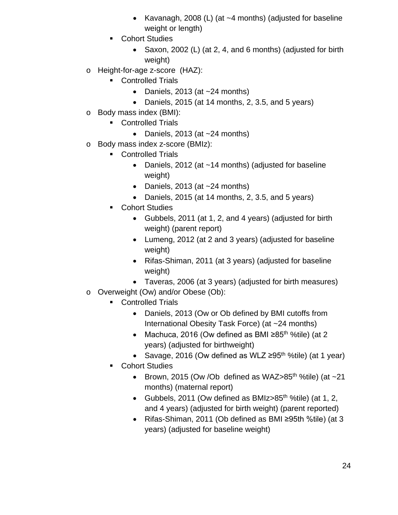- Kavanagh, 2008 (L) (at ~4 months) (adjusted for baseline weight or length)
- **Cohort Studies** 
	- Saxon, 2002 (L) (at 2, 4, and 6 months) (adjusted for birth weight)
- o Height-for-age z-score (HAZ):
	- **Controlled Trials** 
		- Daniels, 2013 (at  $\sim$  24 months)
		- Daniels, 2015 (at 14 months, 2, 3.5, and 5 years)
- o Body mass index (BMI):
	- **Controlled Trials** 
		- Daniels, 2013 (at  $\sim$  24 months)
- o Body mass index z-score (BMIz):
	- Controlled Trials
		- Daniels, 2012 (at ~14 months) (adjusted for baseline weight)
		- Daniels, 2013 (at  $\sim$  24 months)
		- Daniels, 2015 (at 14 months, 2, 3.5, and 5 years)
	- Cohort Studies
		- Gubbels, 2011 (at 1, 2, and 4 years) (adjusted for birth weight) (parent report)
		- Lumeng, 2012 (at 2 and 3 years) (adjusted for baseline weight)
		- Rifas-Shiman, 2011 (at 3 years) (adjusted for baseline weight)
		- Taveras, 2006 (at 3 years) (adjusted for birth measures)
- o Overweight (Ow) and/or Obese (Ob):
	- Controlled Trials
		- Daniels, 2013 (Ow or Ob defined by BMI cutoffs from International Obesity Task Force) (at ~24 months)
		- Machuca, 2016 (Ow defined as BMI  $\geq 85$ <sup>th o</sup>%tile) (at 2 years) (adjusted for birthweight)
		- Savage, 2016 (Ow defined as WLZ  $\geq 95$ <sup>th</sup> %tile) (at 1 year)
	- Cohort Studies
		- Brown, 2015 (Ow /Ob defined as WAZ $>85$ <sup>th %tile)</sup> (at  $\sim$ 21 months) (maternal report)
		- Gubbels, 2011 (Ow defined as BMIz $>85$ <sup>th</sup> %tile) (at 1, 2, and 4 years) (adjusted for birth weight) (parent reported)
		- Rifas-Shiman, 2011 (Ob defined as BMI ≥95th %tile) (at 3 years) (adjusted for baseline weight)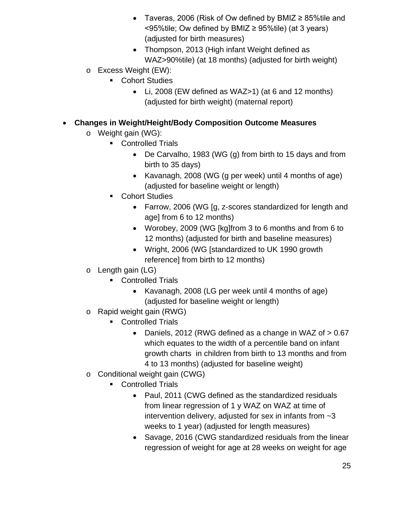- Taveras, 2006 (Risk of Ow defined by BMIZ ≥ 85%tile and  $\leq$ 95%tile; Ow defined by BMIZ  $\geq$  95%tile) (at 3 years) (adjusted for birth measures)
- Thompson, 2013 (High infant Weight defined as WAZ>90%tile) (at 18 months) (adjusted for birth weight)
- o Excess Weight (EW):
	- Cohort Studies
		- Li, 2008 (EW defined as WAZ>1) (at 6 and 12 months) (adjusted for birth weight) (maternal report)

#### • **Changes in Weight/Height/Body Composition Outcome Measures**

- o Weight gain (WG):
	- **Controlled Trials** 
		- De Carvalho, 1983 (WG (g) from birth to 15 days and from birth to 35 days)
		- Kavanagh, 2008 (WG (g per week) until 4 months of age) (adjusted for baseline weight or length)
	- Cohort Studies
		- Farrow, 2006 (WG [g, z-scores standardized for length and age] from 6 to 12 months)
		- Worobey, 2009 (WG [kg]from 3 to 6 months and from 6 to 12 months) (adjusted for birth and baseline measures)
		- Wright, 2006 (WG [standardized to UK 1990 growth reference] from birth to 12 months)
- o Length gain (LG)
	- Controlled Trials
		- Kavanagh, 2008 (LG per week until 4 months of age) (adjusted for baseline weight or length)
- o Rapid weight gain (RWG)
	- **Controlled Trials** 
		- Daniels, 2012 (RWG defined as a change in WAZ of > 0.67 which equates to the width of a percentile band on infant growth charts in children from birth to 13 months and from 4 to 13 months) (adjusted for baseline weight)
- o Conditional weight gain (CWG)
	- Controlled Trials
		- Paul, 2011 (CWG defined as the standardized residuals from linear regression of 1 y WAZ on WAZ at time of intervention delivery, adjusted for sex in infants from  $\sim$ 3 weeks to 1 year) (adjusted for length measures)
		- Savage, 2016 (CWG standardized residuals from the linear regression of weight for age at 28 weeks on weight for age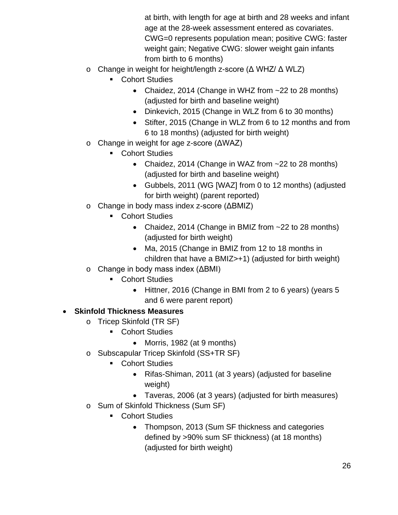at birth, with length for age at birth and 28 weeks and infant age at the 28-week assessment entered as covariates. CWG=0 represents population mean; positive CWG: faster weight gain; Negative CWG: slower weight gain infants from birth to 6 months)

- o Change in weight for height/length z-score (Δ WHZ/ Δ WLZ)
	- **Cohort Studies** 
		- Chaidez, 2014 (Change in WHZ from ~22 to 28 months) (adjusted for birth and baseline weight)
		- Dinkevich, 2015 (Change in WLZ from 6 to 30 months)
		- Stifter, 2015 (Change in WLZ from 6 to 12 months and from 6 to 18 months) (adjusted for birth weight)
- o Change in weight for age z-score (ΔWAZ)
	- Cohort Studies
		- Chaidez, 2014 (Change in WAZ from ~22 to 28 months) (adjusted for birth and baseline weight)
		- Gubbels, 2011 (WG [WAZ] from 0 to 12 months) (adjusted for birth weight) (parent reported)
- o Change in body mass index z-score (ΔBMIZ)
	- **Cohort Studies** 
		- Chaidez, 2014 (Change in BMIZ from ~22 to 28 months) (adjusted for birth weight)
		- Ma, 2015 (Change in BMIZ from 12 to 18 months in children that have a BMIZ>+1) (adjusted for birth weight)
- o Change in body mass index (ΔBMI)
	- **Cohort Studies** 
		- Hittner, 2016 (Change in BMI from 2 to 6 years) (years 5 and 6 were parent report)

## • **Skinfold Thickness Measures**

- o Tricep Skinfold (TR SF)
	- Cohort Studies
		- Morris, 1982 (at 9 months)
- o Subscapular Tricep Skinfold (SS+TR SF)
	- Cohort Studies
		- Rifas-Shiman, 2011 (at 3 years) (adjusted for baseline weight)
		- Taveras, 2006 (at 3 years) (adjusted for birth measures)
- o Sum of Skinfold Thickness (Sum SF)
	- **Cohort Studies** 
		- Thompson, 2013 (Sum SF thickness and categories defined by >90% sum SF thickness) (at 18 months) (adjusted for birth weight)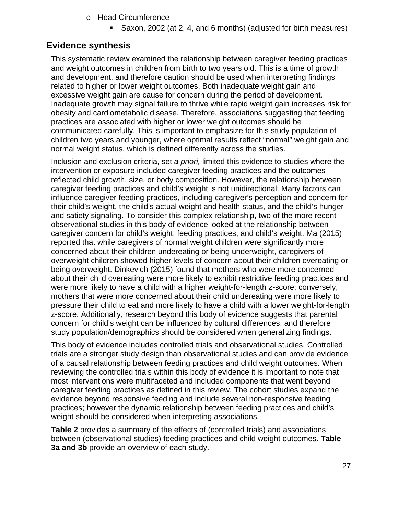- o Head Circumference
	- Saxon, 2002 (at 2, 4, and 6 months) (adjusted for birth measures)

### <span id="page-26-0"></span>**Evidence synthesis**

This systematic review examined the relationship between caregiver feeding practices and weight outcomes in children from birth to two years old. This is a time of growth and development, and therefore caution should be used when interpreting findings related to higher or lower weight outcomes. Both inadequate weight gain and excessive weight gain are cause for concern during the period of development. Inadequate growth may signal failure to thrive while rapid weight gain increases risk for obesity and cardiometabolic disease. Therefore, associations suggesting that feeding practices are associated with higher or lower weight outcomes should be communicated carefully. This is important to emphasize for this study population of children two years and younger, where optimal results reflect "normal" weight gain and normal weight status, which is defined differently across the studies.

Inclusion and exclusion criteria, set *a priori,* limited this evidence to studies where the intervention or exposure included caregiver feeding practices and the outcomes reflected child growth, size, or body composition. However, the relationship between caregiver feeding practices and child's weight is not unidirectional. Many factors can influence caregiver feeding practices, including caregiver's perception and concern for their child's weight, the child's actual weight and health status, and the child's hunger and satiety signaling. To consider this complex relationship, two of the more recent observational studies in this body of evidence looked at the relationship between caregiver concern for child's weight, feeding practices, and child's weight. Ma (2015) reported that while caregivers of normal weight children were significantly more concerned about their children undereating or being underweight, caregivers of overweight children showed higher levels of concern about their children overeating or being overweight. Dinkevich (2015) found that mothers who were more concerned about their child overeating were more likely to exhibit restrictive feeding practices and were more likely to have a child with a higher weight-for-length z-score; conversely, mothers that were more concerned about their child undereating were more likely to pressure their child to eat and more likely to have a child with a lower weight-for-length z-score. Additionally, research beyond this body of evidence suggests that parental concern for child's weight can be influenced by cultural differences, and therefore study population/demographics should be considered when generalizing findings.

This body of evidence includes controlled trials and observational studies. Controlled trials are a stronger study design than observational studies and can provide evidence of a causal relationship between feeding practices and child weight outcomes. When reviewing the controlled trials within this body of evidence it is important to note that most interventions were multifaceted and included components that went beyond caregiver feeding practices as defined in this review. The cohort studies expand the evidence beyond responsive feeding and include several non-responsive feeding practices; however the dynamic relationship between feeding practices and child's weight should be considered when interpreting associations.

**Table 2** provides a summary of the effects of (controlled trials) and associations between (observational studies) feeding practices and child weight outcomes. **Table 3a and 3b** provide an overview of each study.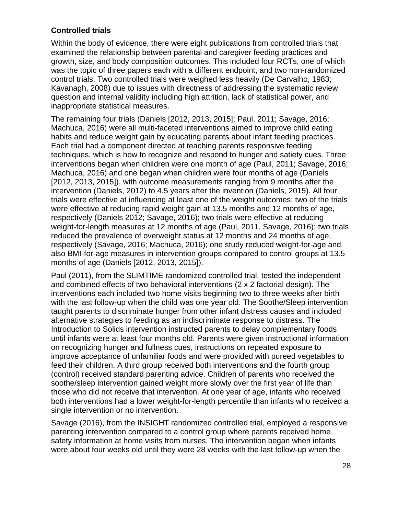#### **Controlled trials**

Within the body of evidence, there were eight publications from controlled trials that examined the relationship between parental and caregiver feeding practices and growth, size, and body composition outcomes. This included four RCTs, one of which was the topic of three papers each with a different endpoint, and two non-randomized control trials. Two controlled trials were weighed less heavily (De Carvalho, 1983; Kavanagh, 2008) due to issues with directness of addressing the systematic review question and internal validity including high attrition, lack of statistical power, and inappropriate statistical measures.

The remaining four trials (Daniels [2012, 2013, 2015]; Paul, 2011; Savage, 2016; Machuca, 2016) were all multi-faceted interventions aimed to improve child eating habits and reduce weight gain by educating parents about infant feeding practices. Each trial had a component directed at teaching parents responsive feeding techniques, which is how to recognize and respond to hunger and satiety cues. Three interventions began when children were one month of age (Paul, 2011; Savage, 2016; Machuca, 2016) and one began when children were four months of age (Daniels [2012, 2013, 2015]), with outcome measurements ranging from 9 months after the intervention (Daniels, 2012) to 4.5 years after the invention (Daniels, 2015). All four trials were effective at influencing at least one of the weight outcomes; two of the trials were effective at reducing rapid weight gain at 13.5 months and 12 months of age, respectively (Daniels 2012; Savage, 2016); two trials were effective at reducing weight-for-length measures at 12 months of age (Paul, 2011, Savage, 2016); two trials reduced the prevalence of overweight status at 12 months and 24 months of age, respectively (Savage, 2016; Machuca, 2016); one study reduced weight-for-age and also BMI-for-age measures in intervention groups compared to control groups at 13.5 months of age (Daniels [2012, 2013, 2015]).

Paul (2011), from the SLIMTIME randomized controlled trial, tested the independent and combined effects of two behavioral interventions (2 x 2 factorial design). The interventions each included two home visits beginning two to three weeks after birth with the last follow-up when the child was one year old. The Soothe/Sleep intervention taught parents to discriminate hunger from other infant distress causes and included alternative strategies to feeding as an indiscriminate response to distress. The Introduction to Solids intervention instructed parents to delay complementary foods until infants were at least four months old. Parents were given instructional information on recognizing hunger and fullness cues, instructions on repeated exposure to improve acceptance of unfamiliar foods and were provided with pureed vegetables to feed their children. A third group received both interventions and the fourth group (control) received standard parenting advice. Children of parents who received the soothe/sleep intervention gained weight more slowly over the first year of life than those who did not receive that intervention. At one year of age, infants who received both interventions had a lower weight-for-length percentile than infants who received a single intervention or no intervention.

Savage (2016), from the INSIGHT randomized controlled trial, employed a responsive parenting intervention compared to a control group where parents received home safety information at home visits from nurses. The intervention began when infants were about four weeks old until they were 28 weeks with the last follow-up when the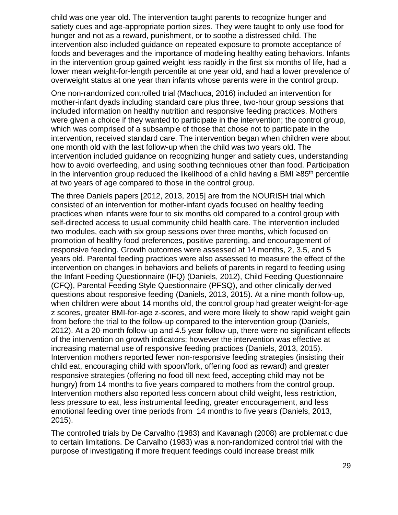child was one year old. The intervention taught parents to recognize hunger and satiety cues and age-appropriate portion sizes. They were taught to only use food for hunger and not as a reward, punishment, or to soothe a distressed child. The intervention also included guidance on repeated exposure to promote acceptance of foods and beverages and the importance of modeling healthy eating behaviors. Infants in the intervention group gained weight less rapidly in the first six months of life, had a lower mean weight-for-length percentile at one year old, and had a lower prevalence of overweight status at one year than infants whose parents were in the control group.

One non-randomized controlled trial (Machuca, 2016) included an intervention for mother-infant dyads including standard care plus three, two-hour group sessions that included information on healthy nutrition and responsive feeding practices. Mothers were given a choice if they wanted to participate in the intervention; the control group, which was comprised of a subsample of those that chose not to participate in the intervention, received standard care. The intervention began when children were about one month old with the last follow-up when the child was two years old. The intervention included guidance on recognizing hunger and satiety cues, understanding how to avoid overfeeding, and using soothing techniques other than food. Participation in the intervention group reduced the likelihood of a child having a BMI ≥85<sup>th</sup> percentile at two years of age compared to those in the control group.

The three Daniels papers [2012, 2013, 2015] are from the NOURISH trial which consisted of an intervention for mother-infant dyads focused on healthy feeding practices when infants were four to six months old compared to a control group with self-directed access to usual community child health care. The intervention included two modules, each with six group sessions over three months, which focused on promotion of healthy food preferences, positive parenting, and encouragement of responsive feeding. Growth outcomes were assessed at 14 months, 2, 3.5, and 5 years old. Parental feeding practices were also assessed to measure the effect of the intervention on changes in behaviors and beliefs of parents in regard to feeding using the Infant Feeding Questionnaire (IFQ) (Daniels, 2012), Child Feeding Questionnaire (CFQ), Parental Feeding Style Questionnaire (PFSQ), and other clinically derived questions about responsive feeding (Daniels, 2013, 2015). At a nine month follow-up, when children were about 14 months old, the control group had greater weight-for-age z scores, greater BMI-for-age z-scores, and were more likely to show rapid weight gain from before the trial to the follow-up compared to the intervention group (Daniels, 2012). At a 20-month follow-up and 4.5 year follow-up, there were no significant effects of the intervention on growth indicators; however the intervention was effective at increasing maternal use of responsive feeding practices (Daniels, 2013, 2015). Intervention mothers reported fewer non-responsive feeding strategies (insisting their child eat, encouraging child with spoon/fork, offering food as reward) and greater responsive strategies (offering no food till next feed, accepting child may not be hungry) from 14 months to five years compared to mothers from the control group. Intervention mothers also reported less concern about child weight, less restriction, less pressure to eat, less instrumental feeding, greater encouragement, and less emotional feeding over time periods from 14 months to five years (Daniels, 2013, 2015).

The controlled trials by De Carvalho (1983) and Kavanagh (2008) are problematic due to certain limitations. De Carvalho (1983) was a non-randomized control trial with the purpose of investigating if more frequent feedings could increase breast milk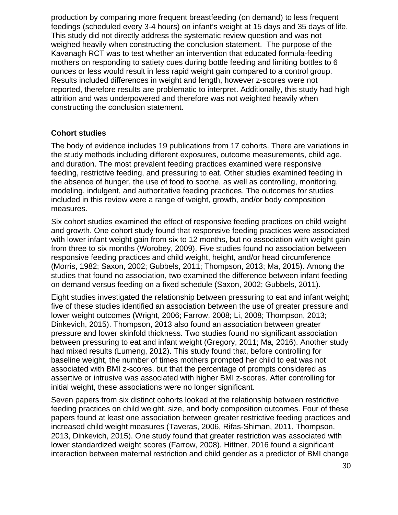production by comparing more frequent breastfeeding (on demand) to less frequent feedings (scheduled every 3-4 hours) on infant's weight at 15 days and 35 days of life. This study did not directly address the systematic review question and was not weighed heavily when constructing the conclusion statement. The purpose of the Kavanagh RCT was to test whether an intervention that educated formula-feeding mothers on responding to satiety cues during bottle feeding and limiting bottles to 6 ounces or less would result in less rapid weight gain compared to a control group. Results included differences in weight and length, however z-scores were not reported, therefore results are problematic to interpret. Additionally, this study had high attrition and was underpowered and therefore was not weighted heavily when constructing the conclusion statement.

#### **Cohort studies**

The body of evidence includes 19 publications from 17 cohorts. There are variations in the study methods including different exposures, outcome measurements, child age, and duration. The most prevalent feeding practices examined were responsive feeding, restrictive feeding, and pressuring to eat. Other studies examined feeding in the absence of hunger, the use of food to soothe, as well as controlling, monitoring, modeling, indulgent, and authoritative feeding practices. The outcomes for studies included in this review were a range of weight, growth, and/or body composition measures.

Six cohort studies examined the effect of responsive feeding practices on child weight and growth. One cohort study found that responsive feeding practices were associated with lower infant weight gain from six to 12 months, but no association with weight gain from three to six months (Worobey, 2009). Five studies found no association between responsive feeding practices and child weight, height, and/or head circumference (Morris, 1982; Saxon, 2002; Gubbels, 2011; Thompson, 2013; Ma, 2015). Among the studies that found no association, two examined the difference between infant feeding on demand versus feeding on a fixed schedule (Saxon, 2002; Gubbels, 2011).

Eight studies investigated the relationship between pressuring to eat and infant weight; five of these studies identified an association between the use of greater pressure and lower weight outcomes (Wright, 2006; Farrow, 2008; Li, 2008; Thompson, 2013; Dinkevich, 2015). Thompson, 2013 also found an association between greater pressure and lower skinfold thickness. Two studies found no significant association between pressuring to eat and infant weight (Gregory, 2011; Ma, 2016). Another study had mixed results (Lumeng, 2012). This study found that, before controlling for baseline weight, the number of times mothers prompted her child to eat was not associated with BMI z-scores, but that the percentage of prompts considered as assertive or intrusive was associated with higher BMI z-scores. After controlling for initial weight, these associations were no longer significant.

Seven papers from six distinct cohorts looked at the relationship between restrictive feeding practices on child weight, size, and body composition outcomes. Four of these papers found at least one association between greater restrictive feeding practices and increased child weight measures (Taveras, 2006, Rifas-Shiman, 2011, Thompson, 2013, Dinkevich, 2015). One study found that greater restriction was associated with lower standardized weight scores (Farrow, 2008). Hittner, 2016 found a significant interaction between maternal restriction and child gender as a predictor of BMI change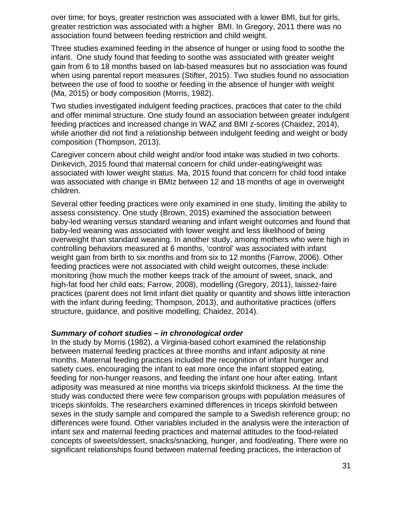over time; for boys, greater restriction was associated with a lower BMI, but for girls, greater restriction was associated with a higher BMI. In Gregory, 2011 there was no association found between feeding restriction and child weight.

Three studies examined feeding in the absence of hunger or using food to soothe the infant. One study found that feeding to soothe was associated with greater weight gain from 6 to 18 months based on lab-based measures but no association was found when using parental report measures (Stifter, 2015). Two studies found no association between the use of food to soothe or feeding in the absence of hunger with weight (Ma, 2015) or body composition (Morris, 1982).

Two studies investigated indulgent feeding practices, practices that cater to the child and offer minimal structure. One study found an association between greater indulgent feeding practices and increased change in WAZ and BMI z-scores (Chaidez, 2014), while another did not find a relationship between indulgent feeding and weight or body composition (Thompson, 2013).

Caregiver concern about child weight and/or food intake was studied in two cohorts. Dinkevich, 2015 found that maternal concern for child under-eating/weight was associated with lower weight status. Ma, 2015 found that concern for child food intake was associated with change in BMIz between 12 and 18 months of age in overweight children.

Several other feeding practices were only examined in one study, limiting the ability to assess consistency. One study (Brown, 2015) examined the association between baby-led weaning versus standard weaning and infant weight outcomes and found that baby-led weaning was associated with lower weight and less likelihood of being overweight than standard weaning. In another study, among mothers who were high in controlling behaviors measured at 6 months, 'control' was associated with infant weight gain from birth to six months and from six to 12 months (Farrow, 2006). Other feeding practices were not associated with child weight outcomes, these include: monitoring (how much the mother keeps track of the amount of sweet, snack, and high-fat food her child eats; Farrow, 2008), modelling (Gregory, 2011), laissez-faire practices (parent does not limit infant diet quality or quantity and shows little interaction with the infant during feeding; Thompson, 2013), and authoritative practices (offers structure, guidance, and positive modelling; Chaidez, 2014).

#### *Summary of cohort studies – in chronological order*

In the study by Morris (1982), a Virginia-based cohort examined the relationship between maternal feeding practices at three months and infant adiposity at nine months. Maternal feeding practices included the recognition of infant hunger and satiety cues, encouraging the infant to eat more once the infant stopped eating, feeding for non-hunger reasons, and feeding the infant one hour after eating. Infant adiposity was measured at nine months via triceps skinfold thickness. At the time the study was conducted there were few comparison groups with population measures of triceps skinfolds. The researchers examined differences in triceps skinfold between sexes in the study sample and compared the sample to a Swedish reference group; no differences were found. Other variables included in the analysis were the interaction of infant sex and maternal feeding practices and maternal attitudes to the food-related concepts of sweets/dessert, snacks/snacking, hunger, and food/eating. There were no significant relationships found between maternal feeding practices, the interaction of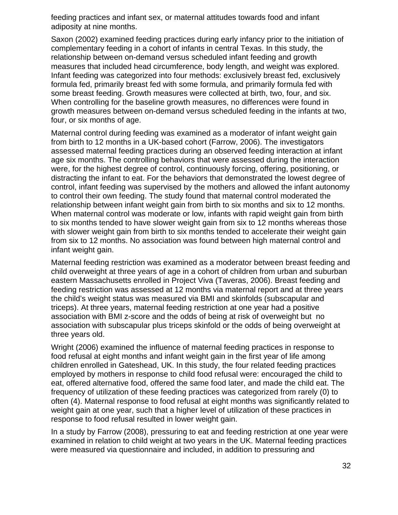feeding practices and infant sex, or maternal attitudes towards food and infant adiposity at nine months.

Saxon (2002) examined feeding practices during early infancy prior to the initiation of complementary feeding in a cohort of infants in central Texas. In this study, the relationship between on-demand versus scheduled infant feeding and growth measures that included head circumference, body length, and weight was explored. Infant feeding was categorized into four methods: exclusively breast fed, exclusively formula fed, primarily breast fed with some formula, and primarily formula fed with some breast feeding. Growth measures were collected at birth, two, four, and six. When controlling for the baseline growth measures, no differences were found in growth measures between on-demand versus scheduled feeding in the infants at two, four, or six months of age.

Maternal control during feeding was examined as a moderator of infant weight gain from birth to 12 months in a UK-based cohort (Farrow, 2006). The investigators assessed maternal feeding practices during an observed feeding interaction at infant age six months. The controlling behaviors that were assessed during the interaction were, for the highest degree of control, continuously forcing, offering, positioning, or distracting the infant to eat. For the behaviors that demonstrated the lowest degree of control, infant feeding was supervised by the mothers and allowed the infant autonomy to control their own feeding. The study found that maternal control moderated the relationship between infant weight gain from birth to six months and six to 12 months. When maternal control was moderate or low, infants with rapid weight gain from birth to six months tended to have slower weight gain from six to 12 months whereas those with slower weight gain from birth to six months tended to accelerate their weight gain from six to 12 months. No association was found between high maternal control and infant weight gain.

Maternal feeding restriction was examined as a moderator between breast feeding and child overweight at three years of age in a cohort of children from urban and suburban eastern Massachusetts enrolled in Project Viva (Taveras, 2006). Breast feeding and feeding restriction was assessed at 12 months via maternal report and at three years the child's weight status was measured via BMI and skinfolds (subscapular and triceps). At three years, maternal feeding restriction at one year had a positive association with BMI z-score and the odds of being at risk of overweight but no association with subscapular plus triceps skinfold or the odds of being overweight at three years old.

Wright (2006) examined the influence of maternal feeding practices in response to food refusal at eight months and infant weight gain in the first year of life among children enrolled in Gateshead, UK. In this study, the four related feeding practices employed by mothers in response to child food refusal were: encouraged the child to eat, offered alternative food, offered the same food later, and made the child eat. The frequency of utilization of these feeding practices was categorized from rarely (0) to often (4). Maternal response to food refusal at eight months was significantly related to weight gain at one year, such that a higher level of utilization of these practices in response to food refusal resulted in lower weight gain.

In a study by Farrow (2008), pressuring to eat and feeding restriction at one year were examined in relation to child weight at two years in the UK. Maternal feeding practices were measured via questionnaire and included, in addition to pressuring and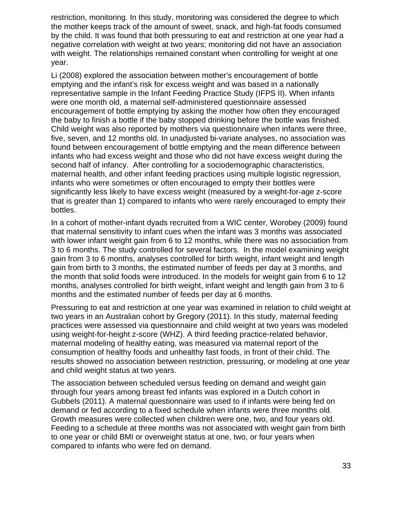restriction, monitoring. In this study, monitoring was considered the degree to which the mother keeps track of the amount of sweet, snack, and high-fat foods consumed by the child. It was found that both pressuring to eat and restriction at one year had a negative correlation with weight at two years; monitoring did not have an association with weight. The relationships remained constant when controlling for weight at one year.

Li (2008) explored the association between mother's encouragement of bottle emptying and the infant's risk for excess weight and was based in a nationally representative sample in the Infant Feeding Practice Study (IFPS II). When infants were one month old, a maternal self-administered questionnaire assessed encouragement of bottle emptying by asking the mother how often they encouraged the baby to finish a bottle if the baby stopped drinking before the bottle was finished. Child weight was also reported by mothers via questionnaire when infants were three, five, seven, and 12 months old. In unadjusted bi-variate analyses, no association was found between encouragement of bottle emptying and the mean difference between infants who had excess weight and those who did not have excess weight during the second half of infancy. After controlling for a sociodemographic characteristics, maternal health, and other infant feeding practices using multiple logistic regression, infants who were sometimes or often encouraged to empty their bottles were significantly less likely to have excess weight (measured by a weight-for-age z-score that is greater than 1) compared to infants who were rarely encouraged to empty their bottles.

In a cohort of mother-infant dyads recruited from a WIC center, Worobey (2009) found that maternal sensitivity to infant cues when the infant was 3 months was associated with lower infant weight gain from 6 to 12 months, while there was no association from 3 to 6 months. The study controlled for several factors. In the model examining weight gain from 3 to 6 months, analyses controlled for birth weight, infant weight and length gain from birth to 3 months, the estimated number of feeds per day at 3 months, and the month that solid foods were introduced. In the models for weight gain from 6 to 12 months, analyses controlled for birth weight, infant weight and length gain from 3 to 6 months and the estimated number of feeds per day at 6 months.

Pressuring to eat and restriction at one year was examined in relation to child weight at two years in an Australian cohort by Gregory (2011). In this study, maternal feeding practices were assessed via questionnaire and child weight at two years was modeled using weight-for-height z-score (WHZ). A third feeding practice-related behavior, maternal modeling of healthy eating, was measured via maternal report of the consumption of healthy foods and unhealthy fast foods, in front of their child. The results showed no association between restriction, pressuring, or modeling at one year and child weight status at two years.

The association between scheduled versus feeding on demand and weight gain through four years among breast fed infants was explored in a Dutch cohort in Gubbels (2011). A maternal questionnaire was used to if infants were being fed on demand or fed according to a fixed schedule when infants were three months old. Growth measures were collected when children were one, two, and four years old. Feeding to a schedule at three months was not associated with weight gain from birth to one year or child BMI or overweight status at one, two, or four years when compared to infants who were fed on demand.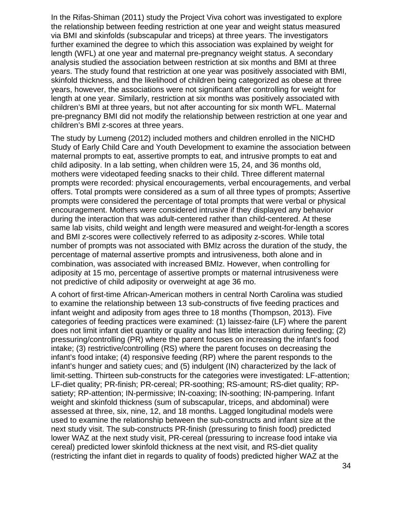In the Rifas-Shiman (2011) study the Project Viva cohort was investigated to explore the relationship between feeding restriction at one year and weight status measured via BMI and skinfolds (subscapular and triceps) at three years. The investigators further examined the degree to which this association was explained by weight for length (WFL) at one year and maternal pre-pregnancy weight status. A secondary analysis studied the association between restriction at six months and BMI at three years. The study found that restriction at one year was positively associated with BMI, skinfold thickness, and the likelihood of children being categorized as obese at three years, however, the associations were not significant after controlling for weight for length at one year. Similarly, restriction at six months was positively associated with children's BMI at three years, but not after accounting for six month WFL. Maternal pre-pregnancy BMI did not modify the relationship between restriction at one year and children's BMI z-scores at three years.

The study by Lumeng (2012) included mothers and children enrolled in the NICHD Study of Early Child Care and Youth Development to examine the association between maternal prompts to eat, assertive prompts to eat, and intrusive prompts to eat and child adiposity. In a lab setting, when children were 15, 24, and 36 months old, mothers were videotaped feeding snacks to their child. Three different maternal prompts were recorded: physical encouragements, verbal encouragements, and verbal offers. Total prompts were considered as a sum of all three types of prompts; Assertive prompts were considered the percentage of total prompts that were verbal or physical encouragement. Mothers were considered intrusive if they displayed any behavior during the interaction that was adult-centered rather than child-centered. At these same lab visits, child weight and length were measured and weight-for-length a scores and BMI z-scores were collectively referred to as adiposity z-scores. While total number of prompts was not associated with BMIz across the duration of the study, the percentage of maternal assertive prompts and intrusiveness, both alone and in combination, was associated with increased BMIz. However, when controlling for adiposity at 15 mo, percentage of assertive prompts or maternal intrusiveness were not predictive of child adiposity or overweight at age 36 mo.

A cohort of first-time African-American mothers in central North Carolina was studied to examine the relationship between 13 sub-constructs of five feeding practices and infant weight and adiposity from ages three to 18 months (Thompson, 2013). Five categories of feeding practices were examined: (1) laissez-faire (LF) where the parent does not limit infant diet quantity or quality and has little interaction during feeding; (2) pressuring/controlling (PR) where the parent focuses on increasing the infant's food intake; (3) restrictive/controlling (RS) where the parent focuses on decreasing the infant's food intake; (4) responsive feeding (RP) where the parent responds to the infant's hunger and satiety cues; and (5) indulgent (IN) characterized by the lack of limit-setting. Thirteen sub-constructs for the categories were investigated: LF-attention; LF-diet quality; PR-finish; PR-cereal; PR-soothing; RS-amount; RS-diet quality; RPsatiety; RP-attention; IN-permissive; IN-coaxing; IN-soothing; IN-pampering. Infant weight and skinfold thickness (sum of subscapular, triceps, and abdominal) were assessed at three, six, nine, 12, and 18 months. Lagged longitudinal models were used to examine the relationship between the sub-constructs and infant size at the next study visit. The sub-constructs PR-finish (pressuring to finish food) predicted lower WAZ at the next study visit, PR-cereal (pressuring to increase food intake via cereal) predicted lower skinfold thickness at the next visit, and RS-diet quality (restricting the infant diet in regards to quality of foods) predicted higher WAZ at the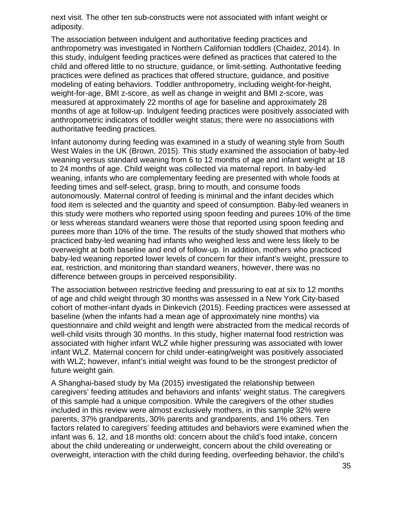next visit. The other ten sub-constructs were not associated with infant weight or adiposity.

The association between indulgent and authoritative feeding practices and anthropometry was investigated in Northern Californian toddlers (Chaidez, 2014). In this study, indulgent feeding practices were defined as practices that catered to the child and offered little to no structure, guidance, or limit-setting. Authoritative feeding practices were defined as practices that offered structure, guidance, and positive modeling of eating behaviors. Toddler anthropometry, including weight-for-height, weight-for-age, BMI z-score, as well as change in weight and BMI z-score, was measured at approximately 22 months of age for baseline and approximately 28 months of age at follow-up. Indulgent feeding practices were positively associated with anthropometric indicators of toddler weight status; there were no associations with authoritative feeding practices.

Infant autonomy during feeding was examined in a study of weaning style from South West Wales in the UK (Brown, 2015). This study examined the association of baby-led weaning versus standard weaning from 6 to 12 months of age and infant weight at 18 to 24 months of age. Child weight was collected via maternal report. In baby-led weaning, infants who are complementary feeding are presented with whole foods at feeding times and self-select, grasp, bring to mouth, and consume foods autonomously. Maternal control of feeding is minimal and the infant decides which food item is selected and the quantity and speed of consumption. Baby-led weaners in this study were mothers who reported using spoon feeding and purees 10% of the time or less whereas standard weaners were those that reported using spoon feeding and purees more than 10% of the time. The results of the study showed that mothers who practiced baby-led weaning had infants who weighed less and were less likely to be overweight at both baseline and end of follow-up. In addition, mothers who practiced baby-led weaning reported lower levels of concern for their infant's weight, pressure to eat, restriction, and monitoring than standard weaners, however, there was no difference between groups in perceived responsibility.

The association between restrictive feeding and pressuring to eat at six to 12 months of age and child weight through 30 months was assessed in a New York City-based cohort of mother-infant dyads in Dinkevich (2015). Feeding practices were assessed at baseline (when the infants had a mean age of approximately nine months) via questionnaire and child weight and length were abstracted from the medical records of well-child visits through 30 months. In this study, higher maternal food restriction was associated with higher infant WLZ while higher pressuring was associated with lower infant WLZ. Maternal concern for child under-eating/weight was positively associated with WLZ; however, infant's initial weight was found to be the strongest predictor of future weight gain.

A Shanghai-based study by Ma (2015) investigated the relationship between caregivers' feeding attitudes and behaviors and infants' weight status. The caregivers of this sample had a unique composition. While the caregivers of the other studies included in this review were almost exclusively mothers, in this sample 32% were parents, 37% grandparents, 30% parents and grandparents, and 1% others. Ten factors related to caregivers' feeding attitudes and behaviors were examined when the infant was 6, 12, and 18 months old: concern about the child's food intake, concern about the child undereating or underweight, concern about the child overeating or overweight, interaction with the child during feeding, overfeeding behavior, the child's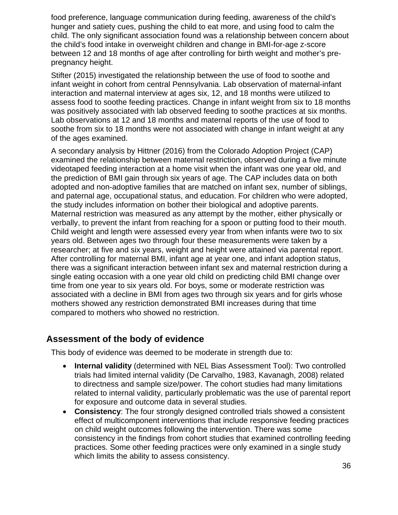food preference, language communication during feeding, awareness of the child's hunger and satiety cues, pushing the child to eat more, and using food to calm the child. The only significant association found was a relationship between concern about the child's food intake in overweight children and change in BMI-for-age z-score between 12 and 18 months of age after controlling for birth weight and mother's prepregnancy height.

Stifter (2015) investigated the relationship between the use of food to soothe and infant weight in cohort from central Pennsylvania. Lab observation of maternal-infant interaction and maternal interview at ages six, 12, and 18 months were utilized to assess food to soothe feeding practices. Change in infant weight from six to 18 months was positively associated with lab observed feeding to soothe practices at six months. Lab observations at 12 and 18 months and maternal reports of the use of food to soothe from six to 18 months were not associated with change in infant weight at any of the ages examined.

A secondary analysis by Hittner (2016) from the Colorado Adoption Project (CAP) examined the relationship between maternal restriction, observed during a five minute videotaped feeding interaction at a home visit when the infant was one year old, and the prediction of BMI gain through six years of age. The CAP includes data on both adopted and non-adoptive families that are matched on infant sex, number of siblings, and paternal age, occupational status, and education. For children who were adopted, the study includes information on bother their biological and adoptive parents. Maternal restriction was measured as any attempt by the mother, either physically or verbally, to prevent the infant from reaching for a spoon or putting food to their mouth. Child weight and length were assessed every year from when infants were two to six years old. Between ages two through four these measurements were taken by a researcher; at five and six years, weight and height were attained via parental report. After controlling for maternal BMI, infant age at year one, and infant adoption status, there was a significant interaction between infant sex and maternal restriction during a single eating occasion with a one year old child on predicting child BMI change over time from one year to six years old. For boys, some or moderate restriction was associated with a decline in BMI from ages two through six years and for girls whose mothers showed any restriction demonstrated BMI increases during that time compared to mothers who showed no restriction.

#### <span id="page-35-0"></span>**Assessment of the body of evidence**

This body of evidence was deemed to be moderate in strength due to:

- **Internal validity** (determined with NEL Bias Assessment Tool): Two controlled trials had limited internal validity (De Carvalho, 1983, Kavanagh, 2008) related to directness and sample size/power. The cohort studies had many limitations related to internal validity, particularly problematic was the use of parental report for exposure and outcome data in several studies.
- **Consistency:** The four strongly designed controlled trials showed a consistent effect of multicomponent interventions that include responsive feeding practices on child weight outcomes following the intervention. There was some consistency in the findings from cohort studies that examined controlling feeding practices. Some other feeding practices were only examined in a single study which limits the ability to assess consistency.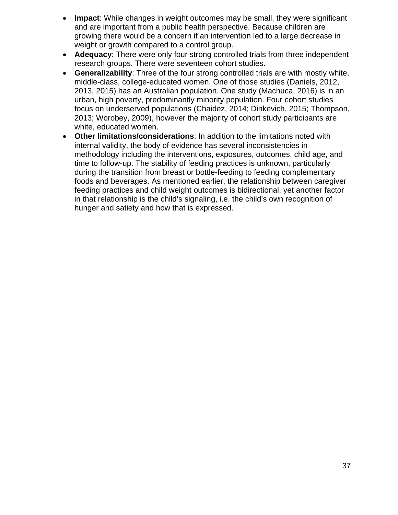- **Impact:** While changes in weight outcomes may be small, they were significant and are important from a public health perspective. Because children are growing there would be a concern if an intervention led to a large decrease in weight or growth compared to a control group.
- **Adequacy**: There were only four strong controlled trials from three independent research groups. There were seventeen cohort studies.
- **Generalizability**: Three of the four strong controlled trials are with mostly white, middle-class, college-educated women. One of those studies (Daniels, 2012, 2013, 2015) has an Australian population. One study (Machuca, 2016) is in an urban, high poverty, predominantly minority population. Four cohort studies focus on underserved populations (Chaidez, 2014; Dinkevich, 2015; Thompson, 2013; Worobey, 2009), however the majority of cohort study participants are white, educated women.
- **Other limitations/considerations**: In addition to the limitations noted with internal validity, the body of evidence has several inconsistencies in methodology including the interventions, exposures, outcomes, child age, and time to follow-up. The stability of feeding practices is unknown, particularly during the transition from breast or bottle-feeding to feeding complementary foods and beverages. As mentioned earlier, the relationship between caregiver feeding practices and child weight outcomes is bidirectional, yet another factor in that relationship is the child's signaling, i.e. the child's own recognition of hunger and satiety and how that is expressed.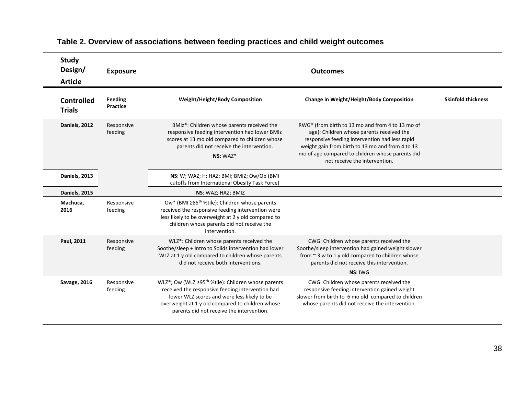| <b>Study</b><br>Design/<br><b>Article</b> | <b>Exposure</b>            | <b>Outcomes</b>                                                                                                                                                                                                                                                    |                                                                                                                                                                                                                                                                                          |                           |
|-------------------------------------------|----------------------------|--------------------------------------------------------------------------------------------------------------------------------------------------------------------------------------------------------------------------------------------------------------------|------------------------------------------------------------------------------------------------------------------------------------------------------------------------------------------------------------------------------------------------------------------------------------------|---------------------------|
| <b>Controlled</b><br><b>Trials</b>        | Feeding<br><b>Practice</b> | <b>Weight/Height/Body Composition</b>                                                                                                                                                                                                                              | Change in Weight/Height/Body Composition                                                                                                                                                                                                                                                 | <b>Skinfold thickness</b> |
| Daniels, 2012                             | Responsive<br>feeding      | BMIz*: Children whose parents received the<br>responsive feeding intervention had lower BMIz<br>scores at 13 mo old compared to children whose<br>parents did not receive the intervention.<br>$NS: WAZ*$                                                          | RWG* (from birth to 13 mo and from 4 to 13 mo of<br>age): Children whose parents received the<br>responsive feeding intervention had less rapid<br>weight gain from birth to 13 mo and from 4 to 13<br>mo of age compared to children whose parents did<br>not receive the intervention. |                           |
| Daniels, 2013                             |                            | NS: W; WAZ; H; HAZ; BMI; BMIZ; Ow/Ob (BMI<br>cutoffs from International Obesity Task Force)                                                                                                                                                                        |                                                                                                                                                                                                                                                                                          |                           |
| Daniels, 2015                             |                            | NS: WAZ; HAZ; BMIZ                                                                                                                                                                                                                                                 |                                                                                                                                                                                                                                                                                          |                           |
| Machuca,<br>2016                          | Responsive<br>feeding      | Ow* (BMI ≥85 <sup>th</sup> %tile): Children whose parents<br>received the responsive feeding intervention were<br>less likely to be overweight at 2 y old compared to<br>children whose parents did not receive the<br>intervention.                               |                                                                                                                                                                                                                                                                                          |                           |
| Paul, 2011                                | Responsive<br>feeding      | WLZ*: Children whose parents received the<br>Soothe/sleep + Intro to Solids intervention had lower<br>WLZ at 1 y old compared to children whose parents<br>did not receive both interventions.                                                                     | CWG: Children whose parents received the<br>Soothe/sleep intervention had gained weight slower<br>from ~ 3 w to 1 y old compared to children whose<br>parents did not receive this intervention.                                                                                         |                           |
|                                           |                            |                                                                                                                                                                                                                                                                    | NS: IWG                                                                                                                                                                                                                                                                                  |                           |
| Savage, 2016                              | Responsive<br>feeding      | WLZ*; Ow (WLZ ≥95 <sup>th</sup> %tile): Children whose parents<br>received the responsive feeding intervention had<br>lower WLZ scores and were less likely to be<br>overweight at 1 y old compared to children whose<br>parents did not receive the intervention. | CWG: Children whose parents received the<br>responsive feeding intervention gained weight<br>slower from birth to 6 mo old compared to children<br>whose parents did not receive the intervention.                                                                                       |                           |

# **Table 2. Overview of associations between feeding practices and child weight outcomes**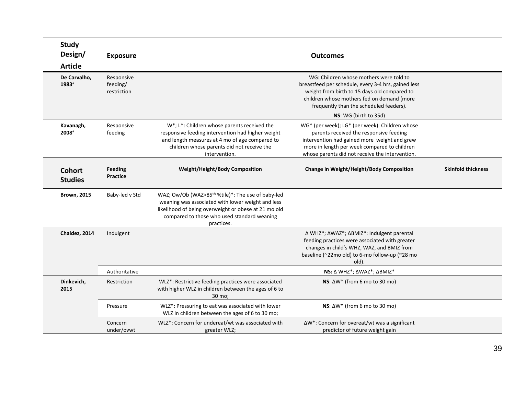| <b>Study</b><br>Design/         | <b>Exposure</b>                       |                                                                                                                                                                                                                                         | <b>Outcomes</b>                                                                                                                                                                                                                              |                           |
|---------------------------------|---------------------------------------|-----------------------------------------------------------------------------------------------------------------------------------------------------------------------------------------------------------------------------------------|----------------------------------------------------------------------------------------------------------------------------------------------------------------------------------------------------------------------------------------------|---------------------------|
| <b>Article</b>                  |                                       |                                                                                                                                                                                                                                         |                                                                                                                                                                                                                                              |                           |
| De Carvalho,<br>1983+           | Responsive<br>feeding/<br>restriction |                                                                                                                                                                                                                                         | WG: Children whose mothers were told to<br>breastfeed per schedule, every 3-4 hrs, gained less<br>weight from birth to 15 days old compared to<br>children whose mothers fed on demand (more<br>frequently than the scheduled feeders).      |                           |
|                                 |                                       |                                                                                                                                                                                                                                         | NS: WG (birth to 35d)                                                                                                                                                                                                                        |                           |
| Kavanagh,<br>2008+              | Responsive<br>feeding                 | W*; L*: Children whose parents received the<br>responsive feeding intervention had higher weight<br>and length measures at 4 mo of age compared to<br>children whose parents did not receive the<br>intervention.                       | WG* (per week); LG* (per week): Children whose<br>parents received the responsive feeding<br>intervention had gained more weight and grew<br>more in length per week compared to children<br>whose parents did not receive the intervention. |                           |
| <b>Cohort</b><br><b>Studies</b> | <b>Feeding</b><br><b>Practice</b>     | <b>Weight/Height/Body Composition</b>                                                                                                                                                                                                   | Change in Weight/Height/Body Composition                                                                                                                                                                                                     | <b>Skinfold thickness</b> |
| <b>Brown, 2015</b>              | Baby-led v Std                        | WAZ; Ow/Ob (WAZ>85 <sup>th</sup> %tile)*: The use of baby-led<br>weaning was associated with lower weight and less<br>likelihood of being overweight or obese at 21 mo old<br>compared to those who used standard weaning<br>practices. |                                                                                                                                                                                                                                              |                           |
| Chaidez, 2014                   | Indulgent                             |                                                                                                                                                                                                                                         | Δ WHZ*; ΔWAZ*; ΔBMIZ*: Indulgent parental<br>feeding practices were associated with greater<br>changes in child's WHZ, WAZ, and BMIZ from<br>baseline (~22mo old) to 6-mo follow-up (~28 mo<br>old).                                         |                           |
|                                 | Authoritative                         |                                                                                                                                                                                                                                         | NS: Δ WHZ*; ΔWAZ*; ΔΒΜΙΖ*                                                                                                                                                                                                                    |                           |
| Dinkevich,<br>2015              | Restriction                           | WLZ*: Restrictive feeding practices were associated<br>with higher WLZ in children between the ages of 6 to<br>30 mo:                                                                                                                   | NS: $\Delta W^*$ (from 6 mo to 30 mo)                                                                                                                                                                                                        |                           |
|                                 | Pressure                              | WLZ*: Pressuring to eat was associated with lower<br>WLZ in children between the ages of 6 to 30 mo;                                                                                                                                    | NS: $\Delta W^*$ (from 6 mo to 30 mo)                                                                                                                                                                                                        |                           |
|                                 | Concern<br>under/ovwt                 | WLZ*: Concern for undereat/wt was associated with<br>greater WLZ;                                                                                                                                                                       | ∆W*: Concern for overeat/wt was a significant<br>predictor of future weight gain                                                                                                                                                             |                           |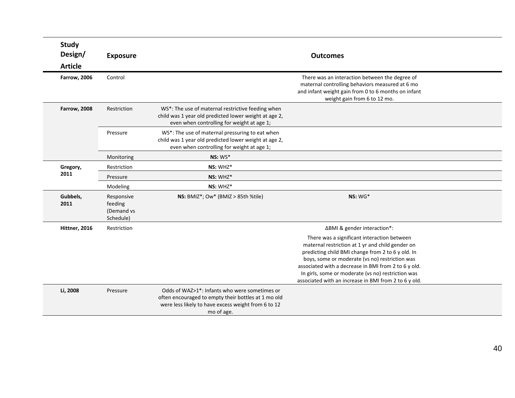| <b>Study</b><br>Design/ | <b>Exposure</b>                                  |                                                                                                                                                                                        | <b>Outcomes</b>                                                                                                                                                                                                                                                                                                                                                               |
|-------------------------|--------------------------------------------------|----------------------------------------------------------------------------------------------------------------------------------------------------------------------------------------|-------------------------------------------------------------------------------------------------------------------------------------------------------------------------------------------------------------------------------------------------------------------------------------------------------------------------------------------------------------------------------|
| <b>Article</b>          |                                                  |                                                                                                                                                                                        |                                                                                                                                                                                                                                                                                                                                                                               |
| <b>Farrow, 2006</b>     | Control                                          |                                                                                                                                                                                        | There was an interaction between the degree of<br>maternal controlling behaviors measured at 6 mo<br>and infant weight gain from 0 to 6 months on infant<br>weight gain from 6 to 12 mo.                                                                                                                                                                                      |
| <b>Farrow, 2008</b>     | Restriction                                      | WS*: The use of maternal restrictive feeding when<br>child was 1 year old predicted lower weight at age 2,<br>even when controlling for weight at age 1;                               |                                                                                                                                                                                                                                                                                                                                                                               |
|                         | Pressure                                         | WS*: The use of maternal pressuring to eat when<br>child was 1 year old predicted lower weight at age 2,<br>even when controlling for weight at age 1;                                 |                                                                                                                                                                                                                                                                                                                                                                               |
|                         | Monitoring                                       | $NS:WS*$                                                                                                                                                                               |                                                                                                                                                                                                                                                                                                                                                                               |
| Gregory,                | Restriction                                      | NS: WHZ*                                                                                                                                                                               |                                                                                                                                                                                                                                                                                                                                                                               |
| 2011                    | Pressure                                         | NS: WHZ*                                                                                                                                                                               |                                                                                                                                                                                                                                                                                                                                                                               |
|                         | Modeling                                         | NS: WHZ*                                                                                                                                                                               |                                                                                                                                                                                                                                                                                                                                                                               |
| Gubbels,<br>2011        | Responsive<br>feeding<br>(Demand vs<br>Schedule) | NS: BMIZ*; Ow* (BMIZ > 85th %tile)                                                                                                                                                     | $NS:WG*$                                                                                                                                                                                                                                                                                                                                                                      |
| Hittner, 2016           | Restriction                                      |                                                                                                                                                                                        | ∆BMI & gender interaction*:                                                                                                                                                                                                                                                                                                                                                   |
|                         |                                                  |                                                                                                                                                                                        | There was a significant interaction between<br>maternal restriction at 1 yr and child gender on<br>predicting child BMI change from 2 to 6 y old. In<br>boys, some or moderate (vs no) restriction was<br>associated with a decrease in BMI from 2 to 6 y old.<br>In girls, some or moderate (vs no) restriction was<br>associated with an increase in BMI from 2 to 6 y old. |
| Li, 2008                | Pressure                                         | Odds of WAZ>1 <sup>*</sup> : Infants who were sometimes or<br>often encouraged to empty their bottles at 1 mo old<br>were less likely to have excess weight from 6 to 12<br>mo of age. |                                                                                                                                                                                                                                                                                                                                                                               |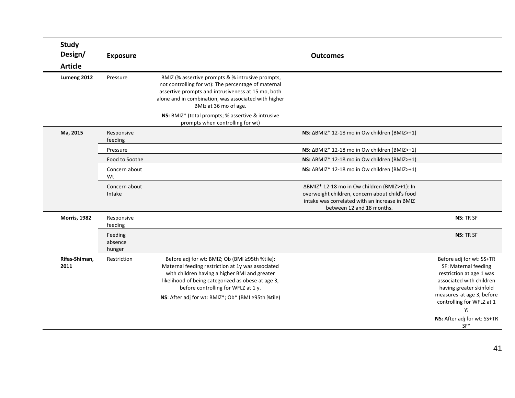| <b>Study</b><br>Design/<br><b>Article</b> | <b>Exposure</b>              |                                                                                                                                                                                                                                                                                                         | <b>Outcomes</b>                                                                                                                                                                |                                                                                                                                                                                                                                             |
|-------------------------------------------|------------------------------|---------------------------------------------------------------------------------------------------------------------------------------------------------------------------------------------------------------------------------------------------------------------------------------------------------|--------------------------------------------------------------------------------------------------------------------------------------------------------------------------------|---------------------------------------------------------------------------------------------------------------------------------------------------------------------------------------------------------------------------------------------|
| Lumeng 2012                               | Pressure                     | BMIZ (% assertive prompts & % intrusive prompts,<br>not controlling for wt): The percentage of maternal<br>assertive prompts and intrusiveness at 15 mo, both<br>alone and in combination, was associated with higher<br>BMIz at 36 mo of age.                                                          |                                                                                                                                                                                |                                                                                                                                                                                                                                             |
|                                           |                              | NS: BMIZ* (total prompts; % assertive & intrusive<br>prompts when controlling for wt)                                                                                                                                                                                                                   |                                                                                                                                                                                |                                                                                                                                                                                                                                             |
| Ma, 2015                                  | Responsive<br>feeding        |                                                                                                                                                                                                                                                                                                         | NS: ΔBMIZ* 12-18 mo in Ow children (BMIZ>+1)                                                                                                                                   |                                                                                                                                                                                                                                             |
|                                           | Pressure                     |                                                                                                                                                                                                                                                                                                         | NS: ΔΒΜΙΖ* 12-18 mo in Ow children (BMIZ>+1)                                                                                                                                   |                                                                                                                                                                                                                                             |
|                                           | Food to Soothe               |                                                                                                                                                                                                                                                                                                         | NS: ΔBMIZ* 12-18 mo in Ow children (BMIZ>+1)                                                                                                                                   |                                                                                                                                                                                                                                             |
|                                           | Concern about<br>Wt          |                                                                                                                                                                                                                                                                                                         | NS: ΔBMIZ* 12-18 mo in Ow children (BMIZ>+1)                                                                                                                                   |                                                                                                                                                                                                                                             |
|                                           | Concern about<br>Intake      |                                                                                                                                                                                                                                                                                                         | ΔBMIZ* 12-18 mo in Ow children (BMIZ>+1): In<br>overweight children, concern about child's food<br>intake was correlated with an increase in BMIZ<br>between 12 and 18 months. |                                                                                                                                                                                                                                             |
| <b>Morris, 1982</b>                       | Responsive<br>feeding        |                                                                                                                                                                                                                                                                                                         |                                                                                                                                                                                | <b>NS: TR SF</b>                                                                                                                                                                                                                            |
|                                           | Feeding<br>absence<br>hunger |                                                                                                                                                                                                                                                                                                         |                                                                                                                                                                                | <b>NS: TR SF</b>                                                                                                                                                                                                                            |
| Rifas-Shiman,<br>2011                     | Restriction                  | Before adj for wt: BMIZ; Ob (BMI ≥95th %tile):<br>Maternal feeding restriction at 1y was associated<br>with children having a higher BMI and greater<br>likelihood of being categorized as obese at age 3,<br>before controlling for WFLZ at 1 y.<br>NS: After adj for wt: BMIZ*; Ob* (BMI ≥95th %tile) |                                                                                                                                                                                | Before adj for wt: SS+TR<br>SF: Maternal feeding<br>restriction at age 1 was<br>associated with children<br>having greater skinfold<br>measures at age 3, before<br>controlling for WFLZ at 1<br>y;<br>NS: After adj for wt: SS+TR<br>$SF*$ |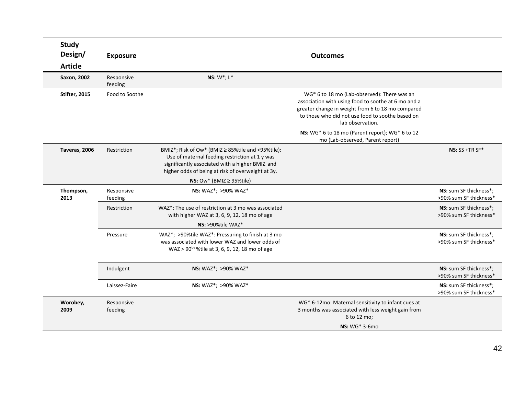| <b>Study</b><br>Design/       | <b>Exposure</b>       |                                                                                                                                                                                                                  | <b>Outcomes</b>                                                                                                                                                                                                                 |                                                  |
|-------------------------------|-----------------------|------------------------------------------------------------------------------------------------------------------------------------------------------------------------------------------------------------------|---------------------------------------------------------------------------------------------------------------------------------------------------------------------------------------------------------------------------------|--------------------------------------------------|
| <b>Article</b><br>Saxon, 2002 | Responsive<br>feeding | NS: $W^*$ ; $L^*$                                                                                                                                                                                                |                                                                                                                                                                                                                                 |                                                  |
| Stifter, 2015                 | Food to Soothe        |                                                                                                                                                                                                                  | WG* 6 to 18 mo (Lab-observed): There was an<br>association with using food to soothe at 6 mo and a<br>greater change in weight from 6 to 18 mo compared<br>to those who did not use food to soothe based on<br>lab observation. |                                                  |
|                               |                       |                                                                                                                                                                                                                  | NS: WG* 6 to 18 mo (Parent report); WG* 6 to 12<br>mo (Lab-observed, Parent report)                                                                                                                                             |                                                  |
| Taveras, 2006                 | Restriction           | BMIZ*; Risk of Ow* (BMIZ $\geq$ 85%tile and <95%tile):<br>Use of maternal feeding restriction at 1 y was<br>significantly associated with a higher BMIZ and<br>higher odds of being at risk of overweight at 3y. |                                                                                                                                                                                                                                 | NS: $SS + TR SF*$                                |
|                               |                       | NS: $\text{OW*}$ (BMIZ $\geq$ 95%tile)                                                                                                                                                                           |                                                                                                                                                                                                                                 |                                                  |
| Thompson,<br>2013             | Responsive<br>feeding | <b>NS: WAZ*; &gt;90% WAZ*</b>                                                                                                                                                                                    |                                                                                                                                                                                                                                 | NS: sum SF thickness*;<br>>90% sum SF thickness* |
|                               | Restriction           | WAZ <sup>*</sup> : The use of restriction at 3 mo was associated<br>with higher WAZ at 3, 6, 9, 12, 18 mo of age                                                                                                 |                                                                                                                                                                                                                                 | NS: sum SF thickness*;<br>>90% sum SF thickness* |
|                               |                       | $NS: >90\%$ tile WAZ*                                                                                                                                                                                            |                                                                                                                                                                                                                                 |                                                  |
|                               | Pressure              | WAZ*; >90%tile WAZ*: Pressuring to finish at 3 mo<br>was associated with lower WAZ and lower odds of<br>WAZ > 90 <sup>th</sup> %tile at 3, 6, 9, 12, 18 mo of age                                                |                                                                                                                                                                                                                                 | NS: sum SF thickness*;<br>>90% sum SF thickness* |
|                               | Indulgent             | NS: WAZ*; >90% WAZ*                                                                                                                                                                                              |                                                                                                                                                                                                                                 | NS: sum SF thickness*:<br>>90% sum SF thickness* |
|                               | Laissez-Faire         | NS: WAZ*; >90% WAZ*                                                                                                                                                                                              |                                                                                                                                                                                                                                 | NS: sum SF thickness*;<br>>90% sum SF thickness* |
| Worobey,<br>2009              | Responsive<br>feeding |                                                                                                                                                                                                                  | WG* 6-12mo: Maternal sensitivity to infant cues at<br>3 months was associated with less weight gain from<br>6 to 12 mo;                                                                                                         |                                                  |
|                               |                       |                                                                                                                                                                                                                  | NS: WG* 3-6mo                                                                                                                                                                                                                   |                                                  |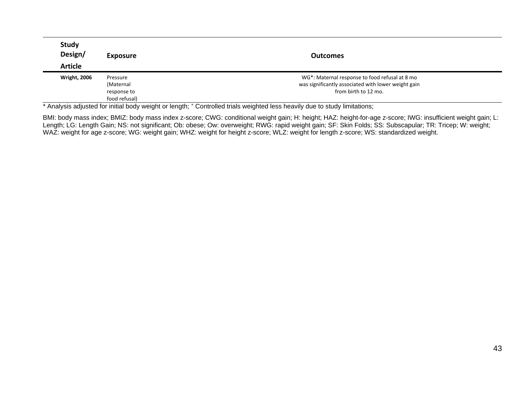| <b>Study</b><br>Design/<br><b>Article</b> | <b>Exposure</b> | <b>Outcomes</b>                                     |
|-------------------------------------------|-----------------|-----------------------------------------------------|
| <b>Wright, 2006</b>                       | Pressure        | WG*: Maternal response to food refusal at 8 mo      |
|                                           | (Maternal       | was significantly associated with lower weight gain |
|                                           | response to     | from birth to 12 mo.                                |
|                                           | food refusal)   |                                                     |

\* Analysis adjusted for initial body weight or length; + Controlled trials weighted less heavily due to study limitations;

BMI: body mass index; BMIZ: body mass index z-score; CWG: conditional weight gain; H: height; HAZ: height-for-age z-score; IWG: insufficient weight gain; L: Length; LG: Length Gain; NS: not significant; Ob: obese; Ow: overweight; RWG: rapid weight gain; SF: Skin Folds; SS: Subscapular; TR: Tricep; W: weight; WAZ: weight for age z-score; WG: weight gain; WHZ: weight for height z-score; WLZ: weight for length z-score; WS: standardized weight.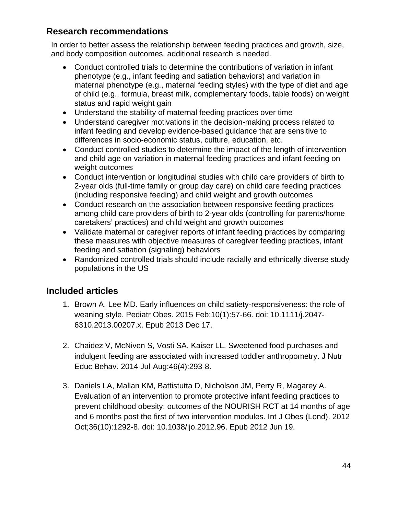### **Research recommendations**

In order to better assess the relationship between feeding practices and growth, size, and body composition outcomes, additional research is needed.

- Conduct controlled trials to determine the contributions of variation in infant phenotype (e.g., infant feeding and satiation behaviors) and variation in maternal phenotype (e.g., maternal feeding styles) with the type of diet and age of child (e.g., formula, breast milk, complementary foods, table foods) on weight status and rapid weight gain
- Understand the stability of maternal feeding practices over time
- Understand caregiver motivations in the decision-making process related to infant feeding and develop evidence-based guidance that are sensitive to differences in socio-economic status, culture, education, etc.
- Conduct controlled studies to determine the impact of the length of intervention and child age on variation in maternal feeding practices and infant feeding on weight outcomes
- Conduct intervention or longitudinal studies with child care providers of birth to 2-year olds (full-time family or group day care) on child care feeding practices (including responsive feeding) and child weight and growth outcomes
- Conduct research on the association between responsive feeding practices among child care providers of birth to 2-year olds (controlling for parents/home caretakers' practices) and child weight and growth outcomes
- Validate maternal or caregiver reports of infant feeding practices by comparing these measures with objective measures of caregiver feeding practices, infant feeding and satiation (signaling) behaviors
- Randomized controlled trials should include racially and ethnically diverse study populations in the US

# **Included articles**

- 1. Brown A, Lee MD. Early influences on child satiety-responsiveness: the role of weaning style. Pediatr Obes. 2015 Feb;10(1):57-66. doi: 10.1111/j.2047- 6310.2013.00207.x. Epub 2013 Dec 17.
- 2. Chaidez V, McNiven S, Vosti SA, Kaiser LL. Sweetened food purchases and indulgent feeding are associated with increased toddler anthropometry. J Nutr Educ Behav. 2014 Jul-Aug;46(4):293-8.
- 3. Daniels LA, Mallan KM, Battistutta D, Nicholson JM, Perry R, Magarey A. Evaluation of an intervention to promote protective infant feeding practices to prevent childhood obesity: outcomes of the NOURISH RCT at 14 months of age and 6 months post the first of two intervention modules. Int J Obes (Lond). 2012 Oct;36(10):1292-8. doi: 10.1038/ijo.2012.96. Epub 2012 Jun 19.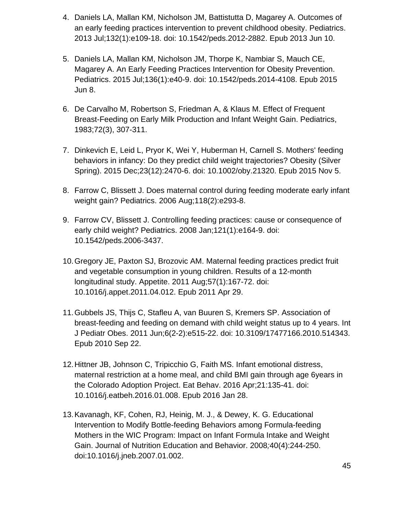- 4. Daniels LA, Mallan KM, Nicholson JM, Battistutta D, Magarey A. Outcomes of an early feeding practices intervention to prevent childhood obesity. Pediatrics. 2013 Jul;132(1):e109-18. doi: 10.1542/peds.2012-2882. Epub 2013 Jun 10.
- 5. Daniels LA, Mallan KM, Nicholson JM, Thorpe K, Nambiar S, Mauch CE, Magarey A. An Early Feeding Practices Intervention for Obesity Prevention. Pediatrics. 2015 Jul;136(1):e40-9. doi: 10.1542/peds.2014-4108. Epub 2015 Jun 8.
- 6. De Carvalho M, Robertson S, Friedman A, & Klaus M. Effect of Frequent Breast-Feeding on Early Milk Production and Infant Weight Gain. Pediatrics, 1983;72(3), 307-311.
- 7. Dinkevich E, Leid L, Pryor K, Wei Y, Huberman H, Carnell S. Mothers' feeding behaviors in infancy: Do they predict child weight trajectories? Obesity (Silver Spring). 2015 Dec;23(12):2470-6. doi: 10.1002/oby.21320. Epub 2015 Nov 5.
- 8. Farrow C, Blissett J. Does maternal control during feeding moderate early infant weight gain? Pediatrics. 2006 Aug;118(2):e293-8.
- 9. Farrow CV, Blissett J. Controlling feeding practices: cause or consequence of early child weight? Pediatrics. 2008 Jan;121(1):e164-9. doi: 10.1542/peds.2006-3437.
- 10.Gregory JE, Paxton SJ, Brozovic AM. Maternal feeding practices predict fruit and vegetable consumption in young children. Results of a 12-month longitudinal study. Appetite. 2011 Aug;57(1):167-72. doi: 10.1016/j.appet.2011.04.012. Epub 2011 Apr 29.
- 11.Gubbels JS, Thijs C, Stafleu A, van Buuren S, Kremers SP. Association of breast-feeding and feeding on demand with child weight status up to 4 years. Int J Pediatr Obes. 2011 Jun;6(2-2):e515-22. doi: 10.3109/17477166.2010.514343. Epub 2010 Sep 22.
- 12.Hittner JB, Johnson C, Tripicchio G, Faith MS. Infant emotional distress, maternal restriction at a home meal, and child BMI gain through age 6years in the Colorado Adoption Project. Eat Behav. 2016 Apr;21:135-41. doi: 10.1016/j.eatbeh.2016.01.008. Epub 2016 Jan 28.
- 13.Kavanagh, KF, Cohen, RJ, Heinig, M. J., & Dewey, K. G. Educational Intervention to Modify Bottle-feeding Behaviors among Formula-feeding Mothers in the WIC Program: Impact on Infant Formula Intake and Weight Gain. Journal of Nutrition Education and Behavior. 2008*;*40(4):244-250. doi:10.1016/j.jneb.2007.01.002.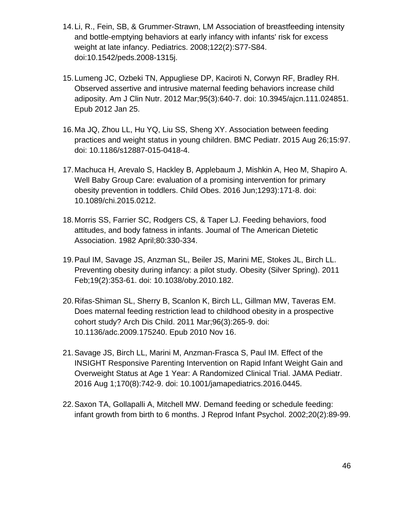- 14.Li, R., Fein, SB, & Grummer-Strawn, LM Association of breastfeeding intensity and bottle-emptying behaviors at early infancy with infants' risk for excess weight at late infancy. Pediatrics. 2008;122(2):S77-S84. doi:10.1542/peds.2008-1315j.
- 15.Lumeng JC, Ozbeki TN, Appugliese DP, Kaciroti N, Corwyn RF, Bradley RH. Observed assertive and intrusive maternal feeding behaviors increase child adiposity. Am J Clin Nutr. 2012 Mar;95(3):640-7. doi: 10.3945/ajcn.111.024851. Epub 2012 Jan 25.
- 16.Ma JQ, Zhou LL, Hu YQ, Liu SS, Sheng XY. Association between feeding practices and weight status in young children. BMC Pediatr. 2015 Aug 26;15:97. doi: 10.1186/s12887-015-0418-4.
- 17.Machuca H, Arevalo S, Hackley B, Applebaum J, Mishkin A, Heo M, Shapiro A. Well Baby Group Care: evaluation of a promising intervention for primary obesity prevention in toddlers. Child Obes. 2016 Jun;1293):171-8. doi: 10.1089/chi.2015.0212.
- 18.Morris SS, Farrier SC, Rodgers CS, & Taper LJ. Feeding behaviors, food attitudes, and body fatness in infants. Joumal of The American Dietetic Association. 1982 April;80:330-334.
- 19.Paul IM, Savage JS, Anzman SL, Beiler JS, Marini ME, Stokes JL, Birch LL. Preventing obesity during infancy: a pilot study. Obesity (Silver Spring). 2011 Feb;19(2):353-61. doi: 10.1038/oby.2010.182.
- 20.Rifas-Shiman SL, Sherry B, Scanlon K, Birch LL, Gillman MW, Taveras EM. Does maternal feeding restriction lead to childhood obesity in a prospective cohort study? Arch Dis Child. 2011 Mar;96(3):265-9. doi: 10.1136/adc.2009.175240. Epub 2010 Nov 16.
- 21.Savage JS, Birch LL, Marini M, Anzman-Frasca S, Paul IM. Effect of the INSIGHT Responsive Parenting Intervention on Rapid Infant Weight Gain and Overweight Status at Age 1 Year: A Randomized Clinical Trial. JAMA Pediatr. 2016 Aug 1;170(8):742-9. doi: 10.1001/jamapediatrics.2016.0445.
- 22.Saxon TA, Gollapalli A, Mitchell MW. Demand feeding or schedule feeding: infant growth from birth to 6 months. J Reprod Infant Psychol. 2002;20(2):89-99.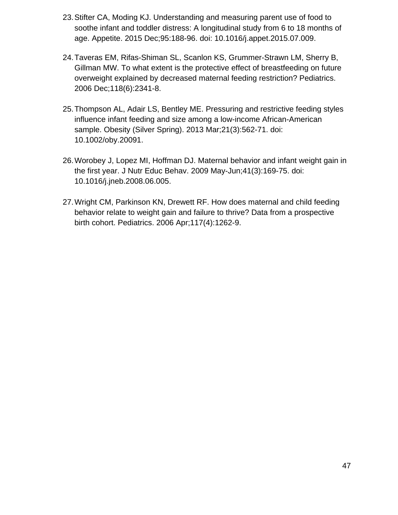- 23.Stifter CA, Moding KJ. Understanding and measuring parent use of food to soothe infant and toddler distress: A longitudinal study from 6 to 18 months of age. Appetite. 2015 Dec;95:188-96. doi: 10.1016/j.appet.2015.07.009.
- 24.Taveras EM, Rifas-Shiman SL, Scanlon KS, Grummer-Strawn LM, Sherry B, Gillman MW. To what extent is the protective effect of breastfeeding on future overweight explained by decreased maternal feeding restriction? Pediatrics. 2006 Dec;118(6):2341-8.
- 25.Thompson AL, Adair LS, Bentley ME. Pressuring and restrictive feeding styles influence infant feeding and size among a low-income African-American sample. Obesity (Silver Spring). 2013 Mar;21(3):562-71. doi: 10.1002/oby.20091.
- 26.Worobey J, Lopez MI, Hoffman DJ. Maternal behavior and infant weight gain in the first year. J Nutr Educ Behav. 2009 May-Jun;41(3):169-75. doi: 10.1016/j.jneb.2008.06.005.
- 27.Wright CM, Parkinson KN, Drewett RF. How does maternal and child feeding behavior relate to weight gain and failure to thrive? Data from a prospective birth cohort. Pediatrics. 2006 Apr;117(4):1262-9.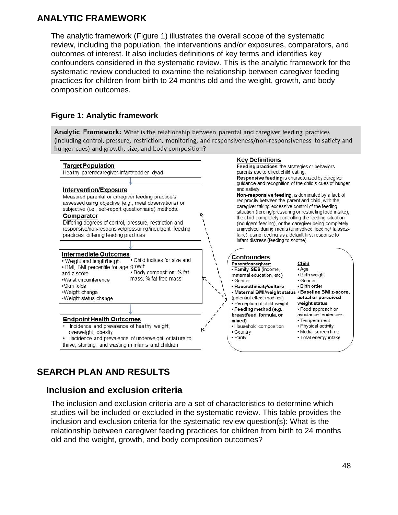## **ANALYTIC FRAMEWORK**

The analytic framework (Figure 1) illustrates the overall scope of the systematic review, including the population, the interventions and/or exposures, comparators, and outcomes of interest. It also includes definitions of key terms and identifies key confounders considered in the systematic review. This is the analytic framework for the systematic review conducted to examine the relationship between caregiver feeding practices for children from birth to 24 months old and the weight, growth, and body composition outcomes.

### **Figure 1: Analytic framework**

Analytic Framework: What is the relationship between parental and caregiver feeding practices (including control, pressure, restriction, monitoring, and responsiveness/non-responsiveness to satiety and hunger cues) and growth, size, and body composition?



# **SEARCH PLAN AND RESULTS**

### **[Inclusion and exclusion criteria](#page-48-0)**

The inclusion and exclusion criteria are a set of characteristics to determine which studies will be included or excluded in the systematic review. This table provides the inclusion and exclusion criteria for the systematic review question(s): What is the relationship between caregiver feeding practices for children from birth to 24 months old and the weight, growth, and body composition outcomes?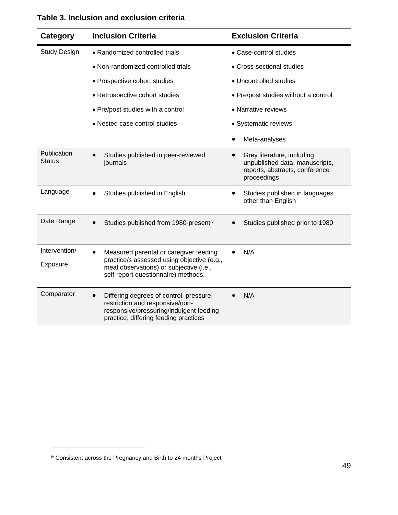| Category                     | <b>Inclusion Criteria</b>                                                                                                                                              | <b>Exclusion Criteria</b>                                                                                     |
|------------------------------|------------------------------------------------------------------------------------------------------------------------------------------------------------------------|---------------------------------------------------------------------------------------------------------------|
| <b>Study Design</b>          | • Randomized controlled trials                                                                                                                                         | • Case-control studies                                                                                        |
|                              | • Non-randomized controlled trials                                                                                                                                     | • Cross-sectional studies                                                                                     |
|                              | • Prospective cohort studies                                                                                                                                           | • Uncontrolled studies                                                                                        |
|                              | • Retrospective cohort studies                                                                                                                                         | • Pre/post studies without a control                                                                          |
|                              | • Pre/post studies with a control                                                                                                                                      | • Narrative reviews                                                                                           |
|                              | • Nested case control studies                                                                                                                                          | • Systematic reviews                                                                                          |
|                              |                                                                                                                                                                        | Meta-analyses                                                                                                 |
| Publication<br><b>Status</b> | Studies published in peer-reviewed<br>journals                                                                                                                         | Grey literature, including<br>unpublished data, manuscripts,<br>reports, abstracts, conference<br>proceedings |
| Language                     | Studies published in English                                                                                                                                           | Studies published in languages<br>other than English                                                          |
| Date Range                   | Studies published from 1980-presentiv                                                                                                                                  | Studies published prior to 1980                                                                               |
| Intervention/<br>Exposure    | Measured parental or caregiver feeding<br>practice/s assessed using objective (e.g.,<br>meal observations) or subjective (i.e.,<br>self-report questionnaire) methods. | N/A                                                                                                           |
| Comparator                   | Differing degrees of control, pressure,<br>restriction and responsive/non-<br>responsive/pressuring/indulgent feeding<br>practice; differing feeding practices         | N/A                                                                                                           |

### <span id="page-48-0"></span>**Table 3. Inclusion and exclusion criteria**

<span id="page-48-1"></span>iv Consistent across the Pregnancy and Birth to 24 months Project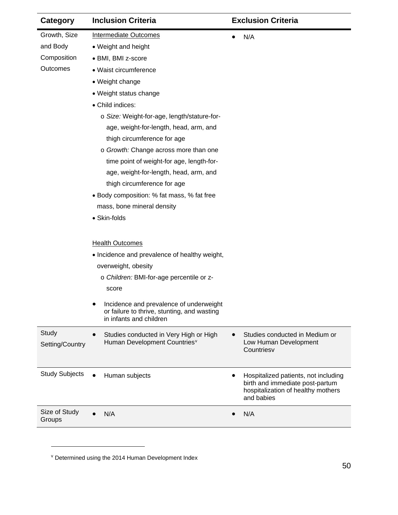| Category                 | <b>Inclusion Criteria</b>                                                                                         | <b>Exclusion Criteria</b>                                                                                                   |
|--------------------------|-------------------------------------------------------------------------------------------------------------------|-----------------------------------------------------------------------------------------------------------------------------|
| Growth, Size             | <b>Intermediate Outcomes</b>                                                                                      | N/A<br>$\bullet$                                                                                                            |
| and Body                 | • Weight and height                                                                                               |                                                                                                                             |
| Composition              | • BMI, BMI z-score                                                                                                |                                                                                                                             |
| Outcomes                 | · Waist circumference                                                                                             |                                                                                                                             |
|                          | • Weight change                                                                                                   |                                                                                                                             |
|                          | • Weight status change                                                                                            |                                                                                                                             |
|                          | • Child indices:                                                                                                  |                                                                                                                             |
|                          | o Size: Weight-for-age, length/stature-for-                                                                       |                                                                                                                             |
|                          | age, weight-for-length, head, arm, and                                                                            |                                                                                                                             |
|                          | thigh circumference for age                                                                                       |                                                                                                                             |
|                          | o Growth: Change across more than one                                                                             |                                                                                                                             |
|                          | time point of weight-for age, length-for-                                                                         |                                                                                                                             |
|                          | age, weight-for-length, head, arm, and                                                                            |                                                                                                                             |
|                          | thigh circumference for age                                                                                       |                                                                                                                             |
|                          | • Body composition: % fat mass, % fat free                                                                        |                                                                                                                             |
|                          | mass, bone mineral density                                                                                        |                                                                                                                             |
|                          | • Skin-folds                                                                                                      |                                                                                                                             |
|                          |                                                                                                                   |                                                                                                                             |
|                          | <b>Health Outcomes</b>                                                                                            |                                                                                                                             |
|                          | • Incidence and prevalence of healthy weight,                                                                     |                                                                                                                             |
|                          | overweight, obesity                                                                                               |                                                                                                                             |
|                          | o Children: BMI-for-age percentile or z-                                                                          |                                                                                                                             |
|                          | score                                                                                                             |                                                                                                                             |
|                          | Incidence and prevalence of underweight<br>or failure to thrive, stunting, and wasting<br>in infants and children |                                                                                                                             |
| Study<br>Setting/Country | Studies conducted in Very High or High<br>Human Development Countries <sup>v</sup>                                | Studies conducted in Medium or<br>Low Human Development<br>Countriesv                                                       |
| <b>Study Subjects</b>    | Human subjects                                                                                                    | Hospitalized patients, not including<br>birth and immediate post-partum<br>hospitalization of healthy mothers<br>and babies |
| Size of Study<br>Groups  | N/A                                                                                                               | N/A<br>$\bullet$                                                                                                            |

<span id="page-49-1"></span><span id="page-49-0"></span><sup>v</sup> Determined using the 2014 Human Development Index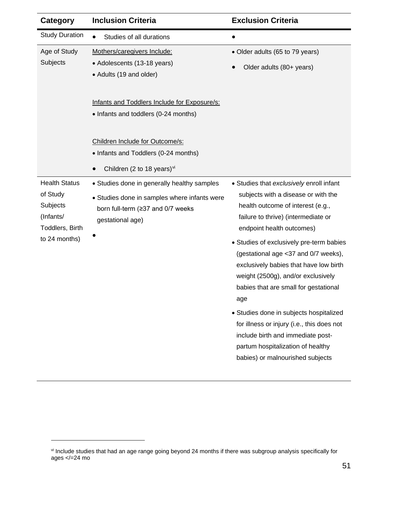| <b>Category</b>                                                              | <b>Inclusion Criteria</b>                                                                                                                            | <b>Exclusion Criteria</b>                                                                                                                                                                                                                                                                                                                      |
|------------------------------------------------------------------------------|------------------------------------------------------------------------------------------------------------------------------------------------------|------------------------------------------------------------------------------------------------------------------------------------------------------------------------------------------------------------------------------------------------------------------------------------------------------------------------------------------------|
| <b>Study Duration</b>                                                        | Studies of all durations<br>$\bullet$                                                                                                                | $\bullet$                                                                                                                                                                                                                                                                                                                                      |
| Age of Study<br>Subjects                                                     | Mothers/caregivers Include:<br>• Adolescents (13-18 years)<br>• Adults (19 and older)                                                                | • Older adults (65 to 79 years)<br>Older adults (80+ years)                                                                                                                                                                                                                                                                                    |
|                                                                              | Infants and Toddlers Include for Exposure/s:<br>• Infants and toddlers (0-24 months)                                                                 |                                                                                                                                                                                                                                                                                                                                                |
|                                                                              | Children Include for Outcome/s:<br>• Infants and Toddlers (0-24 months)<br>Children (2 to 18 years) $vi$<br>$\bullet$                                |                                                                                                                                                                                                                                                                                                                                                |
| <b>Health Status</b><br>of Study<br>Subjects<br>(Infants/<br>Toddlers, Birth | • Studies done in generally healthy samples<br>• Studies done in samples where infants were<br>born full-term (≥37 and 0/7 weeks<br>gestational age) | • Studies that exclusively enroll infant<br>subjects with a disease or with the<br>health outcome of interest (e.g.,<br>failure to thrive) (intermediate or<br>endpoint health outcomes)                                                                                                                                                       |
| to 24 months)                                                                |                                                                                                                                                      | • Studies of exclusively pre-term babies<br>(gestational age <37 and 0/7 weeks),<br>exclusively babies that have low birth<br>weight (2500g), and/or exclusively<br>babies that are small for gestational<br>age<br>• Studies done in subjects hospitalized<br>for illness or injury (i.e., this does not<br>include birth and immediate post- |
|                                                                              |                                                                                                                                                      | partum hospitalization of healthy<br>babies) or malnourished subjects                                                                                                                                                                                                                                                                          |

<span id="page-50-0"></span>vi Include studies that had an age range going beyond 24 months if there was subgroup analysis specifically for ages </=24 mo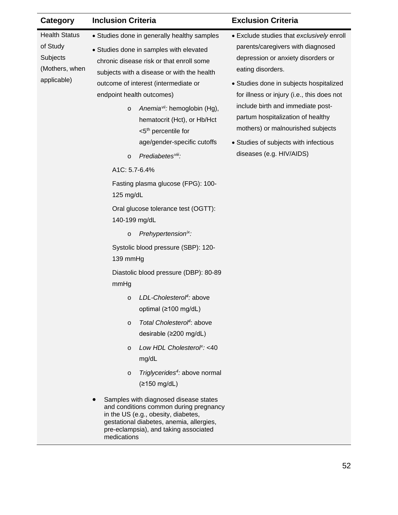<span id="page-51-3"></span><span id="page-51-2"></span><span id="page-51-1"></span><span id="page-51-0"></span>

| Category                                                                      | <b>Inclusion Criteria</b>                                                                                                                                                                                                                                                                                                                                                                                     | <b>Exclusion Criteria</b>                                                                                                                                                                                                                                                                                                                                                                  |
|-------------------------------------------------------------------------------|---------------------------------------------------------------------------------------------------------------------------------------------------------------------------------------------------------------------------------------------------------------------------------------------------------------------------------------------------------------------------------------------------------------|--------------------------------------------------------------------------------------------------------------------------------------------------------------------------------------------------------------------------------------------------------------------------------------------------------------------------------------------------------------------------------------------|
| <b>Health Status</b><br>of Study<br>Subjects<br>(Mothers, when<br>applicable) | • Studies done in generally healthy samples<br>• Studies done in samples with elevated<br>chronic disease risk or that enroll some<br>subjects with a disease or with the health<br>outcome of interest (intermediate or<br>endpoint health outcomes)<br>Anemia <sup>vii</sup> : hemoglobin (Hg),<br>$\circ$<br>hematocrit (Hct), or Hb/Hct<br><5 <sup>th</sup> percentile for<br>age/gender-specific cutoffs | • Exclude studies that exclusively enroll<br>parents/caregivers with diagnosed<br>depression or anxiety disorders or<br>eating disorders.<br>• Studies done in subjects hospitalized<br>for illness or injury (i.e., this does not<br>include birth and immediate post-<br>partum hospitalization of healthy<br>mothers) or malnourished subjects<br>• Studies of subjects with infectious |
|                                                                               | Prediabetes <sup>viii</sup> :<br>$\circ$<br>A1C: 5.7-6.4%<br>Fasting plasma glucose (FPG): 100-<br>125 mg/dL<br>Oral glucose tolerance test (OGTT):<br>140-199 mg/dL<br>Prehypertension <sup>ix</sup> :<br>$\circ$                                                                                                                                                                                            | diseases (e.g. HIV/AIDS)                                                                                                                                                                                                                                                                                                                                                                   |
|                                                                               | Systolic blood pressure (SBP): 120-<br>139 mmHg<br>Diastolic blood pressure (DBP): 80-89<br>mmHg                                                                                                                                                                                                                                                                                                              |                                                                                                                                                                                                                                                                                                                                                                                            |
|                                                                               | LDL-Cholesterol <sup>4</sup> : above<br>$\circ$<br>optimal (≥100 mg/dL)<br>Total Cholesterol <sup>4</sup> : above<br>$\circ$<br>desirable (≥200 mg/dL)<br>Low HDL Cholesterol <sup>x</sup> : <40<br>$\circ$<br>mg/dL<br>Triglycerides <sup>4</sup> : above normal<br>$\circ$<br>(≥150 mg/dL)                                                                                                                  |                                                                                                                                                                                                                                                                                                                                                                                            |
|                                                                               | Samples with diagnosed disease states<br>and conditions common during pregnancy<br>in the US (e.g., obesity, diabetes,<br>gestational diabetes, anemia, allergies,<br>pre-eclampsia), and taking associated<br>medications                                                                                                                                                                                    |                                                                                                                                                                                                                                                                                                                                                                                            |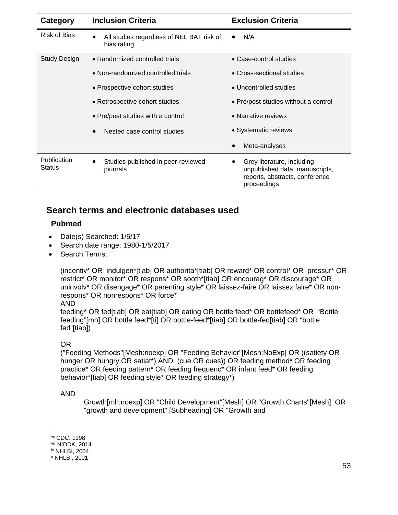| Category              | <b>Inclusion Criteria</b>                                   | <b>Exclusion Criteria</b>                                                                                     |
|-----------------------|-------------------------------------------------------------|---------------------------------------------------------------------------------------------------------------|
| Risk of Bias          | All studies regardless of NEL BAT risk of<br>bias rating    | N/A                                                                                                           |
| Study Design          | • Randomized controlled trials                              | • Case-control studies                                                                                        |
|                       | • Non-randomized controlled trials                          | • Cross-sectional studies                                                                                     |
|                       | • Prospective cohort studies                                | • Uncontrolled studies                                                                                        |
|                       | • Retrospective cohort studies                              | • Pre/post studies without a control                                                                          |
|                       | • Pre/post studies with a control                           | • Narrative reviews                                                                                           |
|                       | Nested case control studies<br>$\bullet$                    | • Systematic reviews                                                                                          |
|                       |                                                             | Meta-analyses                                                                                                 |
| Publication<br>Status | Studies published in peer-reviewed<br>$\bullet$<br>journals | Grey literature, including<br>unpublished data, manuscripts,<br>reports, abstracts, conference<br>proceedings |

### **Search terms and electronic databases used**

#### **Pubmed**

- Date(s) Searched: 1/5/17
- Search date range: 1980-1/5/2017
- Search Terms:

(incentiv\* OR indulgen\*[tiab] OR authorita\*[tiab] OR reward\* OR control\* OR pressur\* OR restrict\* OR monitor\* OR respons\* OR sooth\*[tiab] OR encourag\* OR discourage\* OR uninvolv\* OR disengage\* OR parenting style\* OR laissez-faire OR laissez faire\* OR nonrespons\* OR nonrespons\* OR force\*

#### AND

feeding\* OR fed[tiab] OR eat[tiab] OR eating OR bottle feed\* OR bottlefeed\* OR "Bottle feeding"[mh] OR bottle feed\*[ti] OR bottle-feed\*[tiab] OR bottle-fed[tiab] OR "bottle fed"[tiab])

#### OR

("Feeding Methods"[Mesh:noexp] OR "Feeding Behavior"[Mesh:NoExp] OR ((satiety OR hunger OR hungry OR satiat\*) AND (cue OR cues)) OR feeding method\* OR feeding practice\* OR feeding pattern\* OR feeding frequenc\* OR infant feed\* OR feeding behavior\*[tiab] OR feeding style\* OR feeding strategy\*)

#### AND

Growth[mh:noexp] OR "Child Development"[Mesh] OR "Growth Charts"[Mesh] OR "growth and development" [Subheading] OR "Growth and

vii CDC, 1998

viii NIDDK, 2014

ix NHLBI, 2004

<sup>x</sup> NHLBI, 2001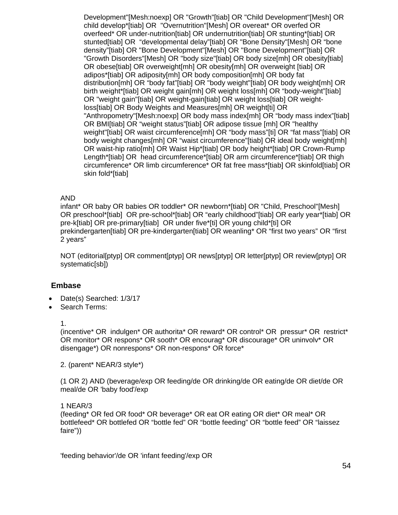Development"[Mesh:noexp] OR "Growth"[tiab] OR "Child Development"[Mesh] OR child develop\*[tiab] OR "Overnutrition"[Mesh] OR overeat\* OR overfed OR overfeed\* OR under-nutrition[tiab] OR undernutrition[tiab] OR stunting\*[tiab] OR stunted[tiab] OR "developmental delay"[tiab] OR "Bone Density"[Mesh] OR "bone density"[tiab] OR "Bone Development"[Mesh] OR "Bone Development"[tiab] OR "Growth Disorders"[Mesh] OR "body size"[tiab] OR body size[mh] OR obesity[tiab] OR obese[tiab] OR overweight[mh] OR obesity[mh] OR overweight [tiab] OR adipos\*[tiab] OR adiposity[mh] OR body composition[mh] OR body fat distribution[mh] OR "body fat"[tiab] OR "body weight"[tiab] OR body weight[mh] OR birth weight\*[tiab] OR weight gain[mh] OR weight loss[mh] OR "body-weight"[tiab] OR "weight gain"[tiab] OR weight-gain[tiab] OR weight loss[tiab] OR weightloss[tiab] OR Body Weights and Measures[mh] OR weight[ti] OR "Anthropometry"[Mesh:noexp] OR body mass index[mh] OR "body mass index"[tiab] OR BMI[tiab] OR "weight status"[tiab] OR adipose tissue [mh] OR "healthy weight"[tiab] OR waist circumference[mh] OR "body mass"[ti] OR "fat mass"[tiab] OR body weight changes[mh] OR "waist circumference"[tiab] OR ideal body weight[mh] OR waist-hip ratio[mh] OR Waist Hip\*[tiab] OR body height\*[tiab] OR Crown-Rump Length\*[tiab] OR head circumference\*[tiab] OR arm circumference\*[tiab] OR thigh circumference\* OR limb circumference\* OR fat free mass\*[tiab] OR skinfold[tiab] OR skin fold\*[tiab]

#### AND

infant\* OR baby OR babies OR toddler\* OR newborn\*[tiab] OR "Child, Preschool"[Mesh] OR preschool\*[tiab] OR pre-school\*[tiab] OR "early childhood"[tiab] OR early year\*[tiab] OR pre-k[tiab] OR pre-primary[tiab] OR under five\*[ti] OR young child\*[ti] OR prekindergarten[tiab] OR pre-kindergarten[tiab] OR weanling\* OR "first two years" OR "first 2 years"

NOT (editorial[ptyp] OR comment[ptyp] OR news[ptyp] OR letter[ptyp] OR review[ptyp] OR systematic[sb])

#### **Embase**

- Date(s) Searched: 1/3/17
- Search Terms:

1.

(incentive\* OR indulgen\* OR authorita\* OR reward\* OR control\* OR pressur\* OR restrict\* OR monitor\* OR respons\* OR sooth\* OR encourag\* OR discourage\* OR uninvolv\* OR disengage\*) OR nonrespons\* OR non-respons\* OR force\*

2. (parent\* NEAR/3 style\*)

(1 OR 2) AND (beverage/exp OR feeding/de OR drinking/de OR eating/de OR diet/de OR meal/de OR 'baby food'/exp

#### 1 NEAR/3

(feeding\* OR fed OR food\* OR beverage\* OR eat OR eating OR diet\* OR meal\* OR bottlefeed\* OR bottlefed OR "bottle fed" OR "bottle feeding" OR "bottle feed" OR "laissez faire"))

'feeding behavior'/de OR 'infant feeding'/exp OR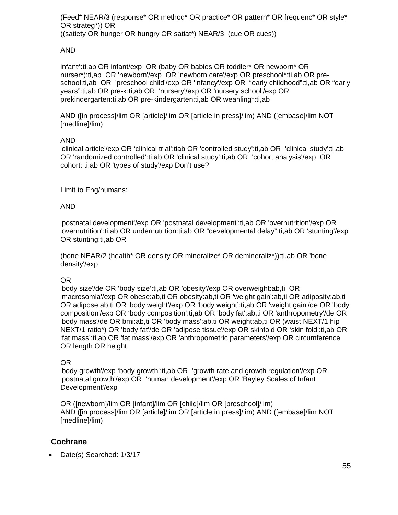(Feed\* NEAR/3 (response\* OR method\* OR practice\* OR pattern\* OR frequenc\* OR style\* OR strateg\*)) OR ((satiety OR hunger OR hungry OR satiat\*) NEAR/3 (cue OR cues))

#### AND

infant\*:ti,ab OR infant/exp OR (baby OR babies OR toddler\* OR newborn\* OR nurser\*):ti,ab OR 'newborn'/exp OR 'newborn care'/exp OR preschool\*:ti,ab OR preschool:ti,ab OR 'preschool child'/exp OR 'infancy'/exp OR "early childhood":ti,ab OR "early years":ti,ab OR pre-k:ti,ab OR 'nursery'/exp OR 'nursery school'/exp OR prekindergarten:ti,ab OR pre-kindergarten:ti,ab OR weanling\*:ti,ab

AND ([in process]/lim OR [article]/lim OR [article in press]/lim) AND ([embase]/lim NOT [medline]/lim)

#### AND

'clinical article'/exp OR 'clinical trial':tiab OR 'controlled study':ti,ab OR 'clinical study':ti,ab OR 'randomized controlled':ti,ab OR 'clinical study':ti,ab OR 'cohort analysis'/exp OR cohort: ti,ab OR 'types of study'/exp Don't use?

Limit to Eng/humans:

#### AND

'postnatal development'/exp OR 'postnatal development':ti,ab OR 'overnutrition'/exp OR 'overnutrition':ti,ab OR undernutrition:ti,ab OR "developmental delay":ti,ab OR 'stunting'/exp OR stunting:ti,ab OR

(bone NEAR/2 (health\* OR density OR mineralize\* OR demineraliz\*)):ti,ab OR 'bone density'/exp

#### OR

'body size'/de OR 'body size':ti,ab OR 'obesity'/exp OR overweight:ab,ti OR 'macrosomia'/exp OR obese:ab,ti OR obesity:ab,ti OR 'weight gain':ab,ti OR adiposity:ab,ti OR adipose:ab,ti OR 'body weight'/exp OR 'body weight':ti,ab OR 'weight gain'/de OR 'body composition'/exp OR 'body composition':ti,ab OR 'body fat':ab,ti OR 'anthropometry'/de OR 'body mass'/de OR bmi:ab,ti OR 'body mass':ab,ti OR weight:ab,ti OR (waist NEXT/1 hip NEXT/1 ratio\*) OR 'body fat'/de OR 'adipose tissue'/exp OR skinfold OR 'skin fold':ti,ab OR 'fat mass':ti,ab OR 'fat mass'/exp OR 'anthropometric parameters'/exp OR circumference OR length OR height

#### OR

'body growth'/exp 'body growth':ti,ab OR 'growth rate and growth regulation'/exp OR 'postnatal growth'/exp OR 'human development'/exp OR 'Bayley Scales of Infant Development'/exp

OR ([newborn]/lim OR [infant]/lim OR [child]/lim OR [preschool]/lim) AND ([in process]/lim OR [article]/lim OR [article in press]/lim) AND ([embase]/lim NOT [medline]/lim)

#### **Cochrane**

• Date(s) Searched: 1/3/17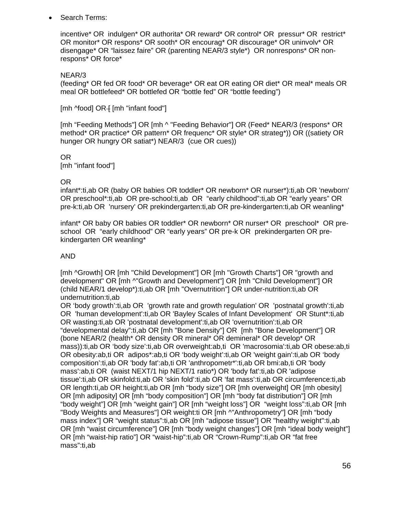Search Terms:

incentive\* OR indulgen\* OR authorita\* OR reward\* OR control\* OR pressur\* OR restrict\* OR monitor\* OR respons\* OR sooth\* OR encourag\* OR discourage\* OR uninvolv\* OR disengage\* OR "laissez faire" OR (parenting NEAR/3 style\*) OR nonrespons\* OR nonrespons\* OR force\*

#### NEAR/3

(feeding\* OR fed OR food\* OR beverage\* OR eat OR eating OR diet\* OR meal\* meals OR meal OR bottlefeed\* OR bottlefed OR "bottle fed" OR "bottle feeding")

 $[mh \text{–}100]$  OR  $+ [mh \text{~}100]$  [mh  $-100$ ]

[mh "Feeding Methods"] OR [mh ^ "Feeding Behavior"] OR (Feed\* NEAR/3 (respons\* OR method\* OR practice\* OR pattern\* OR frequenc\* OR style\* OR strateg\*)) OR ((satiety OR hunger OR hungry OR satiat\*) NEAR/3 (cue OR cues))

#### OR

[mh "infant food"]

#### OR

infant\*:ti,ab OR (baby OR babies OR toddler\* OR newborn\* OR nurser\*):ti,ab OR 'newborn' OR preschool\*:ti,ab OR pre-school:ti,ab OR "early childhood":ti,ab OR "early years" OR pre-k:ti,ab OR 'nursery' OR prekindergarten:ti,ab OR pre-kindergarten:ti,ab OR weanling\*

infant\* OR baby OR babies OR toddler\* OR newborn\* OR nurser\* OR preschool\* OR preschool OR "early childhood" OR "early years" OR pre-k OR prekindergarten OR prekindergarten OR weanling\*

#### AND

[mh ^Growth] OR [mh "Child Development"] OR [mh "Growth Charts"] OR "growth and development" OR [mh ^"Growth and Development"] OR [mh "Child Development"] OR (child NEAR/1 develop\*):ti,ab OR [mh "Overnutrition"] OR under-nutrition:ti,ab OR undernutrition:ti,ab

OR 'body growth':ti,ab OR 'growth rate and growth regulation' OR 'postnatal growth':ti,ab OR 'human development':ti,ab OR 'Bayley Scales of Infant Development' OR Stunt\*:ti,ab OR wasting:ti,ab OR 'postnatal development':ti,ab OR 'overnutrition':ti,ab OR "developmental delay":ti,ab OR [mh "Bone Density"] OR [mh "Bone Development"] OR (bone NEAR/2 (health\* OR density OR mineral\* OR demineral\* OR develop\* OR mass)):ti,ab OR 'body size':ti,ab OR overweight:ab,ti OR 'macrosomia':ti,ab OR obese:ab,ti OR obesity:ab,ti OR adipos\*:ab,ti OR 'body weight':ti,ab OR 'weight gain':ti,ab OR 'body composition':ti,ab OR 'body fat':ab,ti OR 'anthropometr\*':ti,ab OR bmi:ab,ti OR 'body mass':ab,ti OR (waist NEXT/1 hip NEXT/1 ratio\*) OR 'body fat':ti,ab OR 'adipose tissue':ti,ab OR skinfold:ti,ab OR 'skin fold':ti,ab OR 'fat mass':ti,ab OR circumference:ti,ab OR length:ti,ab OR height:ti,ab OR [mh "body size"] OR [mh overweight] OR [mh obesity] OR [mh adiposity] OR [mh "body composition"] OR [mh "body fat distribution"] OR [mh "body weight"] OR [mh "weight gain"] OR [mh "weight loss"] OR "weight loss":ti,ab OR [mh "Body Weights and Measures"] OR weight:ti OR [mh ^"Anthropometry"] OR [mh "body mass index"] OR "weight status":ti,ab OR [mh "adipose tissue"] OR "healthy weight":ti,ab OR [mh "waist circumference"] OR [mh "body weight changes"] OR [mh "ideal body weight"] OR [mh "waist-hip ratio"] OR "waist-hip":ti,ab OR "Crown-Rump":ti,ab OR "fat free mass":ti,ab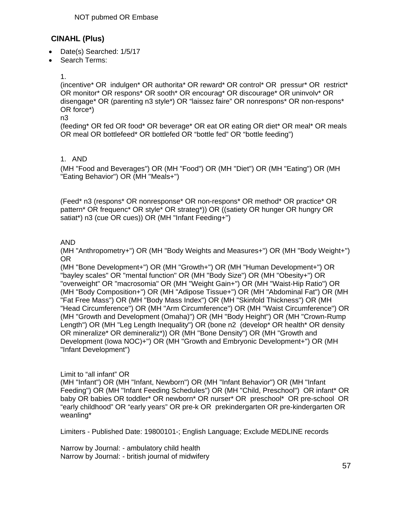### **CINAHL (Plus)**

- Date(s) Searched: 1/5/17
- Search Terms:

1.

(incentive\* OR indulgen\* OR authorita\* OR reward\* OR control\* OR pressur\* OR restrict\* OR monitor\* OR respons\* OR sooth\* OR encourag\* OR discourage\* OR uninvolv\* OR disengage\* OR (parenting n3 style\*) OR "laissez faire" OR nonrespons\* OR non-respons\* OR force\*)

n3

(feeding\* OR fed OR food\* OR beverage\* OR eat OR eating OR diet\* OR meal\* OR meals OR meal OR bottlefeed\* OR bottlefed OR "bottle fed" OR "bottle feeding")

#### 1. AND

(MH "Food and Beverages") OR (MH "Food") OR (MH "Diet") OR (MH "Eating") OR (MH "Eating Behavior") OR (MH "Meals+")

(Feed\* n3 (respons\* OR nonresponse\* OR non-respons\* OR method\* OR practice\* OR pattern\* OR frequenc\* OR style\* OR strateg\*)) OR ((satiety OR hunger OR hungry OR satiat\*) n3 (cue OR cues)) OR (MH "Infant Feeding+")

#### AND

(MH "Anthropometry+") OR (MH "Body Weights and Measures+") OR (MH "Body Weight+") OR

(MH "Bone Development+") OR (MH "Growth+") OR (MH "Human Development+") OR "bayley scales" OR "mental function" OR (MH "Body Size") OR (MH "Obesity+") OR "overweight" OR "macrosomia" OR (MH "Weight Gain+") OR (MH "Waist-Hip Ratio") OR (MH "Body Composition+") OR (MH "Adipose Tissue+") OR (MH "Abdominal Fat") OR (MH "Fat Free Mass") OR (MH "Body Mass Index") OR (MH "Skinfold Thickness") OR (MH "Head Circumference") OR (MH "Arm Circumference") OR (MH "Waist Circumference") OR (MH "Growth and Development (Omaha)") OR (MH "Body Height") OR (MH "Crown-Rump Length") OR (MH "Leg Length Inequality") OR (bone n2 (develop\* OR health\* OR density OR mineralize\* OR demineraliz\*)) OR (MH "Bone Density") OR (MH "Growth and Development (Iowa NOC)+") OR (MH "Growth and Embryonic Development+") OR (MH "Infant Development")

#### Limit to "all infant" OR

(MH "Infant") OR (MH "Infant, Newborn") OR (MH "Infant Behavior") OR (MH "Infant Feeding") OR (MH "Infant Feeding Schedules") OR (MH "Child, Preschool") OR infant\* OR baby OR babies OR toddler\* OR newborn\* OR nurser\* OR preschool\* OR pre-school OR "early childhood" OR "early years" OR pre-k OR prekindergarten OR pre-kindergarten OR weanling\*

Limiters - Published Date: 19800101-; English Language; Exclude MEDLINE records

Narrow by Journal: - ambulatory child health Narrow by Journal: - british journal of midwifery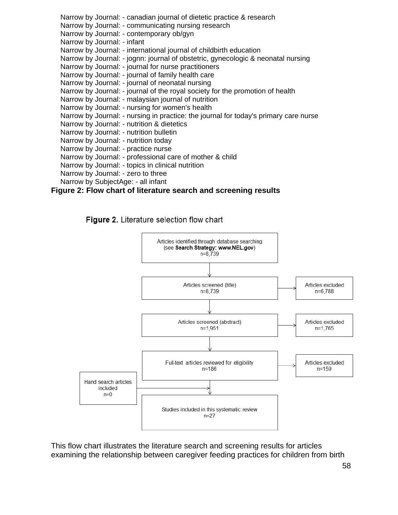Narrow by Journal: - canadian journal of dietetic practice & research Narrow by Journal: - communicating nursing research Narrow by Journal: - contemporary ob/gyn Narrow by Journal: - infant Narrow by Journal: - international journal of childbirth education Narrow by Journal: - jognn: journal of obstetric, gynecologic & neonatal nursing Narrow by Journal: - journal for nurse practitioners Narrow by Journal: - journal of family health care Narrow by Journal: - journal of neonatal nursing Narrow by Journal: - journal of the royal society for the promotion of health Narrow by Journal: - malaysian journal of nutrition Narrow by Journal: - nursing for women's health Narrow by Journal: - nursing in practice: the journal for today's primary care nurse Narrow by Journal: - nutrition & dietetics Narrow by Journal: - nutrition bulletin Narrow by Journal: - nutrition today Narrow by Journal: - practice nurse Narrow by Journal: - professional care of mother & child Narrow by Journal: - topics in clinical nutrition Narrow by Journal: - zero to three Narrow by SubjectAge: - all infant

#### **Figure 2: Flow chart of literature search and screening results**

Figure 2. Literature selection flow chart



This flow chart illustrates the literature search and screening results for articles examining the relationship between caregiver feeding practices for children from birth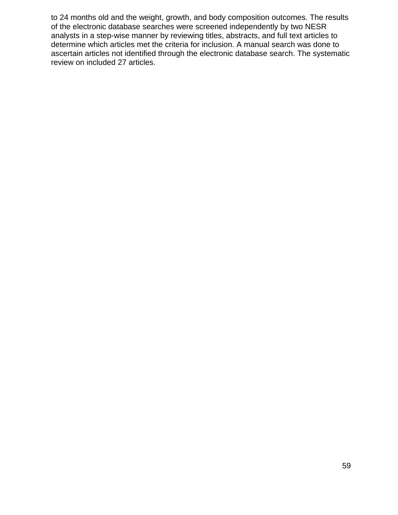to 24 months old and the weight, growth, and body composition outcomes. The results of the electronic database searches were screened independently by two NESR analysts in a step-wise manner by reviewing titles, abstracts, and full text articles to determine which articles met the criteria for inclusion. A manual search was done to ascertain articles not identified through the electronic database search. The systematic review on included 27 articles.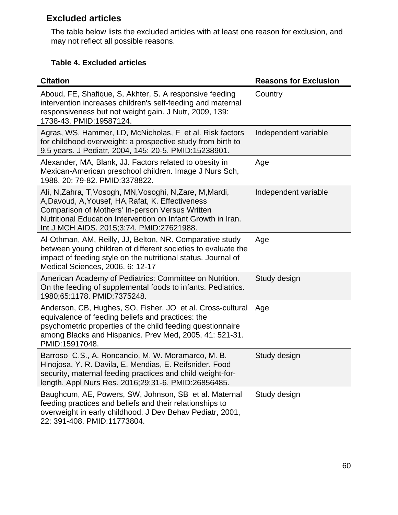# **Excluded articles**

The table below lists the excluded articles with at least one reason for exclusion, and may not reflect all possible reasons.

### **Table 4. Excluded articles**

| <b>Citation</b>                                                                                                                                                                                                                                                           | <b>Reasons for Exclusion</b> |
|---------------------------------------------------------------------------------------------------------------------------------------------------------------------------------------------------------------------------------------------------------------------------|------------------------------|
| Aboud, FE, Shafique, S, Akhter, S. A responsive feeding<br>intervention increases children's self-feeding and maternal<br>responsiveness but not weight gain. J Nutr, 2009, 139:<br>1738-43. PMID:19587124.                                                               | Country                      |
| Agras, WS, Hammer, LD, McNicholas, F et al. Risk factors<br>for childhood overweight: a prospective study from birth to<br>9.5 years. J Pediatr, 2004, 145: 20-5. PMID:15238901.                                                                                          | Independent variable         |
| Alexander, MA, Blank, JJ. Factors related to obesity in<br>Mexican-American preschool children. Image J Nurs Sch,<br>1988, 20: 79-82. PMID:3378822.                                                                                                                       | Age                          |
| Ali, N,Zahra, T,Vosogh, MN,Vosoghi, N,Zare, M,Mardi,<br>A, Davoud, A, Yousef, HA, Rafat, K. Effectiveness<br>Comparison of Mothers' In-person Versus Written<br>Nutritional Education Intervention on Infant Growth in Iran.<br>Int J MCH AIDS. 2015;3:74. PMID:27621988. | Independent variable         |
| Al-Othman, AM, Reilly, JJ, Belton, NR. Comparative study<br>between young children of different societies to evaluate the<br>impact of feeding style on the nutritional status. Journal of<br>Medical Sciences, 2006, 6: 12-17                                            | Age                          |
| American Academy of Pediatrics: Committee on Nutrition.<br>On the feeding of supplemental foods to infants. Pediatrics.<br>1980;65:1178. PMID:7375248.                                                                                                                    | Study design                 |
| Anderson, CB, Hughes, SO, Fisher, JO et al. Cross-cultural<br>equivalence of feeding beliefs and practices: the<br>psychometric properties of the child feeding questionnaire<br>among Blacks and Hispanics. Prev Med, 2005, 41: 521-31.<br>PMID:15917048.                | Age                          |
| Barroso C.S., A. Roncancio, M. W. Moramarco, M. B.<br>Hinojosa, Y. R. Davila, E. Mendias, E. Reifsnider. Food<br>security, maternal feeding practices and child weight-for-<br>length. Appl Nurs Res. 2016;29:31-6. PMID:26856485.                                        | Study design                 |
| Baughcum, AE, Powers, SW, Johnson, SB et al. Maternal<br>feeding practices and beliefs and their relationships to<br>overweight in early childhood. J Dev Behav Pediatr, 2001,<br>22: 391-408. PMID:11773804.                                                             | Study design                 |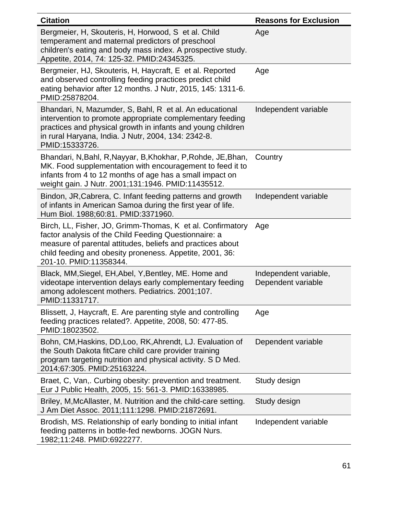| <b>Citation</b>                                                                                                                                                                                                                                                         | <b>Reasons for Exclusion</b>                |
|-------------------------------------------------------------------------------------------------------------------------------------------------------------------------------------------------------------------------------------------------------------------------|---------------------------------------------|
| Bergmeier, H, Skouteris, H, Horwood, S et al. Child<br>temperament and maternal predictors of preschool<br>children's eating and body mass index. A prospective study.<br>Appetite, 2014, 74: 125-32. PMID:24345325.                                                    | Age                                         |
| Bergmeier, HJ, Skouteris, H, Haycraft, E et al. Reported<br>and observed controlling feeding practices predict child<br>eating behavior after 12 months. J Nutr, 2015, 145: 1311-6.<br>PMID:25878204.                                                                   | Age                                         |
| Bhandari, N, Mazumder, S, Bahl, R et al. An educational<br>intervention to promote appropriate complementary feeding<br>practices and physical growth in infants and young children<br>in rural Haryana, India. J Nutr, 2004, 134: 2342-8.<br>PMID:15333726.            | Independent variable                        |
| Bhandari, N, Bahl, R, Nayyar, B, Khokhar, P, Rohde, JE, Bhan,<br>MK. Food supplementation with encouragement to feed it to<br>infants from 4 to 12 months of age has a small impact on<br>weight gain. J Nutr. 2001;131:1946. PMID:11435512.                            | Country                                     |
| Bindon, JR, Cabrera, C. Infant feeding patterns and growth<br>of infants in American Samoa during the first year of life.<br>Hum Biol. 1988;60:81. PMID:3371960.                                                                                                        | Independent variable                        |
| Birch, LL, Fisher, JO, Grimm-Thomas, K et al. Confirmatory<br>factor analysis of the Child Feeding Questionnaire: a<br>measure of parental attitudes, beliefs and practices about<br>child feeding and obesity proneness. Appetite, 2001, 36:<br>201-10. PMID:11358344. | Age                                         |
| Black, MM, Siegel, EH, Abel, Y, Bentley, ME. Home and<br>videotape intervention delays early complementary feeding<br>among adolescent mothers. Pediatrics. 2001;107.<br>PMID:11331717.                                                                                 | Independent variable,<br>Dependent variable |
| Blissett, J, Haycraft, E. Are parenting style and controlling<br>feeding practices related?. Appetite, 2008, 50: 477-85.<br>PMID:18023502.                                                                                                                              | Age                                         |
| Bohn, CM, Haskins, DD, Loo, RK, Ahrendt, LJ. Evaluation of<br>the South Dakota fitCare child care provider training<br>program targeting nutrition and physical activity. S D Med.<br>2014;67:305. PMID:25163224.                                                       | Dependent variable                          |
| Braet, C, Van,. Curbing obesity: prevention and treatment.<br>Eur J Public Health, 2005, 15: 561-3. PMID:16338985.                                                                                                                                                      | Study design                                |
| Briley, M, McAllaster, M. Nutrition and the child-care setting.<br>J Am Diet Assoc. 2011;111:1298. PMID:21872691.                                                                                                                                                       | Study design                                |
| Brodish, MS. Relationship of early bonding to initial infant<br>feeding patterns in bottle-fed newborns. JOGN Nurs.<br>1982;11:248. PMID:6922277.                                                                                                                       | Independent variable                        |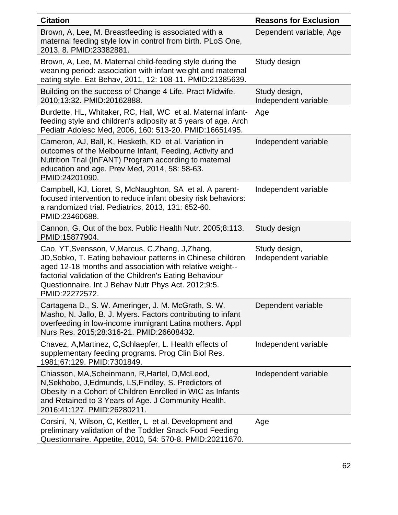| <b>Citation</b>                                                                                                                                                                                                                                                                                                  | <b>Reasons for Exclusion</b>          |
|------------------------------------------------------------------------------------------------------------------------------------------------------------------------------------------------------------------------------------------------------------------------------------------------------------------|---------------------------------------|
| Brown, A, Lee, M. Breastfeeding is associated with a<br>maternal feeding style low in control from birth. PLoS One,<br>2013, 8. PMID:23382881.                                                                                                                                                                   | Dependent variable, Age               |
| Brown, A, Lee, M. Maternal child-feeding style during the<br>weaning period: association with infant weight and maternal<br>eating style. Eat Behav, 2011, 12: 108-11. PMID:21385639.                                                                                                                            | Study design                          |
| Building on the success of Change 4 Life. Pract Midwife.<br>2010;13:32. PMID:20162888.                                                                                                                                                                                                                           | Study design,<br>Independent variable |
| Burdette, HL, Whitaker, RC, Hall, WC et al. Maternal infant-<br>feeding style and children's adiposity at 5 years of age. Arch<br>Pediatr Adolesc Med, 2006, 160: 513-20. PMID:16651495.                                                                                                                         | Age                                   |
| Cameron, AJ, Ball, K, Hesketh, KD et al. Variation in<br>outcomes of the Melbourne Infant, Feeding, Activity and<br>Nutrition Trial (InFANT) Program according to maternal<br>education and age. Prev Med, 2014, 58: 58-63.<br>PMID:24201090.                                                                    | Independent variable                  |
| Campbell, KJ, Lioret, S, McNaughton, SA et al. A parent-<br>focused intervention to reduce infant obesity risk behaviors:<br>a randomized trial. Pediatrics, 2013, 131: 652-60.<br>PMID:23460688.                                                                                                                | Independent variable                  |
| Cannon, G. Out of the box. Public Health Nutr. 2005;8:113.<br>PMID:15877904.                                                                                                                                                                                                                                     | Study design                          |
| Cao, YT, Svensson, V, Marcus, C, Zhang, J, Zhang,<br>JD, Sobko, T. Eating behaviour patterns in Chinese children<br>aged 12-18 months and association with relative weight--<br>factorial validation of the Children's Eating Behaviour<br>Questionnaire. Int J Behav Nutr Phys Act. 2012;9:5.<br>PMID:22272572. | Study design,<br>Independent variable |
| Cartagena D., S. W. Ameringer, J. M. McGrath, S. W.<br>Masho, N. Jallo, B. J. Myers. Factors contributing to infant<br>overfeeding in low-income immigrant Latina mothers. Appl<br>Nurs Res. 2015;28:316-21. PMID:26608432.                                                                                      | Dependent variable                    |
| Chavez, A, Martinez, C, Schlaepfer, L. Health effects of<br>supplementary feeding programs. Prog Clin Biol Res.<br>1981;67:129. PMID:7301849.                                                                                                                                                                    | Independent variable                  |
| Chiasson, MA, Scheinmann, R, Hartel, D, McLeod,<br>N, Sekhobo, J, Edmunds, LS, Findley, S. Predictors of<br>Obesity in a Cohort of Children Enrolled in WIC as Infants<br>and Retained to 3 Years of Age. J Community Health.<br>2016;41:127. PMID:26280211.                                                     | Independent variable                  |
| Corsini, N, Wilson, C, Kettler, L et al. Development and<br>preliminary validation of the Toddler Snack Food Feeding<br>Questionnaire. Appetite, 2010, 54: 570-8. PMID:20211670.                                                                                                                                 | Age                                   |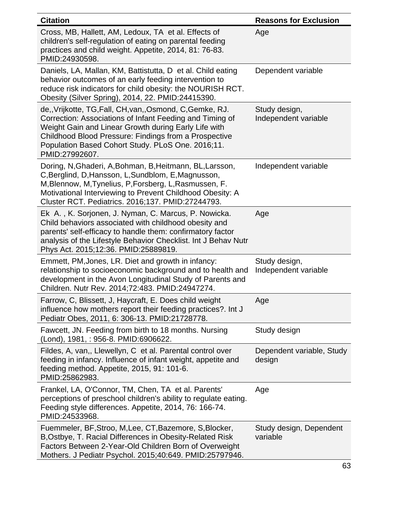| <b>Citation</b>                                                                                                                                                                                                                                                                                               | <b>Reasons for Exclusion</b>          |
|---------------------------------------------------------------------------------------------------------------------------------------------------------------------------------------------------------------------------------------------------------------------------------------------------------------|---------------------------------------|
| Cross, MB, Hallett, AM, Ledoux, TA et al. Effects of<br>children's self-regulation of eating on parental feeding<br>practices and child weight. Appetite, 2014, 81: 76-83.<br>PMID:24930598.                                                                                                                  | Age                                   |
| Daniels, LA, Mallan, KM, Battistutta, D et al. Child eating<br>behavior outcomes of an early feeding intervention to<br>reduce risk indicators for child obesity: the NOURISH RCT.<br>Obesity (Silver Spring), 2014, 22. PMID:24415390.                                                                       | Dependent variable                    |
| de,, Vrijkotte, TG, Fall, CH, van,, Osmond, C, Gemke, RJ.<br>Correction: Associations of Infant Feeding and Timing of<br>Weight Gain and Linear Growth during Early Life with<br>Childhood Blood Pressure: Findings from a Prospective<br>Population Based Cohort Study. PLoS One. 2016;11.<br>PMID:27992607. | Study design,<br>Independent variable |
| Doring, N, Ghaderi, A, Bohman, B, Heitmann, BL, Larsson,<br>C, Berglind, D, Hansson, L, Sundblom, E, Magnusson,<br>M, Blennow, M, Tynelius, P, Forsberg, L, Rasmussen, F.<br>Motivational Interviewing to Prevent Childhood Obesity: A<br>Cluster RCT. Pediatrics. 2016;137. PMID:27244793.                   | Independent variable                  |
| Ek A., K. Sorjonen, J. Nyman, C. Marcus, P. Nowicka.<br>Child behaviors associated with childhood obesity and<br>parents' self-efficacy to handle them: confirmatory factor<br>analysis of the Lifestyle Behavior Checklist. Int J Behav Nutr<br>Phys Act. 2015;12:36. PMID:25889819.                         | Age                                   |
| Emmett, PM, Jones, LR. Diet and growth in infancy:<br>relationship to socioeconomic background and to health and<br>development in the Avon Longitudinal Study of Parents and<br>Children. Nutr Rev. 2014;72:483. PMID:24947274.                                                                              | Study design,<br>Independent variable |
| Farrow, C, Blissett, J, Haycraft, E. Does child weight<br>influence how mothers report their feeding practices?. Int J<br>Pediatr Obes, 2011, 6: 306-13. PMID:21728778.                                                                                                                                       | Age                                   |
| Fawcett, JN. Feeding from birth to 18 months. Nursing<br>(Lond), 1981, : 956-8. PMID:6906622.                                                                                                                                                                                                                 | Study design                          |
| Fildes, A, van,, Llewellyn, C et al. Parental control over<br>feeding in infancy. Influence of infant weight, appetite and<br>feeding method. Appetite, 2015, 91: 101-6.<br>PMID:25862983.                                                                                                                    | Dependent variable, Study<br>design   |
| Frankel, LA, O'Connor, TM, Chen, TA et al. Parents'<br>perceptions of preschool children's ability to regulate eating.<br>Feeding style differences. Appetite, 2014, 76: 166-74.<br>PMID:24533968.                                                                                                            | Age                                   |
| Fuemmeler, BF, Stroo, M, Lee, CT, Bazemore, S, Blocker,<br>B, Ostbye, T. Racial Differences in Obesity-Related Risk<br>Factors Between 2-Year-Old Children Born of Overweight<br>Mothers. J Pediatr Psychol. 2015;40:649. PMID:25797946.                                                                      | Study design, Dependent<br>variable   |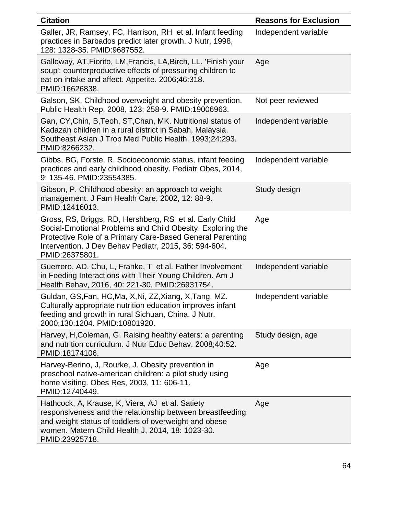| <b>Citation</b>                                                                                                                                                                                                                                               | <b>Reasons for Exclusion</b> |
|---------------------------------------------------------------------------------------------------------------------------------------------------------------------------------------------------------------------------------------------------------------|------------------------------|
| Galler, JR, Ramsey, FC, Harrison, RH et al. Infant feeding<br>practices in Barbados predict later growth. J Nutr, 1998,<br>128: 1328-35. PMID:9687552.                                                                                                        | Independent variable         |
| Galloway, AT, Fiorito, LM, Francis, LA, Birch, LL. 'Finish your<br>soup': counterproductive effects of pressuring children to<br>eat on intake and affect. Appetite. 2006;46:318.<br>PMID:16626838.                                                           | Age                          |
| Galson, SK. Childhood overweight and obesity prevention.<br>Public Health Rep, 2008, 123: 258-9. PMID:19006963.                                                                                                                                               | Not peer reviewed            |
| Gan, CY, Chin, B, Teoh, ST, Chan, MK. Nutritional status of<br>Kadazan children in a rural district in Sabah, Malaysia.<br>Southeast Asian J Trop Med Public Health. 1993;24:293.<br>PMID:8266232.                                                            | Independent variable         |
| Gibbs, BG, Forste, R. Socioeconomic status, infant feeding<br>practices and early childhood obesity. Pediatr Obes, 2014,<br>9: 135-46. PMID:23554385.                                                                                                         | Independent variable         |
| Gibson, P. Childhood obesity: an approach to weight<br>management. J Fam Health Care, 2002, 12: 88-9.<br>PMID:12416013.                                                                                                                                       | Study design                 |
| Gross, RS, Briggs, RD, Hershberg, RS et al. Early Child<br>Social-Emotional Problems and Child Obesity: Exploring the<br>Protective Role of a Primary Care-Based General Parenting<br>Intervention. J Dev Behav Pediatr, 2015, 36: 594-604.<br>PMID:26375801. | Age                          |
| Guerrero, AD, Chu, L, Franke, T et al. Father Involvement<br>in Feeding Interactions with Their Young Children. Am J<br>Health Behav, 2016, 40: 221-30. PMID:26931754.                                                                                        | Independent variable         |
| Guldan, GS, Fan, HC, Ma, X, Ni, ZZ, Xiang, X, Tang, MZ.<br>Culturally appropriate nutrition education improves infant<br>feeding and growth in rural Sichuan, China. J Nutr.<br>2000;130:1204. PMID:10801920.                                                 | Independent variable         |
| Harvey, H, Coleman, G. Raising healthy eaters: a parenting<br>and nutrition curriculum. J Nutr Educ Behav. 2008;40:52.<br>PMID:18174106.                                                                                                                      | Study design, age            |
| Harvey-Berino, J, Rourke, J. Obesity prevention in<br>preschool native-american children: a pilot study using<br>home visiting. Obes Res, 2003, 11: 606-11.<br>PMID:12740449.                                                                                 | Age                          |
| Hathcock, A, Krause, K, Viera, AJ et al. Satiety<br>responsiveness and the relationship between breastfeeding<br>and weight status of toddlers of overweight and obese<br>women. Matern Child Health J, 2014, 18: 1023-30.<br>PMID:23925718.                  | Age                          |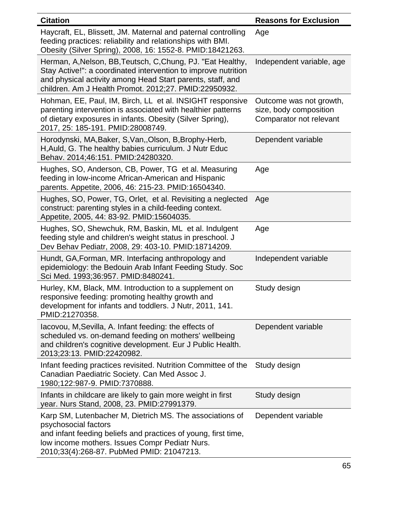| <b>Citation</b>                                                                                                                                                                                                                                      | <b>Reasons for Exclusion</b>                                                 |
|------------------------------------------------------------------------------------------------------------------------------------------------------------------------------------------------------------------------------------------------------|------------------------------------------------------------------------------|
| Haycraft, EL, Blissett, JM. Maternal and paternal controlling<br>feeding practices: reliability and relationships with BMI.<br>Obesity (Silver Spring), 2008, 16: 1552-8. PMID:18421263.                                                             | Age                                                                          |
| Herman, A, Nelson, BB, Teutsch, C, Chung, PJ. "Eat Healthy,<br>Stay Active!": a coordinated intervention to improve nutrition<br>and physical activity among Head Start parents, staff, and<br>children. Am J Health Promot. 2012;27. PMID:22950932. | Independent variable, age                                                    |
| Hohman, EE, Paul, IM, Birch, LL et al. INSIGHT responsive<br>parenting intervention is associated with healthier patterns<br>of dietary exposures in infants. Obesity (Silver Spring),<br>2017, 25: 185-191. PMID:28008749.                          | Outcome was not growth,<br>size, body composition<br>Comparator not relevant |
| Horodynski, MA, Baker, S, Van, , Olson, B, Brophy-Herb,<br>H, Auld, G. The healthy babies curriculum. J Nutr Educ<br>Behav. 2014;46:151. PMID:24280320.                                                                                              | Dependent variable                                                           |
| Hughes, SO, Anderson, CB, Power, TG et al. Measuring<br>feeding in low-income African-American and Hispanic<br>parents. Appetite, 2006, 46: 215-23. PMID:16504340.                                                                                   | Age                                                                          |
| Hughes, SO, Power, TG, Orlet, et al. Revisiting a neglected<br>construct: parenting styles in a child-feeding context.<br>Appetite, 2005, 44: 83-92. PMID:15604035.                                                                                  | Age                                                                          |
| Hughes, SO, Shewchuk, RM, Baskin, ML et al. Indulgent<br>feeding style and children's weight status in preschool. J<br>Dev Behav Pediatr, 2008, 29: 403-10. PMID:18714209.                                                                           | Age                                                                          |
| Hundt, GA, Forman, MR. Interfacing anthropology and<br>epidemiology: the Bedouin Arab Infant Feeding Study. Soc<br>Sci Med. 1993;36:957. PMID:8480241.                                                                                               | Independent variable                                                         |
| Hurley, KM, Black, MM. Introduction to a supplement on<br>responsive feeding: promoting healthy growth and<br>development for infants and toddlers. J Nutr, 2011, 141.<br>PMID:21270358.                                                             | Study design                                                                 |
| Iacovou, M, Sevilla, A. Infant feeding: the effects of<br>scheduled vs. on-demand feeding on mothers' wellbeing<br>and children's cognitive development. Eur J Public Health.<br>2013;23:13. PMID:22420982.                                          | Dependent variable                                                           |
| Infant feeding practices revisited. Nutrition Committee of the<br>Canadian Paediatric Society. Can Med Assoc J.<br>1980;122:987-9. PMID:7370888.                                                                                                     | Study design                                                                 |
| Infants in childcare are likely to gain more weight in first<br>year. Nurs Stand, 2008, 23. PMID:27991379.                                                                                                                                           | Study design                                                                 |
| Karp SM, Lutenbacher M, Dietrich MS. The associations of<br>psychosocial factors<br>and infant feeding beliefs and practices of young, first time,<br>low income mothers. Issues Compr Pediatr Nurs.<br>2010;33(4):268-87. PubMed PMID: 21047213.    | Dependent variable                                                           |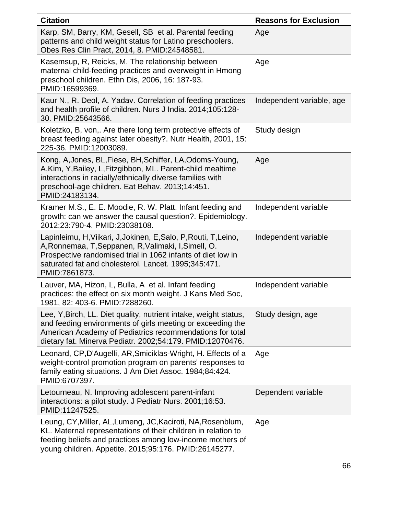| <b>Citation</b>                                                                                                                                                                                                                                                  | <b>Reasons for Exclusion</b> |
|------------------------------------------------------------------------------------------------------------------------------------------------------------------------------------------------------------------------------------------------------------------|------------------------------|
| Karp, SM, Barry, KM, Gesell, SB et al. Parental feeding<br>patterns and child weight status for Latino preschoolers.<br>Obes Res Clin Pract, 2014, 8. PMID:24548581.                                                                                             | Age                          |
| Kasemsup, R, Reicks, M. The relationship between<br>maternal child-feeding practices and overweight in Hmong<br>preschool children. Ethn Dis, 2006, 16: 187-93.<br>PMID:16599369.                                                                                | Age                          |
| Kaur N., R. Deol, A. Yadav. Correlation of feeding practices<br>and health profile of children. Nurs J India. 2014;105:128-<br>30. PMID:25643566.                                                                                                                | Independent variable, age    |
| Koletzko, B, von,. Are there long term protective effects of<br>breast feeding against later obesity?. Nutr Health, 2001, 15:<br>225-36. PMID:12003089.                                                                                                          | Study design                 |
| Kong, A, Jones, BL, Fiese, BH, Schiffer, LA, Odoms-Young,<br>A, Kim, Y, Bailey, L, Fitzgibbon, ML. Parent-child mealtime<br>interactions in racially/ethnically diverse families with<br>preschool-age children. Eat Behav. 2013;14:451.<br>PMID:24183134.       | Age                          |
| Kramer M.S., E. E. Moodie, R. W. Platt. Infant feeding and<br>growth: can we answer the causal question?. Epidemiology.<br>2012;23:790-4. PMID:23038108.                                                                                                         | Independent variable         |
| Lapinleimu, H, Viikari, J, Jokinen, E, Salo, P, Routi, T, Leino,<br>A, Ronnemaa, T, Seppanen, R, Valimaki, I, Simell, O.<br>Prospective randomised trial in 1062 infants of diet low in<br>saturated fat and cholesterol. Lancet. 1995;345:471.<br>PMID:7861873. | Independent variable         |
| Lauver, MA, Hizon, L, Bulla, A et al. Infant feeding<br>practices: the effect on six month weight. J Kans Med Soc,<br>1981, 82: 403-6. PMID:7288260                                                                                                              | Independent variable         |
| Lee, Y, Birch, LL. Diet quality, nutrient intake, weight status,<br>and feeding environments of girls meeting or exceeding the<br>American Academy of Pediatrics recommendations for total<br>dietary fat. Minerva Pediatr. 2002;54:179. PMID:12070476.          | Study design, age            |
| Leonard, CP,D'Augelli, AR,Smiciklas-Wright, H. Effects of a<br>weight-control promotion program on parents' responses to<br>family eating situations. J Am Diet Assoc. 1984;84:424.<br>PMID:6707397.                                                             | Age                          |
| Letourneau, N. Improving adolescent parent-infant<br>interactions: a pilot study. J Pediatr Nurs. 2001;16:53.<br>PMID:11247525.                                                                                                                                  | Dependent variable           |
| Leung, CY, Miller, AL, Lumeng, JC, Kaciroti, NA, Rosenblum,<br>KL. Maternal representations of their children in relation to<br>feeding beliefs and practices among low-income mothers of<br>young children. Appetite. 2015;95:176. PMID:26145277.               | Age                          |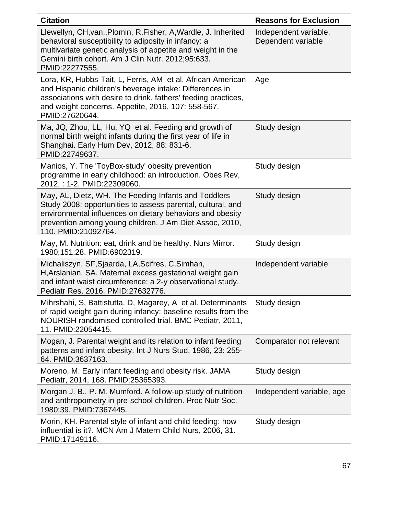| <b>Citation</b>                                                                                                                                                                                                                                                    | <b>Reasons for Exclusion</b>                |
|--------------------------------------------------------------------------------------------------------------------------------------------------------------------------------------------------------------------------------------------------------------------|---------------------------------------------|
| Llewellyn, CH, van, Plomin, R, Fisher, A, Wardle, J. Inherited<br>behavioral susceptibility to adiposity in infancy: a<br>multivariate genetic analysis of appetite and weight in the<br>Gemini birth cohort. Am J Clin Nutr. 2012;95:633.<br>PMID:22277555.       | Independent variable,<br>Dependent variable |
| Lora, KR, Hubbs-Tait, L, Ferris, AM et al. African-American<br>and Hispanic children's beverage intake: Differences in<br>associations with desire to drink, fathers' feeding practices,<br>and weight concerns. Appetite, 2016, 107: 558-567.<br>PMID:27620644.   | Age                                         |
| Ma, JQ, Zhou, LL, Hu, YQ et al. Feeding and growth of<br>normal birth weight infants during the first year of life in<br>Shanghai. Early Hum Dev, 2012, 88: 831-6.<br>PMID:22749637.                                                                               | Study design                                |
| Manios, Y. The 'ToyBox-study' obesity prevention<br>programme in early childhood: an introduction. Obes Rev,<br>2012, : 1-2. PMID:22309060.                                                                                                                        | Study design                                |
| May, AL, Dietz, WH. The Feeding Infants and Toddlers<br>Study 2008: opportunities to assess parental, cultural, and<br>environmental influences on dietary behaviors and obesity<br>prevention among young children. J Am Diet Assoc, 2010,<br>110. PMID:21092764. | Study design                                |
| May, M. Nutrition: eat, drink and be healthy. Nurs Mirror.<br>1980;151:28. PMID:6902319.                                                                                                                                                                           | Study design                                |
| Michaliszyn, SF, Sjaarda, LA, Scifres, C, Simhan,<br>H, Arslanian, SA. Maternal excess gestational weight gain<br>and infant waist circumference: a 2-y observational study.<br>Pediatr Res. 2016. PMID:27632776.                                                  | Independent variable                        |
| Mihrshahi, S, Battistutta, D, Magarey, A et al. Determinants<br>of rapid weight gain during infancy: baseline results from the<br>NOURISH randomised controlled trial. BMC Pediatr, 2011,<br>11. PMID:22054415.                                                    | Study design                                |
| Mogan, J. Parental weight and its relation to infant feeding<br>patterns and infant obesity. Int J Nurs Stud, 1986, 23: 255-<br>64. PMID:3637163.                                                                                                                  | Comparator not relevant                     |
| Moreno, M. Early infant feeding and obesity risk. JAMA<br>Pediatr, 2014, 168. PMID:25365393.                                                                                                                                                                       | Study design                                |
| Morgan J. B., P. M. Mumford. A follow-up study of nutrition<br>and anthropometry in pre-school children. Proc Nutr Soc.<br>1980;39. PMID:7367445.                                                                                                                  | Independent variable, age                   |
| Morin, KH. Parental style of infant and child feeding: how<br>influential is it?. MCN Am J Matern Child Nurs, 2006, 31.<br>PMID:17149116.                                                                                                                          | Study design                                |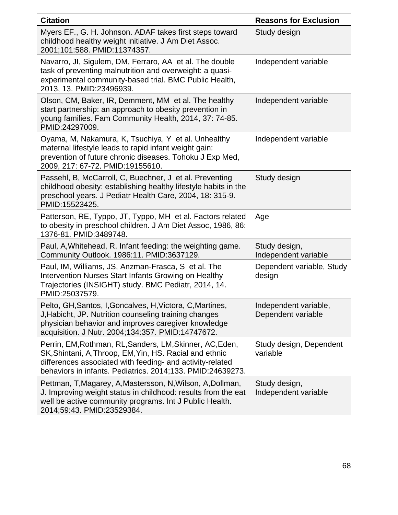| <b>Citation</b>                                                                                                                                                                                                                                | <b>Reasons for Exclusion</b>                |
|------------------------------------------------------------------------------------------------------------------------------------------------------------------------------------------------------------------------------------------------|---------------------------------------------|
| Myers EF., G. H. Johnson. ADAF takes first steps toward<br>childhood healthy weight initiative. J Am Diet Assoc.<br>2001;101:588. PMID:11374357.                                                                                               | Study design                                |
| Navarro, JI, Sigulem, DM, Ferraro, AA et al. The double<br>task of preventing malnutrition and overweight: a quasi-<br>experimental community-based trial. BMC Public Health,<br>2013, 13. PMID:23496939.                                      | Independent variable                        |
| Olson, CM, Baker, IR, Demment, MM et al. The healthy<br>start partnership: an approach to obesity prevention in<br>young families. Fam Community Health, 2014, 37: 74-85.<br>PMID:24297009.                                                    | Independent variable                        |
| Oyama, M, Nakamura, K, Tsuchiya, Y et al. Unhealthy<br>maternal lifestyle leads to rapid infant weight gain:<br>prevention of future chronic diseases. Tohoku J Exp Med,<br>2009, 217: 67-72. PMID:19155610.                                   | Independent variable                        |
| Passehl, B, McCarroll, C, Buechner, J et al. Preventing<br>childhood obesity: establishing healthy lifestyle habits in the<br>preschool years. J Pediatr Health Care, 2004, 18: 315-9.<br>PMID:15523425.                                       | Study design                                |
| Patterson, RE, Typpo, JT, Typpo, MH et al. Factors related<br>to obesity in preschool children. J Am Diet Assoc, 1986, 86:<br>1376-81. PMID:3489748.                                                                                           | Age                                         |
| Paul, A, Whitehead, R. Infant feeding: the weighting game.<br>Community Outlook. 1986:11. PMID:3637129.                                                                                                                                        | Study design,<br>Independent variable       |
| Paul, IM, Williams, JS, Anzman-Frasca, S et al. The<br>Intervention Nurses Start Infants Growing on Healthy<br>Trajectories (INSIGHT) study. BMC Pediatr, 2014, 14.<br>PMID:25037579.                                                          | Dependent variable, Study<br>design         |
| Pelto, GH, Santos, I, Goncalves, H, Victora, C, Martines,<br>J, Habicht, JP. Nutrition counseling training changes<br>physician behavior and improves caregiver knowledge<br>acquisition. J Nutr. 2004;134:357. PMID:14747672.                 | Independent variable,<br>Dependent variable |
| Perrin, EM, Rothman, RL, Sanders, LM, Skinner, AC, Eden,<br>SK, Shintani, A, Throop, EM, Yin, HS. Racial and ethnic<br>differences associated with feeding- and activity-related<br>behaviors in infants. Pediatrics. 2014;133. PMID:24639273. | Study design, Dependent<br>variable         |
| Pettman, T, Magarey, A, Mastersson, N, Wilson, A, Dollman,<br>J. Improving weight status in childhood: results from the eat<br>well be active community programs. Int J Public Health.<br>2014;59:43. PMID:23529384.                           | Study design,<br>Independent variable       |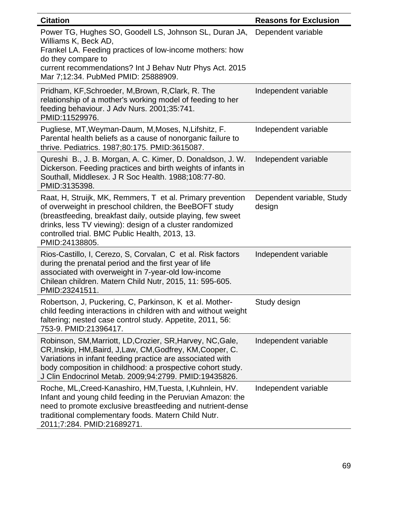| <b>Citation</b>                                                                                                                                                                                                                                                                                                     | <b>Reasons for Exclusion</b>        |
|---------------------------------------------------------------------------------------------------------------------------------------------------------------------------------------------------------------------------------------------------------------------------------------------------------------------|-------------------------------------|
| Power TG, Hughes SO, Goodell LS, Johnson SL, Duran JA,<br>Williams K, Beck AD,<br>Frankel LA. Feeding practices of low-income mothers: how<br>do they compare to<br>current recommendations? Int J Behav Nutr Phys Act. 2015<br>Mar 7;12:34. PubMed PMID: 25888909.                                                 | Dependent variable                  |
| Pridham, KF, Schroeder, M, Brown, R, Clark, R. The<br>relationship of a mother's working model of feeding to her<br>feeding behaviour. J Adv Nurs. 2001;35:741.<br>PMID:11529976.                                                                                                                                   | Independent variable                |
| Pugliese, MT, Weyman-Daum, M, Moses, N, Lifshitz, F.<br>Parental health beliefs as a cause of nonorganic failure to<br>thrive. Pediatrics. 1987;80:175. PMID:3615087.                                                                                                                                               | Independent variable                |
| Qureshi B., J. B. Morgan, A. C. Kimer, D. Donaldson, J. W.<br>Dickerson. Feeding practices and birth weights of infants in<br>Southall, Middlesex. J R Soc Health. 1988;108:77-80.<br>PMID:3135398.                                                                                                                 | Independent variable                |
| Raat, H, Struijk, MK, Remmers, T et al. Primary prevention<br>of overweight in preschool children, the BeeBOFT study<br>(breastfeeding, breakfast daily, outside playing, few sweet<br>drinks, less TV viewing): design of a cluster randomized<br>controlled trial. BMC Public Health, 2013, 13.<br>PMID:24138805. | Dependent variable, Study<br>design |
| Rios-Castillo, I, Cerezo, S, Corvalan, C et al. Risk factors<br>during the prenatal period and the first year of life<br>associated with overweight in 7-year-old low-income<br>Chilean children. Matern Child Nutr, 2015, 11: 595-605.<br>PMID:23241511.                                                           | Independent variable                |
| Robertson, J, Puckering, C, Parkinson, K et al. Mother-<br>child feeding interactions in children with and without weight<br>faltering; nested case control study. Appetite, 2011, 56:<br>753-9. PMID:21396417.                                                                                                     | Study design                        |
| Robinson, SM, Marriott, LD, Crozier, SR, Harvey, NC, Gale,<br>CR, Inskip, HM, Baird, J, Law, CM, Godfrey, KM, Cooper, C.<br>Variations in infant feeding practice are associated with<br>body composition in childhood: a prospective cohort study.<br>J Clin Endocrinol Metab. 2009;94:2799. PMID:19435826.        | Independent variable                |
| Roche, ML, Creed-Kanashiro, HM, Tuesta, I, Kuhnlein, HV.<br>Infant and young child feeding in the Peruvian Amazon: the<br>need to promote exclusive breastfeeding and nutrient-dense<br>traditional complementary foods. Matern Child Nutr.<br>2011;7:284. PMID:21689271.                                           | Independent variable                |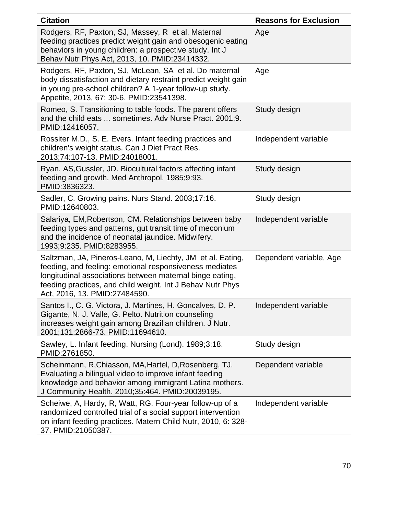| <b>Citation</b>                                                                                                                                                                                                                                                                  | <b>Reasons for Exclusion</b> |
|----------------------------------------------------------------------------------------------------------------------------------------------------------------------------------------------------------------------------------------------------------------------------------|------------------------------|
| Rodgers, RF, Paxton, SJ, Massey, R et al. Maternal<br>feeding practices predict weight gain and obesogenic eating<br>behaviors in young children: a prospective study. Int J<br>Behav Nutr Phys Act, 2013, 10. PMID:23414332.                                                    | Age                          |
| Rodgers, RF, Paxton, SJ, McLean, SA et al. Do maternal<br>body dissatisfaction and dietary restraint predict weight gain<br>in young pre-school children? A 1-year follow-up study.<br>Appetite, 2013, 67: 30-6. PMID:23541398.                                                  | Age                          |
| Romeo, S. Transitioning to table foods. The parent offers<br>and the child eats  sometimes. Adv Nurse Pract. 2001;9.<br>PMID:12416057.                                                                                                                                           | Study design                 |
| Rossiter M.D., S. E. Evers. Infant feeding practices and<br>children's weight status. Can J Diet Pract Res.<br>2013;74:107-13. PMID:24018001.                                                                                                                                    | Independent variable         |
| Ryan, AS, Gussler, JD. Biocultural factors affecting infant<br>feeding and growth. Med Anthropol. 1985;9:93.<br>PMID:3836323.                                                                                                                                                    | Study design                 |
| Sadler, C. Growing pains. Nurs Stand. 2003;17:16.<br>PMID:12640803.                                                                                                                                                                                                              | Study design                 |
| Salariya, EM, Robertson, CM. Relationships between baby<br>feeding types and patterns, gut transit time of meconium<br>and the incidence of neonatal jaundice. Midwifery.<br>1993;9:235. PMID:8283955.                                                                           | Independent variable         |
| Saltzman, JA, Pineros-Leano, M, Liechty, JM et al. Eating,<br>feeding, and feeling: emotional responsiveness mediates<br>longitudinal associations between maternal binge eating,<br>feeding practices, and child weight. Int J Behav Nutr Phys<br>Act, 2016, 13. PMID:27484590. | Dependent variable, Age      |
| Santos I., C. G. Victora, J. Martines, H. Goncalves, D. P.<br>Gigante, N. J. Valle, G. Pelto. Nutrition counseling<br>increases weight gain among Brazilian children. J Nutr.<br>2001;131:2866-73. PMID:11694610.                                                                | Independent variable         |
| Sawley, L. Infant feeding. Nursing (Lond). 1989;3:18.<br>PMID:2761850.                                                                                                                                                                                                           | Study design                 |
| Scheinmann, R,Chiasson, MA,Hartel, D,Rosenberg, TJ.<br>Evaluating a bilingual video to improve infant feeding<br>knowledge and behavior among immigrant Latina mothers.<br>J Community Health. 2010;35:464. PMID:20039195.                                                       | Dependent variable           |
| Scheiwe, A, Hardy, R, Watt, RG. Four-year follow-up of a<br>randomized controlled trial of a social support intervention<br>on infant feeding practices. Matern Child Nutr, 2010, 6: 328-<br>37. PMID:21050387.                                                                  | Independent variable         |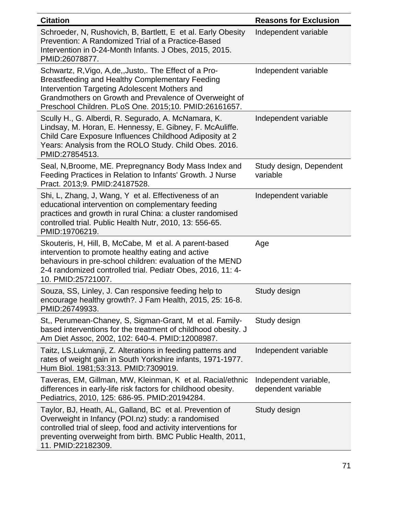| <b>Citation</b>                                                                                                                                                                                                                                                              | <b>Reasons for Exclusion</b>                |
|------------------------------------------------------------------------------------------------------------------------------------------------------------------------------------------------------------------------------------------------------------------------------|---------------------------------------------|
| Schroeder, N, Rushovich, B, Bartlett, E et al. Early Obesity<br>Prevention: A Randomized Trial of a Practice-Based<br>Intervention in 0-24-Month Infants. J Obes, 2015, 2015.<br>PMID:26078877.                                                                              | Independent variable                        |
| Schwartz, R, Vigo, A, de, Justo, The Effect of a Pro-<br>Breastfeeding and Healthy Complementary Feeding<br>Intervention Targeting Adolescent Mothers and<br>Grandmothers on Growth and Prevalence of Overweight of<br>Preschool Children. PLoS One. 2015;10. PMID:26161657. | Independent variable                        |
| Scully H., G. Alberdi, R. Segurado, A. McNamara, K.<br>Lindsay, M. Horan, E. Hennessy, E. Gibney, F. McAuliffe.<br>Child Care Exposure Influences Childhood Adiposity at 2<br>Years: Analysis from the ROLO Study. Child Obes. 2016.<br>PMID:27854513.                       | Independent variable                        |
| Seal, N, Broome, ME. Prepregnancy Body Mass Index and<br>Feeding Practices in Relation to Infants' Growth. J Nurse<br>Pract. 2013;9. PMID:24187528.                                                                                                                          | Study design, Dependent<br>variable         |
| Shi, L, Zhang, J, Wang, Y et al. Effectiveness of an<br>educational intervention on complementary feeding<br>practices and growth in rural China: a cluster randomised<br>controlled trial. Public Health Nutr, 2010, 13: 556-65.<br>PMID:19706219.                          | Independent variable                        |
| Skouteris, H, Hill, B, McCabe, M et al. A parent-based<br>intervention to promote healthy eating and active<br>behaviours in pre-school children: evaluation of the MEND<br>2-4 randomized controlled trial. Pediatr Obes, 2016, 11: 4-<br>10. PMID:25721007.                | Age                                         |
| Souza, SS, Linley, J. Can responsive feeding help to<br>encourage healthy growth?. J Fam Health, 2015, 25: 16-8.<br>PMID:26749933.                                                                                                                                           | Study design                                |
| St., Perumean-Chaney, S, Sigman-Grant, M et al. Family-<br>based interventions for the treatment of childhood obesity. J<br>Am Diet Assoc, 2002, 102: 640-4. PMID:12008987.                                                                                                  | Study design                                |
| Taitz, LS, Lukmanji, Z. Alterations in feeding patterns and<br>rates of weight gain in South Yorkshire infants, 1971-1977.<br>Hum Biol. 1981;53:313. PMID:7309019.                                                                                                           | Independent variable                        |
| Taveras, EM, Gillman, MW, Kleinman, K et al. Racial/ethnic<br>differences in early-life risk factors for childhood obesity.<br>Pediatrics, 2010, 125: 686-95. PMID:20194284.                                                                                                 | Independent variable,<br>dependent variable |
| Taylor, BJ, Heath, AL, Galland, BC et al. Prevention of<br>Overweight in Infancy (POI.nz) study: a randomised<br>controlled trial of sleep, food and activity interventions for<br>preventing overweight from birth. BMC Public Health, 2011,<br>11. PMID:22182309.          | Study design                                |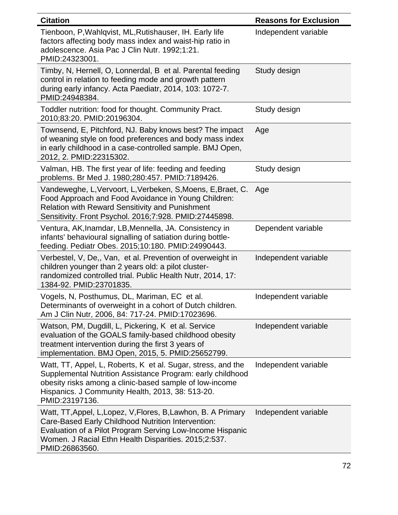| <b>Citation</b>                                                                                                                                                                                                                                             | <b>Reasons for Exclusion</b> |
|-------------------------------------------------------------------------------------------------------------------------------------------------------------------------------------------------------------------------------------------------------------|------------------------------|
| Tienboon, P, Wahlqvist, ML, Rutishauser, IH. Early life<br>factors affecting body mass index and waist-hip ratio in<br>adolescence. Asia Pac J Clin Nutr. 1992;1:21.<br>PMID:24323001.                                                                      | Independent variable         |
| Timby, N, Hernell, O, Lonnerdal, B et al. Parental feeding<br>control in relation to feeding mode and growth pattern<br>during early infancy. Acta Paediatr, 2014, 103: 1072-7.<br>PMID:24948384.                                                           | Study design                 |
| Toddler nutrition: food for thought. Community Pract.<br>2010;83:20. PMID:20196304.                                                                                                                                                                         | Study design                 |
| Townsend, E, Pitchford, NJ. Baby knows best? The impact<br>of weaning style on food preferences and body mass index<br>in early childhood in a case-controlled sample. BMJ Open,<br>2012, 2. PMID:22315302.                                                 | Age                          |
| Valman, HB. The first year of life: feeding and feeding<br>problems. Br Med J. 1980;280:457. PMID:7189426.                                                                                                                                                  | Study design                 |
| Vandeweghe, L, Vervoort, L, Verbeken, S, Moens, E, Braet, C.<br>Food Approach and Food Avoidance in Young Children:<br><b>Relation with Reward Sensitivity and Punishment</b><br>Sensitivity. Front Psychol. 2016;7:928. PMID:27445898.                     | Age                          |
| Ventura, AK, Inamdar, LB, Mennella, JA. Consistency in<br>infants' behavioural signalling of satiation during bottle-<br>feeding. Pediatr Obes. 2015;10:180. PMID:24990443.                                                                                 | Dependent variable           |
| Verbestel, V, De,, Van, et al. Prevention of overweight in<br>children younger than 2 years old: a pilot cluster-<br>randomized controlled trial. Public Health Nutr, 2014, 17:<br>1384-92. PMID:23701835.                                                  | Independent variable         |
| Vogels, N, Posthumus, DL, Mariman, EC et al.<br>Determinants of overweight in a cohort of Dutch children.<br>Am J Clin Nutr, 2006, 84: 717-24. PMID:17023696.                                                                                               | Independent variable         |
| Watson, PM, Dugdill, L, Pickering, K et al. Service<br>evaluation of the GOALS family-based childhood obesity<br>treatment intervention during the first 3 years of<br>implementation. BMJ Open, 2015, 5. PMID:25652799.                                    | Independent variable         |
| Watt, TT, Appel, L, Roberts, K et al. Sugar, stress, and the<br>Supplemental Nutrition Assistance Program: early childhood<br>obesity risks among a clinic-based sample of low-income<br>Hispanics. J Community Health, 2013, 38: 513-20.<br>PMID:23197136. | Independent variable         |
| Watt, TT, Appel, L, Lopez, V, Flores, B, Lawhon, B. A Primary<br>Care-Based Early Childhood Nutrition Intervention:<br>Evaluation of a Pilot Program Serving Low-Income Hispanic<br>Women. J Racial Ethn Health Disparities. 2015;2:537.<br>PMID:26863560.  | Independent variable         |